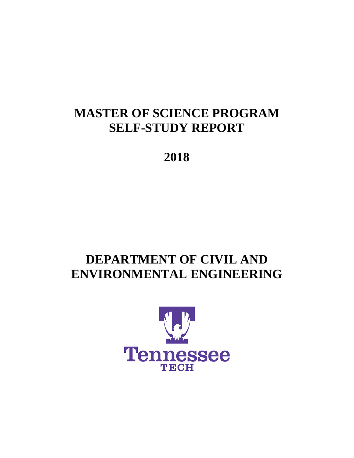# **MASTER OF SCIENCE PROGRAM SELF-STUDY REPORT**

**2018** 

# **DEPARTMENT OF CIVIL AND ENVIRONMENTAL ENGINEERING**

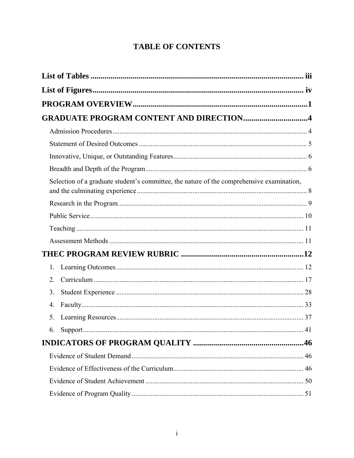# **TABLE OF CONTENTS**

| <b>GRADUATE PROGRAM CONTENT AND DIRECTION4</b>                                            |    |
|-------------------------------------------------------------------------------------------|----|
|                                                                                           |    |
|                                                                                           |    |
|                                                                                           |    |
|                                                                                           |    |
| Selection of a graduate student's committee, the nature of the comprehensive examination, |    |
|                                                                                           |    |
|                                                                                           |    |
|                                                                                           |    |
|                                                                                           |    |
|                                                                                           |    |
| 1.                                                                                        |    |
| 2.                                                                                        |    |
| 3 <sub>1</sub>                                                                            |    |
| 4.                                                                                        |    |
| 5.                                                                                        |    |
|                                                                                           | 41 |
|                                                                                           |    |
|                                                                                           |    |
|                                                                                           |    |
|                                                                                           |    |
|                                                                                           |    |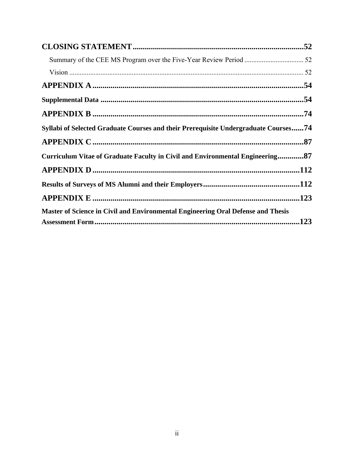| Syllabi of Selected Graduate Courses and their Prerequisite Undergraduate Courses74 |  |
|-------------------------------------------------------------------------------------|--|
|                                                                                     |  |
| Curriculum Vitae of Graduate Faculty in Civil and Environmental Engineering87       |  |
|                                                                                     |  |
|                                                                                     |  |
|                                                                                     |  |
| Master of Science in Civil and Environmental Engineering Oral Defense and Thesis    |  |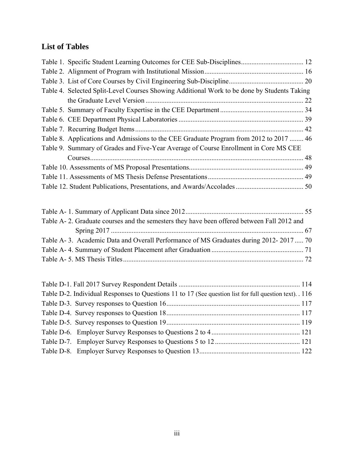# **List of Tables**

| Table 1. Specific Student Learning Outcomes for CEE Sub-Disciplines 12                                  |  |
|---------------------------------------------------------------------------------------------------------|--|
|                                                                                                         |  |
|                                                                                                         |  |
| Table 4. Selected Split-Level Courses Showing Additional Work to be done by Students Taking             |  |
|                                                                                                         |  |
|                                                                                                         |  |
|                                                                                                         |  |
|                                                                                                         |  |
| Table 8. Applications and Admissions to the CEE Graduate Program from 2012 to 2017  46                  |  |
| Table 9. Summary of Grades and Five-Year Average of Course Enrollment in Core MS CEE                    |  |
|                                                                                                         |  |
|                                                                                                         |  |
|                                                                                                         |  |
|                                                                                                         |  |
|                                                                                                         |  |
|                                                                                                         |  |
| Table A-2. Graduate courses and the semesters they have been offered between Fall 2012 and              |  |
|                                                                                                         |  |
| Table A-3. Academic Data and Overall Performance of MS Graduates during 2012-2017 70                    |  |
|                                                                                                         |  |
|                                                                                                         |  |
|                                                                                                         |  |
|                                                                                                         |  |
|                                                                                                         |  |
| Table D-2. Individual Responses to Questions 11 to 17 (See question list for full question text). . 116 |  |
|                                                                                                         |  |
|                                                                                                         |  |
|                                                                                                         |  |
|                                                                                                         |  |
|                                                                                                         |  |
|                                                                                                         |  |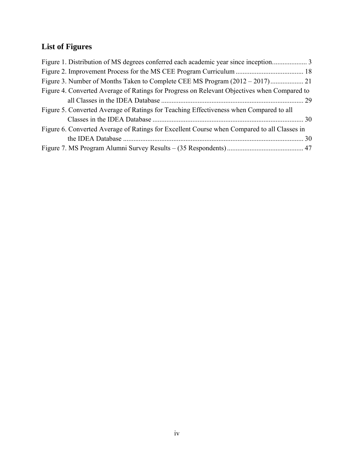# **List of Figures**

| Figure 4. Converted Average of Ratings for Progress on Relevant Objectives when Compared to |
|---------------------------------------------------------------------------------------------|
|                                                                                             |
| Figure 5. Converted Average of Ratings for Teaching Effectiveness when Compared to all      |
|                                                                                             |
| Figure 6. Converted Average of Ratings for Excellent Course when Compared to all Classes in |
|                                                                                             |
|                                                                                             |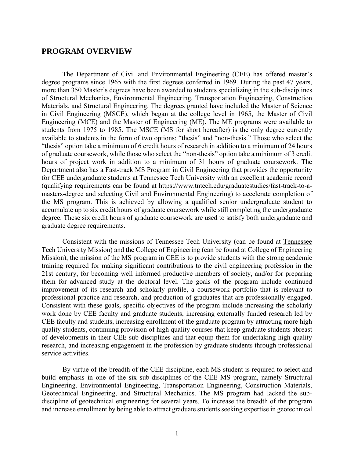# **PROGRAM OVERVIEW**

The Department of Civil and Environmental Engineering (CEE) has offered master's degree programs since 1965 with the first degrees conferred in 1969. During the past 47 years, more than 350 Master's degrees have been awarded to students specializing in the sub-disciplines of Structural Mechanics, Environmental Engineering, Transportation Engineering, Construction Materials, and Structural Engineering. The degrees granted have included the Master of Science in Civil Engineering (MSCE), which began at the college level in 1965, the Master of Civil Engineering (MCE) and the Master of Engineering (ME). The ME programs were available to students from 1975 to 1985. The MSCE (MS for short hereafter) is the only degree currently available to students in the form of two options: "thesis" and "non-thesis." Those who select the "thesis" option take a minimum of 6 credit hours of research in addition to a minimum of 24 hours of graduate coursework, while those who select the "non-thesis" option take a minimum of 3 credit hours of project work in addition to a minimum of 31 hours of graduate coursework. The Department also has a Fast-track MS Program in Civil Engineering that provides the opportunity for CEE undergraduate students at Tennessee Tech University with an excellent academic record (qualifying requirements can be found at https://www.tntech.edu/graduatestudies/fast-track-to-amasters-degree and selecting Civil and Environmental Engineering) to accelerate completion of the MS program. This is achieved by allowing a qualified senior undergraduate student to accumulate up to six credit hours of graduate coursework while still completing the undergraduate degree. These six credit hours of graduate coursework are used to satisfy both undergraduate and graduate degree requirements.

Consistent with the missions of Tennessee Tech University (can be found at Tennessee Tech University Mission) and the College of Engineering (can be found at College of Engineering Mission), the mission of the MS program in CEE is to provide students with the strong academic training required for making significant contributions to the civil engineering profession in the 21st century, for becoming well informed productive members of society, and/or for preparing them for advanced study at the doctoral level. The goals of the program include continued improvement of its research and scholarly profile, a coursework portfolio that is relevant to professional practice and research, and production of graduates that are professionally engaged. Consistent with these goals, specific objectives of the program include increasing the scholarly work done by CEE faculty and graduate students, increasing externally funded research led by CEE faculty and students, increasing enrollment of the graduate program by attracting more high quality students, continuing provision of high quality courses that keep graduate students abreast of developments in their CEE sub-disciplines and that equip them for undertaking high quality research, and increasing engagement in the profession by graduate students through professional service activities.

By virtue of the breadth of the CEE discipline, each MS student is required to select and build emphasis in one of the six sub-disciplines of the CEE MS program, namely Structural Engineering, Environmental Engineering, Transportation Engineering, Construction Materials, Geotechnical Engineering, and Structural Mechanics. The MS program had lacked the subdiscipline of geotechnical engineering for several years. To increase the breadth of the program and increase enrollment by being able to attract graduate students seeking expertise in geotechnical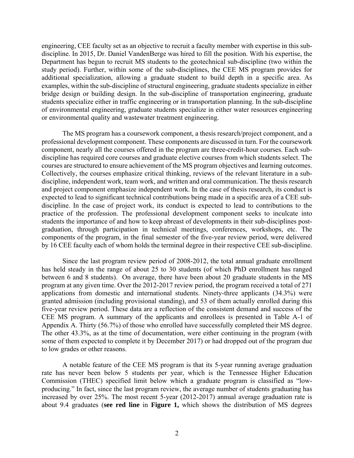engineering, CEE faculty set as an objective to recruit a faculty member with expertise in this subdiscipline. In 2015, Dr. Daniel VandenBerge was hired to fill the position. With his expertise, the Department has begun to recruit MS students to the geotechnical sub-discipline (two within the study period). Further, within some of the sub-disciplines, the CEE MS program provides for additional specialization, allowing a graduate student to build depth in a specific area. As examples, within the sub-discipline of structural engineering, graduate students specialize in either bridge design or building design. In the sub-discipline of transportation engineering, graduate students specialize either in traffic engineering or in transportation planning. In the sub-discipline of environmental engineering, graduate students specialize in either water resources engineering or environmental quality and wastewater treatment engineering.

The MS program has a coursework component, a thesis research/project component, and a professional development component. These components are discussed in turn. For the coursework component, nearly all the courses offered in the program are three-credit-hour courses. Each subdiscipline has required core courses and graduate elective courses from which students select. The courses are structured to ensure achievement of the MS program objectives and learning outcomes. Collectively, the courses emphasize critical thinking, reviews of the relevant literature in a subdiscipline, independent work, team work, and written and oral communication. The thesis research and project component emphasize independent work. In the case of thesis research, its conduct is expected to lead to significant technical contributions being made in a specific area of a CEE subdiscipline. In the case of project work, its conduct is expected to lead to contributions to the practice of the profession. The professional development component seeks to inculcate into students the importance of and how to keep abreast of developments in their sub-disciplines postgraduation, through participation in technical meetings, conferences, workshops, etc. The components of the program, in the final semester of the five-year review period, were delivered by 16 CEE faculty each of whom holds the terminal degree in their respective CEE sub-discipline.

Since the last program review period of 2008-2012, the total annual graduate enrollment has held steady in the range of about 25 to 30 students (of which PhD enrollment has ranged between 6 and 8 students). On average, there have been about 20 graduate students in the MS program at any given time. Over the 2012-2017 review period, the program received a total of 271 applications from domestic and international students. Ninety-three applicants (34.3%) were granted admission (including provisional standing), and 53 of them actually enrolled during this five-year review period. These data are a reflection of the consistent demand and success of the CEE MS program. A summary of the applicants and enrollees is presented in Table A-1 of Appendix A. Thirty (56.7%) of those who enrolled have successfully completed their MS degree. The other 43.3%, as at the time of documentation, were either continuing in the program (with some of them expected to complete it by December 2017) or had dropped out of the program due to low grades or other reasons.

A notable feature of the CEE MS program is that its 5-year running average graduation rate has never been below 5 students per year, which is the Tennessee Higher Education Commission (THEC) specified limit below which a graduate program is classified as "lowproducing." In fact, since the last program review, the average number of students graduating has increased by over 25%. The most recent 5-year (2012-2017) annual average graduation rate is about 9.4 graduates (**see red line** in **Figure 1,** which shows the distribution of MS degrees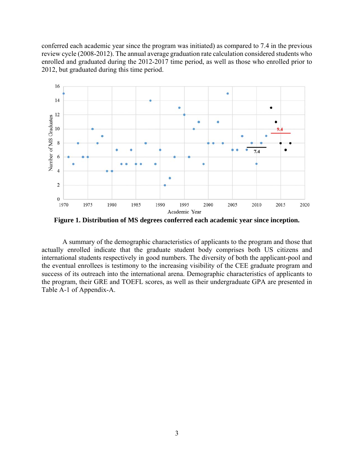conferred each academic year since the program was initiated) as compared to 7.4 in the previous review cycle (2008-2012). The annual average graduation rate calculation considered students who enrolled and graduated during the 2012-2017 time period, as well as those who enrolled prior to 2012, but graduated during this time period.



**Figure 1. Distribution of MS degrees conferred each academic year since inception.** 

A summary of the demographic characteristics of applicants to the program and those that actually enrolled indicate that the graduate student body comprises both US citizens and international students respectively in good numbers. The diversity of both the applicant-pool and the eventual enrollees is testimony to the increasing visibility of the CEE graduate program and success of its outreach into the international arena. Demographic characteristics of applicants to the program, their GRE and TOEFL scores, as well as their undergraduate GPA are presented in Table A-1 of Appendix-A.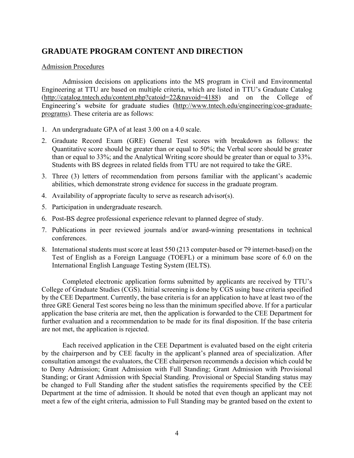# **GRADUATE PROGRAM CONTENT AND DIRECTION**

#### Admission Procedures

Admission decisions on applications into the MS program in Civil and Environmental Engineering at TTU are based on multiple criteria, which are listed in TTU's Graduate Catalog (http://catalog.tntech.edu/content.php?catoid=22&navoid=4188) and on the College of Engineering's website for graduate studies (http://www.tntech.edu/engineering/coe-graduateprograms). These criteria are as follows:

- 1. An undergraduate GPA of at least 3.00 on a 4.0 scale.
- 2. Graduate Record Exam (GRE) General Test scores with breakdown as follows: the Quantitative score should be greater than or equal to 50%; the Verbal score should be greater than or equal to 33%; and the Analytical Writing score should be greater than or equal to 33%. Students with BS degrees in related fields from TTU are not required to take the GRE.
- 3. Three (3) letters of recommendation from persons familiar with the applicant's academic abilities, which demonstrate strong evidence for success in the graduate program.
- 4. Availability of appropriate faculty to serve as research advisor(s).
- 5. Participation in undergraduate research.
- 6. Post-BS degree professional experience relevant to planned degree of study.
- 7. Publications in peer reviewed journals and/or award-winning presentations in technical conferences.
- 8. International students must score at least 550 (213 computer-based or 79 internet-based) on the Test of English as a Foreign Language (TOEFL) or a minimum base score of 6.0 on the International English Language Testing System (IELTS).

Completed electronic application forms submitted by applicants are received by TTU's College of Graduate Studies (CGS). Initial screening is done by CGS using base criteria specified by the CEE Department. Currently, the base criteria is for an application to have at least two of the three GRE General Test scores being no less than the minimum specified above. If for a particular application the base criteria are met, then the application is forwarded to the CEE Department for further evaluation and a recommendation to be made for its final disposition. If the base criteria are not met, the application is rejected.

Each received application in the CEE Department is evaluated based on the eight criteria by the chairperson and by CEE faculty in the applicant's planned area of specialization. After consultation amongst the evaluators, the CEE chairperson recommends a decision which could be to Deny Admission; Grant Admission with Full Standing; Grant Admission with Provisional Standing; or Grant Admission with Special Standing. Provisional or Special Standing status may be changed to Full Standing after the student satisfies the requirements specified by the CEE Department at the time of admission. It should be noted that even though an applicant may not meet a few of the eight criteria, admission to Full Standing may be granted based on the extent to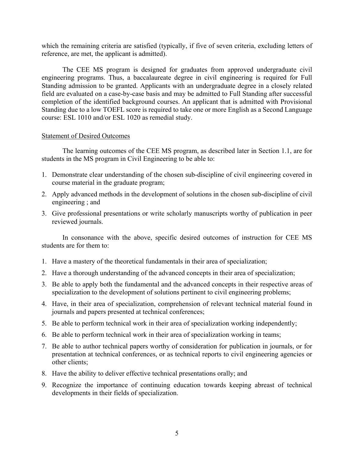which the remaining criteria are satisfied (typically, if five of seven criteria, excluding letters of reference, are met, the applicant is admitted).

The CEE MS program is designed for graduates from approved undergraduate civil engineering programs. Thus, a baccalaureate degree in civil engineering is required for Full Standing admission to be granted. Applicants with an undergraduate degree in a closely related field are evaluated on a case-by-case basis and may be admitted to Full Standing after successful completion of the identified background courses. An applicant that is admitted with Provisional Standing due to a low TOEFL score is required to take one or more English as a Second Language course: ESL 1010 and/or ESL 1020 as remedial study.

#### Statement of Desired Outcomes

The learning outcomes of the CEE MS program, as described later in Section 1.1, are for students in the MS program in Civil Engineering to be able to:

- 1. Demonstrate clear understanding of the chosen sub-discipline of civil engineering covered in course material in the graduate program;
- 2. Apply advanced methods in the development of solutions in the chosen sub-discipline of civil engineering ; and
- 3. Give professional presentations or write scholarly manuscripts worthy of publication in peer reviewed journals.

In consonance with the above, specific desired outcomes of instruction for CEE MS students are for them to:

- 1. Have a mastery of the theoretical fundamentals in their area of specialization;
- 2. Have a thorough understanding of the advanced concepts in their area of specialization;
- 3. Be able to apply both the fundamental and the advanced concepts in their respective areas of specialization to the development of solutions pertinent to civil engineering problems;
- 4. Have, in their area of specialization, comprehension of relevant technical material found in journals and papers presented at technical conferences;
- 5. Be able to perform technical work in their area of specialization working independently;
- 6. Be able to perform technical work in their area of specialization working in teams;
- 7. Be able to author technical papers worthy of consideration for publication in journals, or for presentation at technical conferences, or as technical reports to civil engineering agencies or other clients;
- 8. Have the ability to deliver effective technical presentations orally; and
- 9. Recognize the importance of continuing education towards keeping abreast of technical developments in their fields of specialization.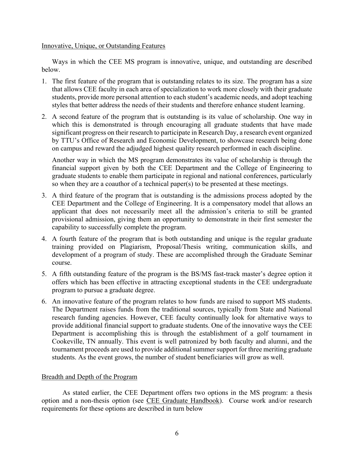Innovative, Unique, or Outstanding Features

Ways in which the CEE MS program is innovative, unique, and outstanding are described below.

- 1. The first feature of the program that is outstanding relates to its size. The program has a size that allows CEE faculty in each area of specialization to work more closely with their graduate students, provide more personal attention to each student's academic needs, and adopt teaching styles that better address the needs of their students and therefore enhance student learning.
- 2. A second feature of the program that is outstanding is its value of scholarship. One way in which this is demonstrated is through encouraging all graduate students that have made significant progress on their research to participate in Research Day, a research event organized by TTU's Office of Research and Economic Development, to showcase research being done on campus and reward the adjudged highest quality research performed in each discipline.

Another way in which the MS program demonstrates its value of scholarship is through the financial support given by both the CEE Department and the College of Engineering to graduate students to enable them participate in regional and national conferences, particularly so when they are a coauthor of a technical paper(s) to be presented at these meetings.

- 3. A third feature of the program that is outstanding is the admissions process adopted by the CEE Department and the College of Engineering. It is a compensatory model that allows an applicant that does not necessarily meet all the admission's criteria to still be granted provisional admission, giving them an opportunity to demonstrate in their first semester the capability to successfully complete the program.
- 4. A fourth feature of the program that is both outstanding and unique is the regular graduate training provided on Plagiarism, Proposal/Thesis writing, communication skills, and development of a program of study. These are accomplished through the Graduate Seminar course.
- 5. A fifth outstanding feature of the program is the BS/MS fast-track master's degree option it offers which has been effective in attracting exceptional students in the CEE undergraduate program to pursue a graduate degree.
- 6. An innovative feature of the program relates to how funds are raised to support MS students. The Department raises funds from the traditional sources, typically from State and National research funding agencies. However, CEE faculty continually look for alternative ways to provide additional financial support to graduate students. One of the innovative ways the CEE Department is accomplishing this is through the establishment of a golf tournament in Cookeville, TN annually. This event is well patronized by both faculty and alumni, and the tournament proceeds are used to provide additional summer support for three meriting graduate students. As the event grows, the number of student beneficiaries will grow as well.

# Breadth and Depth of the Program

As stated earlier, the CEE Department offers two options in the MS program: a thesis option and a non-thesis option (see CEE Graduate Handbook). Course work and/or research requirements for these options are described in turn below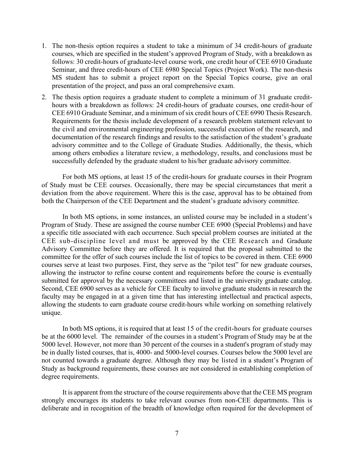- 1. The non-thesis option requires a student to take a minimum of 34 credit-hours of graduate courses, which are specified in the student's approved Program of Study, with a breakdown as follows: 30 credit-hours of graduate-level course work, one credit hour of CEE 6910 Graduate Seminar, and three credit-hours of CEE 6980 Special Topics (Project Work). The non-thesis MS student has to submit a project report on the Special Topics course, give an oral presentation of the project, and pass an oral comprehensive exam.
- 2. The thesis option requires a graduate student to complete a minimum of 31 graduate credithours with a breakdown as follows: 24 credit-hours of graduate courses, one credit-hour of CEE 6910 Graduate Seminar, and a minimum of six credit hours of CEE 6990 Thesis Research. Requirements for the thesis include development of a research problem statement relevant to the civil and environmental engineering profession, successful execution of the research, and documentation of the research findings and results to the satisfaction of the student's graduate advisory committee and to the College of Graduate Studies. Additionally, the thesis, which among others embodies a literature review, a methodology, results, and conclusions must be successfully defended by the graduate student to his/her graduate advisory committee.

For both MS options, at least 15 of the credit-hours for graduate courses in their Program of Study must be CEE courses. Occasionally, there may be special circumstances that merit a deviation from the above requirement. Where this is the case, approval has to be obtained from both the Chairperson of the CEE Department and the student's graduate advisory committee.

In both MS options, in some instances, an unlisted course may be included in a student's Program of Study. These are assigned the course number CEE 6900 (Special Problems) and have a specific title associated with each occurrence. Such special problem courses are initiated at the CEE sub-discipline level and must be approved by the CEE Research and Graduate Advisory Committee before they are offered. It is required that the proposal submitted to the committee for the offer of such courses include the list of topics to be covered in them. CEE 6900 courses serve at least two purposes. First, they serve as the "pilot test" for new graduate courses, allowing the instructor to refine course content and requirements before the course is eventually submitted for approval by the necessary committees and listed in the university graduate catalog. Second, CEE 6900 serves as a vehicle for CEE faculty to involve graduate students in research the faculty may be engaged in at a given time that has interesting intellectual and practical aspects, allowing the students to earn graduate course credit-hours while working on something relatively unique.

In both MS options, it is required that at least 15 of the credit-hours for graduate courses be at the 6000 level. The remainder of the courses in a student's Program of Study may be at the 5000 level. However, not more than 30 percent of the courses in a student's program of study may be in dually listed courses, that is, 4000- and 5000-level courses. Courses below the 5000 level are not counted towards a graduate degree. Although they may be listed in a student's Program of Study as background requirements, these courses are not considered in establishing completion of degree requirements.

It is apparent from the structure of the course requirements above that the CEE MS program strongly encourages its students to take relevant courses from non-CEE departments. This is deliberate and in recognition of the breadth of knowledge often required for the development of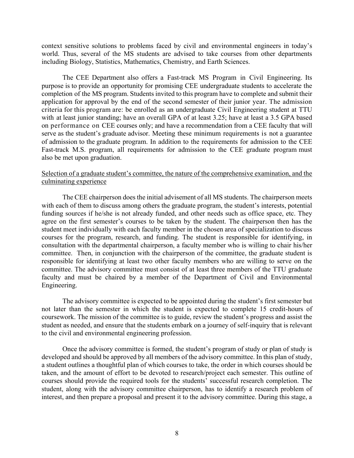context sensitive solutions to problems faced by civil and environmental engineers in today's world. Thus, several of the MS students are advised to take courses from other departments including Biology, Statistics, Mathematics, Chemistry, and Earth Sciences.

The CEE Department also offers a Fast-track MS Program in Civil Engineering. Its purpose is to provide an opportunity for promising CEE undergraduate students to accelerate the completion of the MS program. Students invited to this program have to complete and submit their application for approval by the end of the second semester of their junior year. The admission criteria for this program are: be enrolled as an undergraduate Civil Engineering student at TTU with at least junior standing; have an overall GPA of at least 3.25; have at least a 3.5 GPA based on performance on CEE courses only; and have a recommendation from a CEE faculty that will serve as the student's graduate advisor. Meeting these minimum requirements is not a guarantee of admission to the graduate program. In addition to the requirements for admission to the CEE Fast-track M.S. program, all requirements for admission to the CEE graduate program must also be met upon graduation.

# Selection of a graduate student's committee, the nature of the comprehensive examination, and the culminating experience

The CEE chairperson does the initial advisement of all MS students. The chairperson meets with each of them to discuss among others the graduate program, the student's interests, potential funding sources if he/she is not already funded, and other needs such as office space, etc. They agree on the first semester's courses to be taken by the student. The chairperson then has the student meet individually with each faculty member in the chosen area of specialization to discuss courses for the program, research, and funding. The student is responsible for identifying, in consultation with the departmental chairperson, a faculty member who is willing to chair his/her committee. Then, in conjunction with the chairperson of the committee, the graduate student is responsible for identifying at least two other faculty members who are willing to serve on the committee. The advisory committee must consist of at least three members of the TTU graduate faculty and must be chaired by a member of the Department of Civil and Environmental Engineering.

The advisory committee is expected to be appointed during the student's first semester but not later than the semester in which the student is expected to complete 15 credit-hours of coursework. The mission of the committee is to guide, review the student's progress and assist the student as needed, and ensure that the students embark on a journey of self-inquiry that is relevant to the civil and environmental engineering profession.

Once the advisory committee is formed, the student's program of study or plan of study is developed and should be approved by all members of the advisory committee. In this plan of study, a student outlines a thoughtful plan of which courses to take, the order in which courses should be taken, and the amount of effort to be devoted to research/project each semester. This outline of courses should provide the required tools for the students' successful research completion. The student, along with the advisory committee chairperson, has to identify a research problem of interest, and then prepare a proposal and present it to the advisory committee. During this stage, a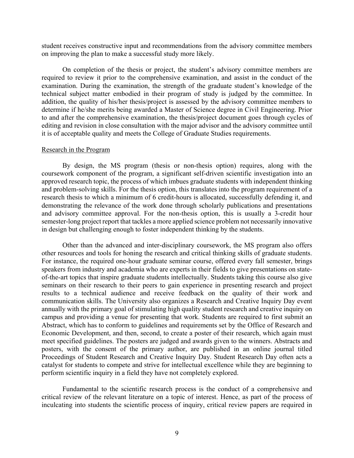student receives constructive input and recommendations from the advisory committee members on improving the plan to make a successful study more likely.

On completion of the thesis or project, the student's advisory committee members are required to review it prior to the comprehensive examination, and assist in the conduct of the examination. During the examination, the strength of the graduate student's knowledge of the technical subject matter embodied in their program of study is judged by the committee. In addition, the quality of his/her thesis/project is assessed by the advisory committee members to determine if he/she merits being awarded a Master of Science degree in Civil Engineering. Prior to and after the comprehensive examination, the thesis/project document goes through cycles of editing and revision in close consultation with the major advisor and the advisory committee until it is of acceptable quality and meets the College of Graduate Studies requirements.

#### Research in the Program

By design, the MS program (thesis or non-thesis option) requires, along with the coursework component of the program, a significant self-driven scientific investigation into an approved research topic, the process of which imbues graduate students with independent thinking and problem-solving skills. For the thesis option, this translates into the program requirement of a research thesis to which a minimum of 6 credit-hours is allocated, successfully defending it, and demonstrating the relevance of the work done through scholarly publications and presentations and advisory committee approval. For the non-thesis option, this is usually a 3-credit hour semester-long project report that tackles a more applied science problem not necessarily innovative in design but challenging enough to foster independent thinking by the students.

Other than the advanced and inter-disciplinary coursework, the MS program also offers other resources and tools for honing the research and critical thinking skills of graduate students. For instance, the required one-hour graduate seminar course, offered every fall semester, brings speakers from industry and academia who are experts in their fields to give presentations on stateof-the-art topics that inspire graduate students intellectually. Students taking this course also give seminars on their research to their peers to gain experience in presenting research and project results to a technical audience and receive feedback on the quality of their work and communication skills. The University also organizes a Research and Creative Inquiry Day event annually with the primary goal of stimulating high quality student research and creative inquiry on campus and providing a venue for presenting that work. Students are required to first submit an Abstract, which has to conform to guidelines and requirements set by the Office of Research and Economic Development, and then, second, to create a poster of their research, which again must meet specified guidelines. The posters are judged and awards given to the winners. Abstracts and posters, with the consent of the primary author, are published in an online journal titled Proceedings of Student Research and Creative Inquiry Day. Student Research Day often acts a catalyst for students to compete and strive for intellectual excellence while they are beginning to perform scientific inquiry in a field they have not completely explored.

Fundamental to the scientific research process is the conduct of a comprehensive and critical review of the relevant literature on a topic of interest. Hence, as part of the process of inculcating into students the scientific process of inquiry, critical review papers are required in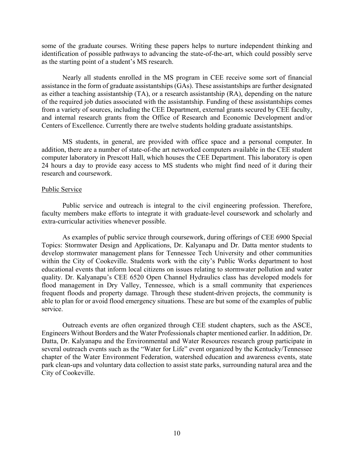some of the graduate courses. Writing these papers helps to nurture independent thinking and identification of possible pathways to advancing the state-of-the-art, which could possibly serve as the starting point of a student's MS research.

Nearly all students enrolled in the MS program in CEE receive some sort of financial assistance in the form of graduate assistantships (GAs). These assistantships are further designated as either a teaching assistantship (TA), or a research assistantship (RA), depending on the nature of the required job duties associated with the assistantship. Funding of these assistantships comes from a variety of sources, including the CEE Department, external grants secured by CEE faculty, and internal research grants from the Office of Research and Economic Development and/or Centers of Excellence. Currently there are twelve students holding graduate assistantships.

MS students, in general, are provided with office space and a personal computer. In addition, there are a number of state-of-the art networked computers available in the CEE student computer laboratory in Prescott Hall, which houses the CEE Department. This laboratory is open 24 hours a day to provide easy access to MS students who might find need of it during their research and coursework.

#### Public Service

Public service and outreach is integral to the civil engineering profession. Therefore, faculty members make efforts to integrate it with graduate-level coursework and scholarly and extra-curricular activities whenever possible.

As examples of public service through coursework, during offerings of CEE 6900 Special Topics: Stormwater Design and Applications, Dr. Kalyanapu and Dr. Datta mentor students to develop stormwater management plans for Tennessee Tech University and other communities within the City of Cookeville. Students work with the city's Public Works department to host educational events that inform local citizens on issues relating to stormwater pollution and water quality. Dr. Kalyanapu's CEE 6520 Open Channel Hydraulics class has developed models for flood management in Dry Valley, Tennessee, which is a small community that experiences frequent floods and property damage. Through these student-driven projects, the community is able to plan for or avoid flood emergency situations. These are but some of the examples of public service.

Outreach events are often organized through CEE student chapters, such as the ASCE, Engineers Without Borders and the Water Professionals chapter mentioned earlier. In addition, Dr. Datta, Dr. Kalyanapu and the Environmental and Water Resources research group participate in several outreach events such as the "Water for Life" event organized by the Kentucky/Tennessee chapter of the Water Environment Federation, watershed education and awareness events, state park clean-ups and voluntary data collection to assist state parks, surrounding natural area and the City of Cookeville.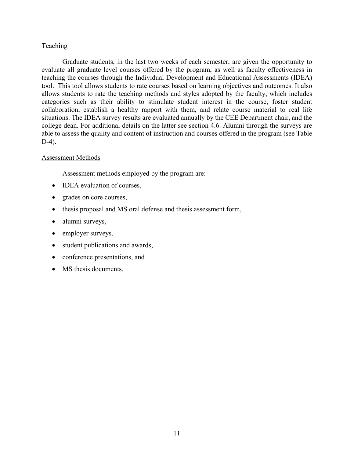# **Teaching**

Graduate students, in the last two weeks of each semester, are given the opportunity to evaluate all graduate level courses offered by the program, as well as faculty effectiveness in teaching the courses through the Individual Development and Educational Assessments (IDEA) tool. This tool allows students to rate courses based on learning objectives and outcomes. It also allows students to rate the teaching methods and styles adopted by the faculty, which includes categories such as their ability to stimulate student interest in the course, foster student collaboration, establish a healthy rapport with them, and relate course material to real life situations. The IDEA survey results are evaluated annually by the CEE Department chair, and the college dean. For additional details on the latter see section 4.6. Alumni through the surveys are able to assess the quality and content of instruction and courses offered in the program (see Table D-4).

# Assessment Methods

Assessment methods employed by the program are:

- IDEA evaluation of courses,
- grades on core courses,
- thesis proposal and MS oral defense and thesis assessment form,
- alumni surveys,
- employer surveys,
- student publications and awards,
- conference presentations, and
- MS thesis documents.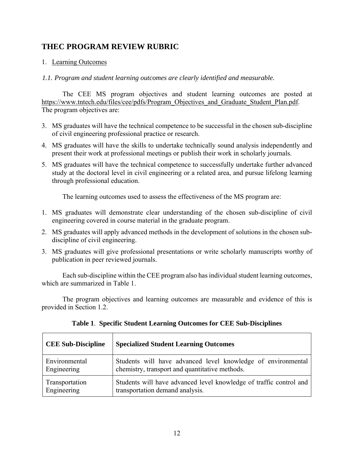# **THEC PROGRAM REVIEW RUBRIC**

# 1. Learning Outcomes

*1.1. Program and student learning outcomes are clearly identified and measurable.* 

The CEE MS program objectives and student learning outcomes are posted at https://www.tntech.edu/files/cee/pdfs/Program\_Objectives\_and\_Graduate\_Student\_Plan.pdf. The program objectives are:

- 3. MS graduates will have the technical competence to be successful in the chosen sub-discipline of civil engineering professional practice or research.
- 4. MS graduates will have the skills to undertake technically sound analysis independently and present their work at professional meetings or publish their work in scholarly journals.
- 5. MS graduates will have the technical competence to successfully undertake further advanced study at the doctoral level in civil engineering or a related area, and pursue lifelong learning through professional education.

The learning outcomes used to assess the effectiveness of the MS program are:

- 1. MS graduates will demonstrate clear understanding of the chosen sub-discipline of civil engineering covered in course material in the graduate program.
- 2. MS graduates will apply advanced methods in the development of solutions in the chosen subdiscipline of civil engineering.
- 3. MS graduates will give professional presentations or write scholarly manuscripts worthy of publication in peer reviewed journals.

Each sub-discipline within the CEE program also has individual student learning outcomes, which are summarized in Table 1.

The program objectives and learning outcomes are measurable and evidence of this is provided in Section 1.2.

| <b>CEE Sub-Discipline</b> | <b>Specialized Student Learning Outcomes</b>                       |
|---------------------------|--------------------------------------------------------------------|
| Environmental             | Students will have advanced level knowledge of environmental       |
| Engineering               | chemistry, transport and quantitative methods.                     |
| Transportation            | Students will have advanced level knowledge of traffic control and |
| Engineering               | transportation demand analysis.                                    |

|  |  |  |  | Table 1. Specific Student Learning Outcomes for CEE Sub-Disciplines |
|--|--|--|--|---------------------------------------------------------------------|
|--|--|--|--|---------------------------------------------------------------------|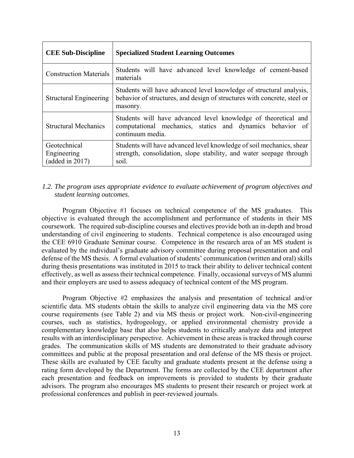| <b>CEE Sub-Discipline</b>                      | <b>Specialized Student Learning Outcomes</b>                                                                                                                |
|------------------------------------------------|-------------------------------------------------------------------------------------------------------------------------------------------------------------|
| <b>Construction Materials</b>                  | Students will have advanced level knowledge of cement-based<br>materials                                                                                    |
| Structural Engineering                         | Students will have advanced level knowledge of structural analysis,<br>behavior of structures, and design of structures with concrete, steel or<br>masonry. |
| <b>Structural Mechanics</b>                    | Students will have advanced level knowledge of theoretical and<br>computational mechanics, statics and dynamics behavior of<br>continuum media.             |
| Geotechnical<br>Engineering<br>(added in 2017) | Students will have advanced level knowledge of soil mechanics, shear<br>strength, consolidation, slope stability, and water seepage through<br>soil.        |

# *1.2. The program uses appropriate evidence to evaluate achievement of program objectives and student learning outcomes.*

Program Objective #1 focuses on technical competence of the MS graduates. This objective is evaluated through the accomplishment and performance of students in their MS coursework. The required sub-discipline courses and electives provide both an in-depth and broad understanding of civil engineering to students. Technical competence is also encouraged using the CEE 6910 Graduate Seminar course. Competence in the research area of an MS student is evaluated by the individual's graduate advisory committee during proposal presentation and oral defense of the MS thesis. A formal evaluation of students' communication (written and oral) skills during thesis presentations was instituted in 2015 to track their ability to deliver technical content effectively, as well as assess their technical competence. Finally, occasional surveys of MS alumni and their employers are used to assess adequacy of technical content of the MS program.

Program Objective #2 emphasizes the analysis and presentation of technical and/or scientific data. MS students obtain the skills to analyze civil engineering data via the MS core course requirements (see Table 2) and via MS thesis or project work. Non-civil-engineering courses, such as statistics, hydrogeology, or applied environmental chemistry provide a complementary knowledge base that also helps students to critically analyze data and interpret results with an interdisciplinary perspective. Achievement in these areas is tracked through course grades. The communication skills of MS students are demonstrated to their graduate advisory committees and public at the proposal presentation and oral defense of the MS thesis or project. These skills are evaluated by CEE faculty and graduate students present at the defense using a rating form developed by the Department. The forms are collected by the CEE department after each presentation and feedback on improvements is provided to students by their graduate advisors. The program also encourages MS students to present their research or project work at professional conferences and publish in peer-reviewed journals.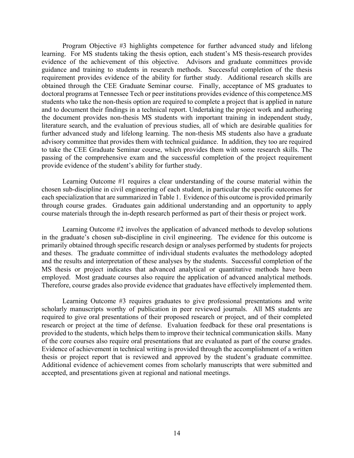Program Objective #3 highlights competence for further advanced study and lifelong learning. For MS students taking the thesis option, each student's MS thesis-research provides evidence of the achievement of this objective. Advisors and graduate committees provide guidance and training to students in research methods. Successful completion of the thesis requirement provides evidence of the ability for further study. Additional research skills are obtained through the CEE Graduate Seminar course. Finally, acceptance of MS graduates to doctoral programs at Tennessee Tech or peer institutions provides evidence of this competence.MS students who take the non-thesis option are required to complete a project that is applied in nature and to document their findings in a technical report. Undertaking the project work and authoring the document provides non-thesis MS students with important training in independent study, literature search, and the evaluation of previous studies, all of which are desirable qualities for further advanced study and lifelong learning. The non-thesis MS students also have a graduate advisory committee that provides them with technical guidance. In addition, they too are required to take the CEE Graduate Seminar course, which provides them with some research skills. The passing of the comprehensive exam and the successful completion of the project requirement provide evidence of the student's ability for further study.

Learning Outcome #1 requires a clear understanding of the course material within the chosen sub-discipline in civil engineering of each student, in particular the specific outcomes for each specialization that are summarized in Table 1. Evidence of this outcome is provided primarily through course grades. Graduates gain additional understanding and an opportunity to apply course materials through the in-depth research performed as part of their thesis or project work.

Learning Outcome #2 involves the application of advanced methods to develop solutions in the graduate's chosen sub-discipline in civil engineering. The evidence for this outcome is primarily obtained through specific research design or analyses performed by students for projects and theses. The graduate committee of individual students evaluates the methodology adopted and the results and interpretation of these analyses by the students. Successful completion of the MS thesis or project indicates that advanced analytical or quantitative methods have been employed. Most graduate courses also require the application of advanced analytical methods. Therefore, course grades also provide evidence that graduates have effectively implemented them.

Learning Outcome #3 requires graduates to give professional presentations and write scholarly manuscripts worthy of publication in peer reviewed journals. All MS students are required to give oral presentations of their proposed research or project, and of their completed research or project at the time of defense. Evaluation feedback for these oral presentations is provided to the students, which helps them to improve their technical communication skills. Many of the core courses also require oral presentations that are evaluated as part of the course grades. Evidence of achievement in technical writing is provided through the accomplishment of a written thesis or project report that is reviewed and approved by the student's graduate committee. Additional evidence of achievement comes from scholarly manuscripts that were submitted and accepted, and presentations given at regional and national meetings.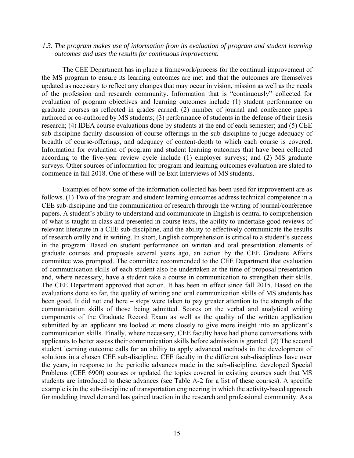#### *1.3. The program makes use of information from its evaluation of program and student learning outcomes and uses the results for continuous improvement.*

The CEE Department has in place a framework/process for the continual improvement of the MS program to ensure its learning outcomes are met and that the outcomes are themselves updated as necessary to reflect any changes that may occur in vision, mission as well as the needs of the profession and research community. Information that is "continuously" collected for evaluation of program objectives and learning outcomes include (1) student performance on graduate courses as reflected in grades earned; (2) number of journal and conference papers authored or co-authored by MS students; (3) performance of students in the defense of their thesis research; (4) IDEA course evaluations done by students at the end of each semester; and (5) CEE sub-discipline faculty discussion of course offerings in the sub-discipline to judge adequacy of breadth of course-offerings, and adequacy of content-depth to which each course is covered. Information for evaluation of program and student learning outcomes that have been collected according to the five-year review cycle include (1) employer surveys; and (2) MS graduate surveys. Other sources of information for program and learning outcomes evaluation are slated to commence in fall 2018. One of these will be Exit Interviews of MS students.

Examples of how some of the information collected has been used for improvement are as follows. (1) Two of the program and student learning outcomes address technical competence in a CEE sub-discipline and the communication of research through the writing of journal/conference papers. A student's ability to understand and communicate in English is central to comprehension of what is taught in class and presented in course texts, the ability to undertake good reviews of relevant literature in a CEE sub-discipline, and the ability to effectively communicate the results of research orally and in writing. In short, English comprehension is critical to a student's success in the program. Based on student performance on written and oral presentation elements of graduate courses and proposals several years ago, an action by the CEE Graduate Affairs committee was prompted. The committee recommended to the CEE Department that evaluation of communication skills of each student also be undertaken at the time of proposal presentation and, where necessary, have a student take a course in communication to strengthen their skills. The CEE Department approved that action. It has been in effect since fall 2015. Based on the evaluations done so far, the quality of writing and oral communication skills of MS students has been good. It did not end here – steps were taken to pay greater attention to the strength of the communication skills of those being admitted. Scores on the verbal and analytical writing components of the Graduate Record Exam as well as the quality of the written application submitted by an applicant are looked at more closely to give more insight into an applicant's communication skills. Finally, where necessary, CEE faculty have had phone conversations with applicants to better assess their communication skills before admission is granted. (2) The second student learning outcome calls for an ability to apply advanced methods in the development of solutions in a chosen CEE sub-discipline. CEE faculty in the different sub-disciplines have over the years, in response to the periodic advances made in the sub-discipline, developed Special Problems (CEE 6900) courses or updated the topics covered in existing courses such that MS students are introduced to these advances (see Table A-2 for a list of these courses). A specific example is in the sub-discipline of transportation engineering in which the activity-based approach for modeling travel demand has gained traction in the research and professional community. As a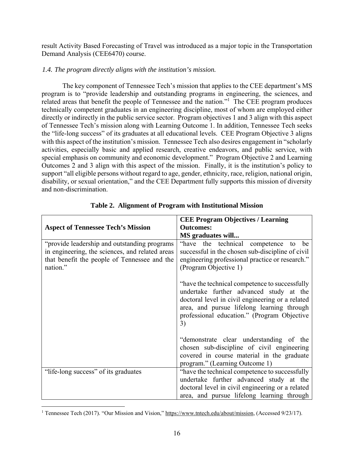result Activity Based Forecasting of Travel was introduced as a major topic in the Transportation Demand Analysis (CEE6470) course.

# *1.4. The program directly aligns with the institution's mission.*

The key component of Tennessee Tech's mission that applies to the CEE department's MS program is to "provide leadership and outstanding programs in engineering, the sciences, and related areas that benefit the people of Tennessee and the nation."<sup>1</sup> The CEE program produces technically competent graduates in an engineering discipline, most of whom are employed either directly or indirectly in the public service sector. Program objectives 1 and 3 align with this aspect of Tennessee Tech's mission along with Learning Outcome 1. In addition, Tennessee Tech seeks the "life-long success" of its graduates at all educational levels. CEE Program Objective 3 aligns with this aspect of the institution's mission. Tennessee Tech also desires engagement in "scholarly activities, especially basic and applied research, creative endeavors, and public service, with special emphasis on community and economic development." Program Objective 2 and Learning Outcomes 2 and 3 align with this aspect of the mission. Finally, it is the institution's policy to support "all eligible persons without regard to age, gender, ethnicity, race, religion, national origin, disability, or sexual orientation," and the CEE Department fully supports this mission of diversity and non-discrimination.

|                                                                                                                                                              | <b>CEE Program Objectives / Learning</b>                                                                                                                                                                                                         |
|--------------------------------------------------------------------------------------------------------------------------------------------------------------|--------------------------------------------------------------------------------------------------------------------------------------------------------------------------------------------------------------------------------------------------|
| <b>Aspect of Tennessee Tech's Mission</b>                                                                                                                    | <b>Outcomes:</b>                                                                                                                                                                                                                                 |
|                                                                                                                                                              | MS graduates will                                                                                                                                                                                                                                |
| "provide leadership and outstanding programs"<br>in engineering, the sciences, and related areas<br>that benefit the people of Tennessee and the<br>nation." | "have the technical competence<br>be<br>to<br>successful in the chosen sub-discipline of civil<br>engineering professional practice or research."<br>(Program Objective 1)                                                                       |
|                                                                                                                                                              | "have the technical competence to successfully<br>undertake further advanced study at the<br>doctoral level in civil engineering or a related<br>area, and pursue lifelong learning through<br>professional education." (Program Objective<br>3) |
|                                                                                                                                                              | "demonstrate clear understanding of the<br>chosen sub-discipline of civil engineering<br>covered in course material in the graduate<br>program." (Learning Outcome 1)                                                                            |
| "life-long success" of its graduates                                                                                                                         | "have the technical competence to successfully                                                                                                                                                                                                   |
|                                                                                                                                                              | undertake further advanced study at the                                                                                                                                                                                                          |
|                                                                                                                                                              | doctoral level in civil engineering or a related                                                                                                                                                                                                 |
|                                                                                                                                                              | area, and pursue lifelong learning through                                                                                                                                                                                                       |

|  |  | Table 2. Alignment of Program with Institutional Mission |
|--|--|----------------------------------------------------------|
|  |  |                                                          |

 $\overline{a}$ <sup>1</sup> Tennessee Tech (2017). "Our Mission and Vision," https://www.tntech.edu/about/mission, (Accessed 9/23/17).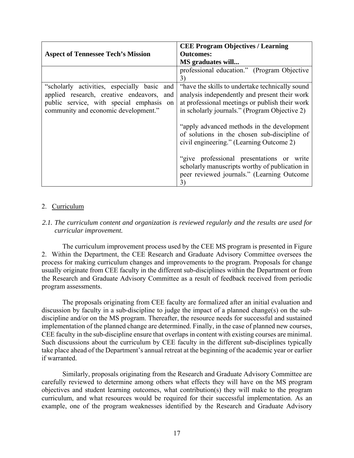|                                                                                                                                                                                    | <b>CEE Program Objectives / Learning</b>                                                                                                                                                                                                                                                                                                                                                                                                                                                          |
|------------------------------------------------------------------------------------------------------------------------------------------------------------------------------------|---------------------------------------------------------------------------------------------------------------------------------------------------------------------------------------------------------------------------------------------------------------------------------------------------------------------------------------------------------------------------------------------------------------------------------------------------------------------------------------------------|
| <b>Aspect of Tennessee Tech's Mission</b>                                                                                                                                          | <b>Outcomes:</b>                                                                                                                                                                                                                                                                                                                                                                                                                                                                                  |
|                                                                                                                                                                                    | MS graduates will                                                                                                                                                                                                                                                                                                                                                                                                                                                                                 |
|                                                                                                                                                                                    | professional education." (Program Objective<br>3)                                                                                                                                                                                                                                                                                                                                                                                                                                                 |
| "scholarly activities, especially basic<br>and<br>applied research, creative endeavors,<br>and<br>public service, with special emphasis on<br>community and economic development." | "have the skills to undertake technically sound<br>analysis independently and present their work<br>at professional meetings or publish their work<br>in scholarly journals." (Program Objective 2)<br>"apply advanced methods in the development"<br>of solutions in the chosen sub-discipline of<br>civil engineering." (Learning Outcome 2)<br>"give professional presentations or write<br>scholarly manuscripts worthy of publication in<br>peer reviewed journals." (Learning Outcome<br>3) |

# 2. Curriculum

# *2.1. The curriculum content and organization is reviewed regularly and the results are used for curricular improvement.*

The curriculum improvement process used by the CEE MS program is presented in Figure 2. Within the Department, the CEE Research and Graduate Advisory Committee oversees the process for making curriculum changes and improvements to the program. Proposals for change usually originate from CEE faculty in the different sub-disciplines within the Department or from the Research and Graduate Advisory Committee as a result of feedback received from periodic program assessments.

The proposals originating from CEE faculty are formalized after an initial evaluation and discussion by faculty in a sub-discipline to judge the impact of a planned change(s) on the subdiscipline and/or on the MS program. Thereafter, the resource needs for successful and sustained implementation of the planned change are determined. Finally, in the case of planned new courses, CEE faculty in the sub-discipline ensure that overlaps in content with existing courses are minimal. Such discussions about the curriculum by CEE faculty in the different sub-disciplines typically take place ahead of the Department's annual retreat at the beginning of the academic year or earlier if warranted.

Similarly, proposals originating from the Research and Graduate Advisory Committee are carefully reviewed to determine among others what effects they will have on the MS program objectives and student learning outcomes, what contribution(s) they will make to the program curriculum, and what resources would be required for their successful implementation. As an example, one of the program weaknesses identified by the Research and Graduate Advisory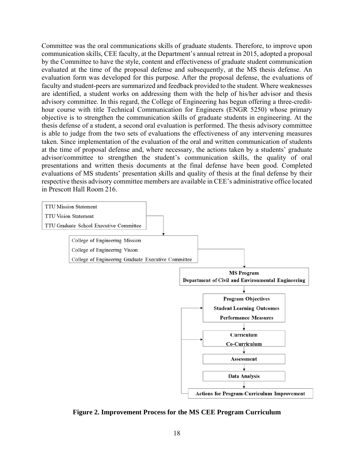Committee was the oral communications skills of graduate students. Therefore, to improve upon communication skills, CEE faculty, at the Department's annual retreat in 2015, adopted a proposal by the Committee to have the style, content and effectiveness of graduate student communication evaluated at the time of the proposal defense and subsequently, at the MS thesis defense. An evaluation form was developed for this purpose. After the proposal defense, the evaluations of faculty and student-peers are summarized and feedback provided to the student. Where weaknesses are identified, a student works on addressing them with the help of his/her advisor and thesis advisory committee. In this regard, the College of Engineering has begun offering a three-credithour course with title Technical Communication for Engineers (ENGR 5250) whose primary objective is to strengthen the communication skills of graduate students in engineering. At the thesis defense of a student, a second oral evaluation is performed. The thesis advisory committee is able to judge from the two sets of evaluations the effectiveness of any intervening measures taken. Since implementation of the evaluation of the oral and written communication of students at the time of proposal defense and, where necessary, the actions taken by a students' graduate advisor/committee to strengthen the student's communication skills, the quality of oral presentations and written thesis documents at the final defense have been good. Completed evaluations of MS students' presentation skills and quality of thesis at the final defense by their respective thesis advisory committee members are available in CEE's administrative office located in Prescott Hall Room 216.



**Figure 2. Improvement Process for the MS CEE Program Curriculum**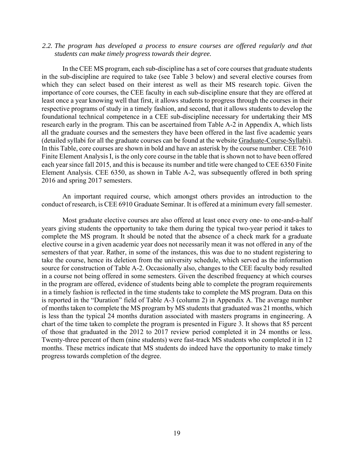#### *2.2. The program has developed a process to ensure courses are offered regularly and that students can make timely progress towards their degree.*

In the CEE MS program, each sub-discipline has a set of core courses that graduate students in the sub-discipline are required to take (see Table 3 below) and several elective courses from which they can select based on their interest as well as their MS research topic. Given the importance of core courses, the CEE faculty in each sub-discipline ensure that they are offered at least once a year knowing well that first, it allows students to progress through the courses in their respective programs of study in a timely fashion, and second, that it allows students to develop the foundational technical competence in a CEE sub-discipline necessary for undertaking their MS research early in the program. This can be ascertained from Table A-2 in Appendix A, which lists all the graduate courses and the semesters they have been offered in the last five academic years (detailed syllabi for all the graduate courses can be found at the website Graduate-Course-Syllabi). In this Table, core courses are shown in bold and have an asterisk by the course number. CEE 7610 Finite Element Analysis I, is the only core course in the table that is shown not to have been offered each year since fall 2015, and this is because its number and title were changed to CEE 6350 Finite Element Analysis. CEE 6350, as shown in Table A-2, was subsequently offered in both spring 2016 and spring 2017 semesters.

An important required course, which amongst others provides an introduction to the conduct of research, is CEE 6910 Graduate Seminar. It is offered at a minimum every fall semester.

Most graduate elective courses are also offered at least once every one- to one-and-a-half years giving students the opportunity to take them during the typical two-year period it takes to complete the MS program. It should be noted that the absence of a check mark for a graduate elective course in a given academic year does not necessarily mean it was not offered in any of the semesters of that year. Rather, in some of the instances, this was due to no student registering to take the course, hence its deletion from the university schedule, which served as the information source for construction of Table A-2. Occasionally also, changes to the CEE faculty body resulted in a course not being offered in some semesters. Given the described frequency at which courses in the program are offered, evidence of students being able to complete the program requirements in a timely fashion is reflected in the time students take to complete the MS program. Data on this is reported in the "Duration" field of Table A-3 (column 2) in Appendix A. The average number of months taken to complete the MS program by MS students that graduated was 21 months, which is less than the typical 24 months duration associated with masters programs in engineering. A chart of the time taken to complete the program is presented in Figure 3. It shows that 85 percent of those that graduated in the 2012 to 2017 review period completed it in 24 months or less. Twenty-three percent of them (nine students) were fast-track MS students who completed it in 12 months. These metrics indicate that MS students do indeed have the opportunity to make timely progress towards completion of the degree.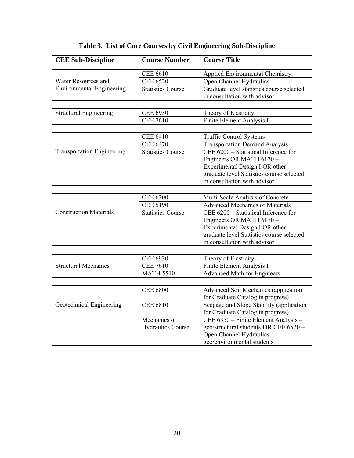| <b>CEE Sub-Discipline</b>         | <b>Course Number</b>     | <b>Course Title</b>                       |
|-----------------------------------|--------------------------|-------------------------------------------|
|                                   | <b>CEE 6610</b>          | <b>Applied Environmental Chemistry</b>    |
| Water Resources and               | <b>CEE 6520</b>          | Open Channel Hydraulics                   |
| <b>Environmental Engineering</b>  | <b>Statistics Course</b> | Graduate level statistics course selected |
|                                   |                          | in consultation with advisor              |
|                                   |                          |                                           |
| <b>Structural Engineering</b>     | <b>CEE 6930</b>          | Theory of Elasticity                      |
|                                   | <b>CEE 7610</b>          | Finite Element Analysis I                 |
|                                   |                          |                                           |
|                                   | <b>CEE 6410</b>          | <b>Traffic Control Systems</b>            |
|                                   | <b>CEE 6470</b>          | <b>Transportation Demand Analysis</b>     |
| <b>Transportation Engineering</b> | <b>Statistics Course</b> | CEE 6200 - Statistical Inference for      |
|                                   |                          | Engineers OR MATH 6170 -                  |
|                                   |                          | Experimental Design I OR other            |
|                                   |                          | graduate level Statistics course selected |
|                                   |                          | in consultation with advisor              |
|                                   |                          |                                           |
|                                   | <b>CEE 6300</b>          | Multi-Scale Analysis of Concrete          |
|                                   | <b>CEE 5190</b>          | <b>Advanced Mechanics of Materials</b>    |
| <b>Construction Materials</b>     | <b>Statistics Course</b> | CEE 6200 - Statistical Inference for      |
|                                   |                          | Engineers OR MATH 6170 -                  |
|                                   |                          | Experimental Design I OR other            |
|                                   |                          | graduate level Statistics course selected |
|                                   |                          | in consultation with advisor              |
|                                   |                          |                                           |
|                                   | <b>CEE 6930</b>          | Theory of Elasticity                      |
| <b>Structural Mechanics</b>       | <b>CEE 7610</b>          | Finite Element Analysis I                 |
|                                   | <b>MATH 5510</b>         | <b>Advanced Math for Engineers</b>        |
|                                   |                          |                                           |
|                                   | <b>CEE 6800</b>          | Advanced Soil Mechanics (application      |
|                                   |                          | for Graduate Catalog in progress)         |
| Geotechnical Engineering          | <b>CEE 6810</b>          | Seepage and Slope Stability (application  |
|                                   |                          | for Graduate Catalog in progress)         |
|                                   | Mechanics or             | CEE 6350 - Finite Element Analysis -      |
|                                   | <b>Hydraulics Course</b> | geo/structural students OR CEE 6520 -     |
|                                   |                          | Open Channel Hydraulics -                 |
|                                   |                          | geo/environmental students                |

# **Table 3. List of Core Courses by Civil Engineering Sub-Discipline**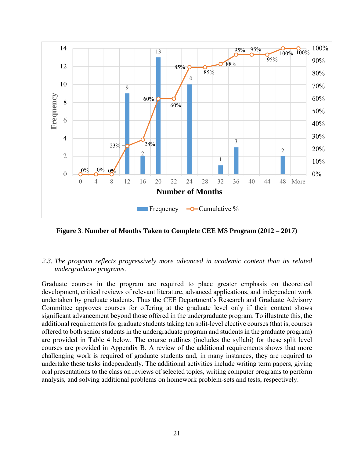

**Figure 3**. **Number of Months Taken to Complete CEE MS Program (2012 – 2017)**

# *2.3. The program reflects progressively more advanced in academic content than its related undergraduate programs.*

Graduate courses in the program are required to place greater emphasis on theoretical development, critical reviews of relevant literature, advanced applications, and independent work undertaken by graduate students. Thus the CEE Department's Research and Graduate Advisory Committee approves courses for offering at the graduate level only if their content shows significant advancement beyond those offered in the undergraduate program. To illustrate this, the additional requirements for graduate students taking ten split-level elective courses (that is, courses offered to both senior students in the undergraduate program and students in the graduate program) are provided in Table 4 below. The course outlines (includes the syllabi) for these split level courses are provided in Appendix B. A review of the additional requirements shows that more challenging work is required of graduate students and, in many instances, they are required to undertake these tasks independently. The additional activities include writing term papers, giving oral presentations to the class on reviews of selected topics, writing computer programs to perform analysis, and solving additional problems on homework problem-sets and tests, respectively.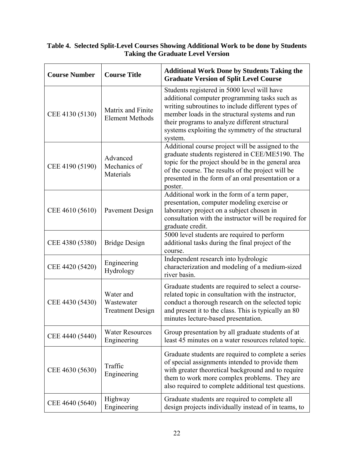# **Table 4. Selected Split-Level Courses Showing Additional Work to be done by Students Taking the Graduate Level Version**

| <b>Course Number</b> | <b>Course Title</b>                                | <b>Additional Work Done by Students Taking the</b><br><b>Graduate Version of Split Level Course</b>                                                                                                                                                                                                                   |
|----------------------|----------------------------------------------------|-----------------------------------------------------------------------------------------------------------------------------------------------------------------------------------------------------------------------------------------------------------------------------------------------------------------------|
| CEE 4130 (5130)      | Matrix and Finite<br><b>Element Methods</b>        | Students registered in 5000 level will have<br>additional computer programming tasks such as<br>writing subroutines to include different types of<br>member loads in the structural systems and run<br>their programs to analyze different structural<br>systems exploiting the symmetry of the structural<br>system. |
| CEE 4190 (5190)      | Advanced<br>Mechanics of<br>Materials              | Additional course project will be assigned to the<br>graduate students registered in CEE/ME5190. The<br>topic for the project should be in the general area<br>of the course. The results of the project will be<br>presented in the form of an oral presentation or a<br>poster.                                     |
| CEE 4610 (5610)      | Pavement Design                                    | Additional work in the form of a term paper,<br>presentation, computer modeling exercise or<br>laboratory project on a subject chosen in<br>consultation with the instructor will be required for<br>graduate credit.                                                                                                 |
| CEE 4380 (5380)      | <b>Bridge Design</b>                               | 5000 level students are required to perform<br>additional tasks during the final project of the<br>course.                                                                                                                                                                                                            |
| CEE 4420 (5420)      | Engineering<br>Hydrology                           | Independent research into hydrologic<br>characterization and modeling of a medium-sized<br>river basin.                                                                                                                                                                                                               |
| CEE 4430 (5430)      | Water and<br>Wastewater<br><b>Treatment Design</b> | Graduate students are required to select a course-<br>related topic in consultation with the instructor,<br>conduct a thorough research on the selected topic<br>and present it to the class. This is typically an 80<br>minutes lecture-based presentation.                                                          |
| CEE 4440 (5440)      | <b>Water Resources</b><br>Engineering              | Group presentation by all graduate students of at<br>least 45 minutes on a water resources related topic.                                                                                                                                                                                                             |
| CEE 4630 (5630)      | Traffic<br>Engineering                             | Graduate students are required to complete a series<br>of special assignments intended to provide them<br>with greater theoretical background and to require<br>them to work more complex problems. They are<br>also required to complete additional test questions.                                                  |
| CEE 4640 (5640)      | Highway<br>Engineering                             | Graduate students are required to complete all<br>design projects individually instead of in teams, to                                                                                                                                                                                                                |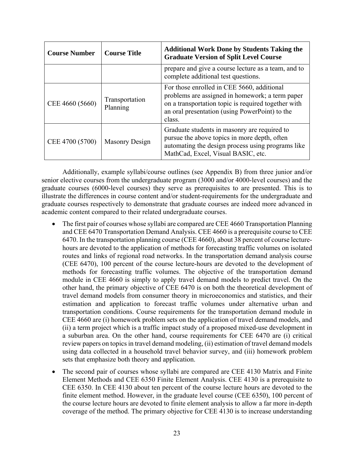| <b>Course Number</b> | <b>Course Title</b>        | <b>Additional Work Done by Students Taking the</b><br><b>Graduate Version of Split Level Course</b>                                                                                                              |
|----------------------|----------------------------|------------------------------------------------------------------------------------------------------------------------------------------------------------------------------------------------------------------|
|                      |                            | prepare and give a course lecture as a team, and to<br>complete additional test questions.                                                                                                                       |
| CEE 4660 (5660)      | Transportation<br>Planning | For those enrolled in CEE 5660, additional<br>problems are assigned in homework; a term paper<br>on a transportation topic is required together with<br>an oral presentation (using PowerPoint) to the<br>class. |
| CEE 4700 (5700)      | <b>Masonry Design</b>      | Graduate students in masonry are required to<br>pursue the above topics in more depth, often<br>automating the design process using programs like<br>MathCad, Excel, Visual BASIC, etc.                          |

Additionally, example syllabi/course outlines (see Appendix B) from three junior and/or senior elective courses from the undergraduate program (3000 and/or 4000-level courses) and the graduate courses (6000-level courses) they serve as prerequisites to are presented. This is to illustrate the differences in course content and/or student-requirements for the undergraduate and graduate courses respectively to demonstrate that graduate courses are indeed more advanced in academic content compared to their related undergraduate courses.

- The first pair of courses whose syllabi are compared are CEE 4660 Transportation Planning and CEE 6470 Transportation Demand Analysis. CEE 4660 is a prerequisite course to CEE 6470. In the transportation planning course (CEE 4660), about 38 percent of course lecturehours are devoted to the application of methods for forecasting traffic volumes on isolated routes and links of regional road networks. In the transportation demand analysis course (CEE 6470), 100 percent of the course lecture-hours are devoted to the development of methods for forecasting traffic volumes. The objective of the transportation demand module in CEE 4660 is simply to apply travel demand models to predict travel. On the other hand, the primary objective of CEE 6470 is on both the theoretical development of travel demand models from consumer theory in microeconomics and statistics, and their estimation and application to forecast traffic volumes under alternative urban and transportation conditions. Course requirements for the transportation demand module in CEE 4660 are (i) homework problem sets on the application of travel demand models, and (ii) a term project which is a traffic impact study of a proposed mixed-use development in a suburban area. On the other hand, course requirements for CEE 6470 are (i) critical review papers on topics in travel demand modeling, (ii) estimation of travel demand models using data collected in a household travel behavior survey, and (iii) homework problem sets that emphasize both theory and application.
- The second pair of courses whose syllabi are compared are CEE 4130 Matrix and Finite Element Methods and CEE 6350 Finite Element Analysis. CEE 4130 is a prerequisite to CEE 6350. In CEE 4130 about ten percent of the course lecture hours are devoted to the finite element method. However, in the graduate level course (CEE 6350), 100 percent of the course lecture hours are devoted to finite element analysis to allow a far more in-depth coverage of the method. The primary objective for CEE 4130 is to increase understanding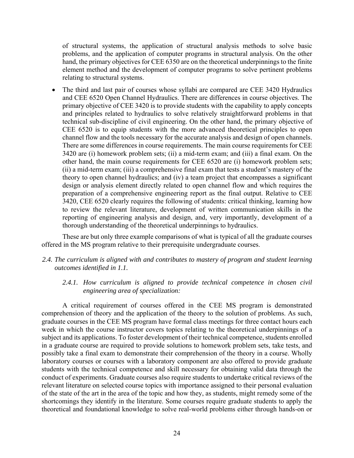of structural systems, the application of structural analysis methods to solve basic problems, and the application of computer programs in structural analysis. On the other hand, the primary objectives for CEE 6350 are on the theoretical underpinnings to the finite element method and the development of computer programs to solve pertinent problems relating to structural systems.

 The third and last pair of courses whose syllabi are compared are CEE 3420 Hydraulics and CEE 6520 Open Channel Hydraulics. There are differences in course objectives. The primary objective of CEE 3420 is to provide students with the capability to apply concepts and principles related to hydraulics to solve relatively straightforward problems in that technical sub-discipline of civil engineering. On the other hand, the primary objective of CEE 6520 is to equip students with the more advanced theoretical principles to open channel flow and the tools necessary for the accurate analysis and design of open channels. There are some differences in course requirements. The main course requirements for CEE 3420 are (i) homework problem sets; (ii) a mid-term exam; and (iii) a final exam. On the other hand, the main course requirements for CEE 6520 are (i) homework problem sets; (ii) a mid-term exam; (iii) a comprehensive final exam that tests a student's mastery of the theory to open channel hydraulics; and (iv) a team project that encompasses a significant design or analysis element directly related to open channel flow and which requires the preparation of a comprehensive engineering report as the final output. Relative to CEE 3420, CEE 6520 clearly requires the following of students: critical thinking, learning how to review the relevant literature, development of written communication skills in the reporting of engineering analysis and design, and, very importantly, development of a thorough understanding of the theoretical underpinnings to hydraulics.

These are but only three example comparisons of what is typical of all the graduate courses offered in the MS program relative to their prerequisite undergraduate courses.

### *2.4. The curriculum is aligned with and contributes to mastery of program and student learning outcomes identified in 1.1.*

### *2.4.1. How curriculum is aligned to provide technical competence in chosen civil engineering area of specialization:*

A critical requirement of courses offered in the CEE MS program is demonstrated comprehension of theory and the application of the theory to the solution of problems. As such, graduate courses in the CEE MS program have formal class meetings for three contact hours each week in which the course instructor covers topics relating to the theoretical underpinnings of a subject and its applications. To foster development of their technical competence, students enrolled in a graduate course are required to provide solutions to homework problem sets, take tests, and possibly take a final exam to demonstrate their comprehension of the theory in a course. Wholly laboratory courses or courses with a laboratory component are also offered to provide graduate students with the technical competence and skill necessary for obtaining valid data through the conduct of experiments. Graduate courses also require students to undertake critical reviews of the relevant literature on selected course topics with importance assigned to their personal evaluation of the state of the art in the area of the topic and how they, as students, might remedy some of the shortcomings they identify in the literature. Some courses require graduate students to apply the theoretical and foundational knowledge to solve real-world problems either through hands-on or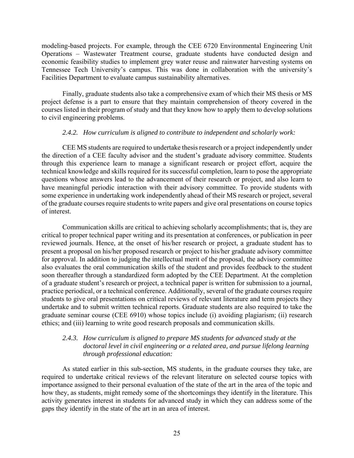modeling-based projects. For example, through the CEE 6720 Environmental Engineering Unit Operations – Wastewater Treatment course, graduate students have conducted design and economic feasibility studies to implement grey water reuse and rainwater harvesting systems on Tennessee Tech University's campus. This was done in collaboration with the university's Facilities Department to evaluate campus sustainability alternatives.

Finally, graduate students also take a comprehensive exam of which their MS thesis or MS project defense is a part to ensure that they maintain comprehension of theory covered in the courses listed in their program of study and that they know how to apply them to develop solutions to civil engineering problems.

### *2.4.2. How curriculum is aligned to contribute to independent and scholarly work:*

CEE MS students are required to undertake thesis research or a project independently under the direction of a CEE faculty advisor and the student's graduate advisory committee. Students through this experience learn to manage a significant research or project effort, acquire the technical knowledge and skills required for its successful completion, learn to pose the appropriate questions whose answers lead to the advancement of their research or project, and also learn to have meaningful periodic interaction with their advisory committee. To provide students with some experience in undertaking work independently ahead of their MS research or project, several of the graduate courses require students to write papers and give oral presentations on course topics of interest.

Communication skills are critical to achieving scholarly accomplishments; that is, they are critical to proper technical paper writing and its presentation at conferences, or publication in peer reviewed journals. Hence, at the onset of his/her research or project, a graduate student has to present a proposal on his/her proposed research or project to his/her graduate advisory committee for approval. In addition to judging the intellectual merit of the proposal, the advisory committee also evaluates the oral communication skills of the student and provides feedback to the student soon thereafter through a standardized form adopted by the CEE Department. At the completion of a graduate student's research or project, a technical paper is written for submission to a journal, practice periodical, or a technical conference. Additionally, several of the graduate courses require students to give oral presentations on critical reviews of relevant literature and term projects they undertake and to submit written technical reports. Graduate students are also required to take the graduate seminar course (CEE 6910) whose topics include (i) avoiding plagiarism; (ii) research ethics; and (iii) learning to write good research proposals and communication skills.

### *2.4.3. How curriculum is aligned to prepare MS students for advanced study at the doctoral level in civil engineering or a related area, and pursue lifelong learning through professional education:*

As stated earlier in this sub-section, MS students, in the graduate courses they take, are required to undertake critical reviews of the relevant literature on selected course topics with importance assigned to their personal evaluation of the state of the art in the area of the topic and how they, as students, might remedy some of the shortcomings they identify in the literature. This activity generates interest in students for advanced study in which they can address some of the gaps they identify in the state of the art in an area of interest.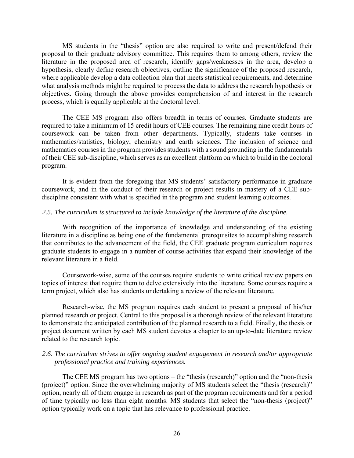MS students in the "thesis" option are also required to write and present/defend their proposal to their graduate advisory committee. This requires them to among others, review the literature in the proposed area of research, identify gaps/weaknesses in the area, develop a hypothesis, clearly define research objectives, outline the significance of the proposed research, where applicable develop a data collection plan that meets statistical requirements, and determine what analysis methods might be required to process the data to address the research hypothesis or objectives. Going through the above provides comprehension of and interest in the research process, which is equally applicable at the doctoral level.

The CEE MS program also offers breadth in terms of courses. Graduate students are required to take a minimum of 15 credit hours of CEE courses. The remaining nine credit hours of coursework can be taken from other departments. Typically, students take courses in mathematics/statistics, biology, chemistry and earth sciences. The inclusion of science and mathematics courses in the program provides students with a sound grounding in the fundamentals of their CEE sub-discipline, which serves as an excellent platform on which to build in the doctoral program.

It is evident from the foregoing that MS students' satisfactory performance in graduate coursework, and in the conduct of their research or project results in mastery of a CEE subdiscipline consistent with what is specified in the program and student learning outcomes.

#### *2.5. The curriculum is structured to include knowledge of the literature of the discipline.*

With recognition of the importance of knowledge and understanding of the existing literature in a discipline as being one of the fundamental prerequisites to accomplishing research that contributes to the advancement of the field, the CEE graduate program curriculum requires graduate students to engage in a number of course activities that expand their knowledge of the relevant literature in a field.

Coursework-wise, some of the courses require students to write critical review papers on topics of interest that require them to delve extensively into the literature. Some courses require a term project, which also has students undertaking a review of the relevant literature.

Research-wise, the MS program requires each student to present a proposal of his/her planned research or project. Central to this proposal is a thorough review of the relevant literature to demonstrate the anticipated contribution of the planned research to a field. Finally, the thesis or project document written by each MS student devotes a chapter to an up-to-date literature review related to the research topic.

### *2.6. The curriculum strives to offer ongoing student engagement in research and/or appropriate professional practice and training experiences.*

The CEE MS program has two options – the "thesis (research)" option and the "non-thesis (project)" option. Since the overwhelming majority of MS students select the "thesis (research)" option, nearly all of them engage in research as part of the program requirements and for a period of time typically no less than eight months. MS students that select the "non-thesis (project)" option typically work on a topic that has relevance to professional practice.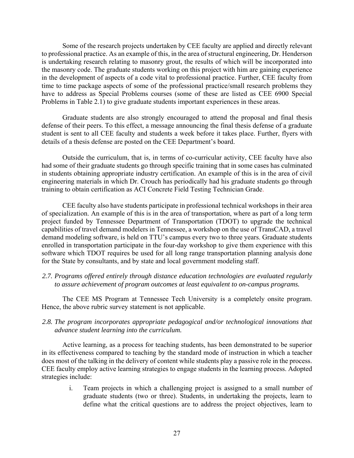Some of the research projects undertaken by CEE faculty are applied and directly relevant to professional practice. As an example of this, in the area of structural engineering, Dr. Henderson is undertaking research relating to masonry grout, the results of which will be incorporated into the masonry code. The graduate students working on this project with him are gaining experience in the development of aspects of a code vital to professional practice. Further, CEE faculty from time to time package aspects of some of the professional practice/small research problems they have to address as Special Problems courses (some of these are listed as CEE 6900 Special Problems in Table 2.1) to give graduate students important experiences in these areas.

Graduate students are also strongly encouraged to attend the proposal and final thesis defense of their peers. To this effect, a message announcing the final thesis defense of a graduate student is sent to all CEE faculty and students a week before it takes place. Further, flyers with details of a thesis defense are posted on the CEE Department's board.

Outside the curriculum, that is, in terms of co-curricular activity, CEE faculty have also had some of their graduate students go through specific training that in some cases has culminated in students obtaining appropriate industry certification. An example of this is in the area of civil engineering materials in which Dr. Crouch has periodically had his graduate students go through training to obtain certification as ACI Concrete Field Testing Technician Grade.

CEE faculty also have students participate in professional technical workshops in their area of specialization. An example of this is in the area of transportation, where as part of a long term project funded by Tennessee Department of Transportation (TDOT) to upgrade the technical capabilities of travel demand modelers in Tennessee, a workshop on the use of TransCAD, a travel demand modeling software, is held on TTU's campus every two to three years. Graduate students enrolled in transportation participate in the four-day workshop to give them experience with this software which TDOT requires be used for all long range transportation planning analysis done for the State by consultants, and by state and local government modeling staff.

# *2.7. Programs offered entirely through distance education technologies are evaluated regularly to assure achievement of program outcomes at least equivalent to on-campus programs.*

The CEE MS Program at Tennessee Tech University is a completely onsite program. Hence, the above rubric survey statement is not applicable.

# *2.8. The program incorporates appropriate pedagogical and/or technological innovations that advance student learning into the curriculum.*

Active learning, as a process for teaching students, has been demonstrated to be superior in its effectiveness compared to teaching by the standard mode of instruction in which a teacher does most of the talking in the delivery of content while students play a passive role in the process. CEE faculty employ active learning strategies to engage students in the learning process. Adopted strategies include:

i. Team projects in which a challenging project is assigned to a small number of graduate students (two or three). Students, in undertaking the projects, learn to define what the critical questions are to address the project objectives, learn to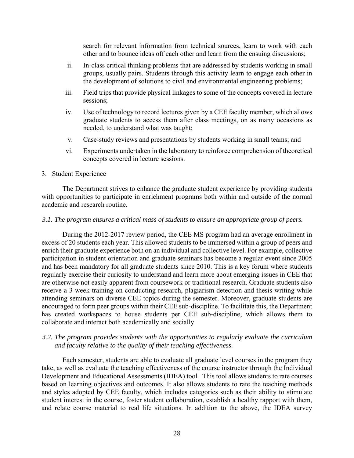search for relevant information from technical sources, learn to work with each other and to bounce ideas off each other and learn from the ensuing discussions;

- ii. In-class critical thinking problems that are addressed by students working in small groups, usually pairs. Students through this activity learn to engage each other in the development of solutions to civil and environmental engineering problems;
- iii. Field trips that provide physical linkages to some of the concepts covered in lecture sessions;
- iv. Use of technology to record lectures given by a CEE faculty member, which allows graduate students to access them after class meetings, on as many occasions as needed, to understand what was taught;
- v. Case-study reviews and presentations by students working in small teams; and
- vi. Experiments undertaken in the laboratory to reinforce comprehension of theoretical concepts covered in lecture sessions.

#### 3. Student Experience

The Department strives to enhance the graduate student experience by providing students with opportunities to participate in enrichment programs both within and outside of the normal academic and research routine.

#### *3.1. The program ensures a critical mass of students to ensure an appropriate group of peers.*

During the 2012-2017 review period, the CEE MS program had an average enrollment in excess of 20 students each year. This allowed students to be immersed within a group of peers and enrich their graduate experience both on an individual and collective level. For example, collective participation in student orientation and graduate seminars has become a regular event since 2005 and has been mandatory for all graduate students since 2010. This is a key forum where students regularly exercise their curiosity to understand and learn more about emerging issues in CEE that are otherwise not easily apparent from coursework or traditional research. Graduate students also receive a 3-week training on conducting research, plagiarism detection and thesis writing while attending seminars on diverse CEE topics during the semester. Moreover, graduate students are encouraged to form peer groups within their CEE sub-discipline. To facilitate this, the Department has created workspaces to house students per CEE sub-discipline, which allows them to collaborate and interact both academically and socially.

### *3.2. The program provides students with the opportunities to regularly evaluate the curriculum and faculty relative to the quality of their teaching effectiveness.*

Each semester, students are able to evaluate all graduate level courses in the program they take, as well as evaluate the teaching effectiveness of the course instructor through the Individual Development and Educational Assessments (IDEA) tool. This tool allows students to rate courses based on learning objectives and outcomes. It also allows students to rate the teaching methods and styles adopted by CEE faculty, which includes categories such as their ability to stimulate student interest in the course, foster student collaboration, establish a healthy rapport with them, and relate course material to real life situations. In addition to the above, the IDEA survey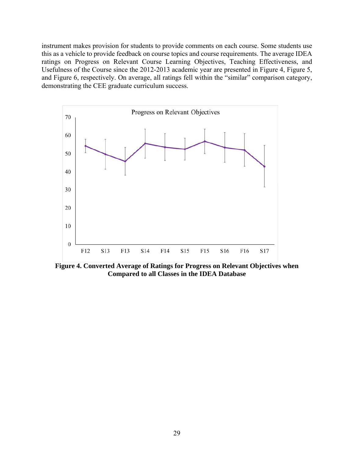instrument makes provision for students to provide comments on each course. Some students use this as a vehicle to provide feedback on course topics and course requirements. The average IDEA ratings on Progress on Relevant Course Learning Objectives, Teaching Effectiveness, and Usefulness of the Course since the 2012-2013 academic year are presented in Figure 4, Figure 5, and Figure 6, respectively. On average, all ratings fell within the "similar" comparison category, demonstrating the CEE graduate curriculum success.



**Figure 4. Converted Average of Ratings for Progress on Relevant Objectives when Compared to all Classes in the IDEA Database**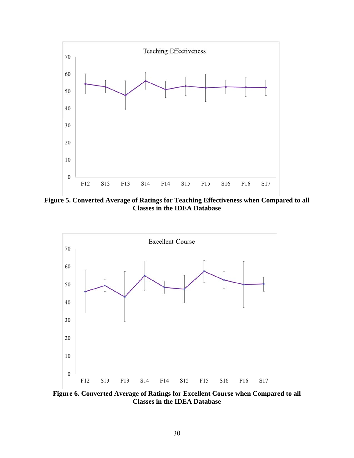

**Figure 5. Converted Average of Ratings for Teaching Effectiveness when Compared to all Classes in the IDEA Database** 



**Figure 6. Converted Average of Ratings for Excellent Course when Compared to all Classes in the IDEA Database**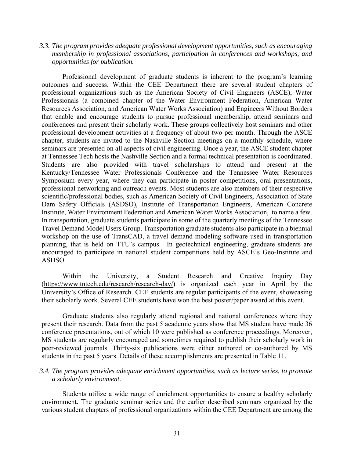### *3.3. The program provides adequate professional development opportunities, such as encouraging membership in professional associations, participation in conferences and workshops, and opportunities for publication.*

Professional development of graduate students is inherent to the program's learning outcomes and success. Within the CEE Department there are several student chapters of professional organizations such as the American Society of Civil Engineers (ASCE), Water Professionals (a combined chapter of the Water Environment Federation, American Water Resources Association, and American Water Works Association) and Engineers Without Borders that enable and encourage students to pursue professional membership, attend seminars and conferences and present their scholarly work. These groups collectively host seminars and other professional development activities at a frequency of about two per month. Through the ASCE chapter, students are invited to the Nashville Section meetings on a monthly schedule, where seminars are presented on all aspects of civil engineering. Once a year, the ASCE student chapter at Tennessee Tech hosts the Nashville Section and a formal technical presentation is coordinated. Students are also provided with travel scholarships to attend and present at the Kentucky/Tennessee Water Professionals Conference and the Tennessee Water Resources Symposium every year, where they can participate in poster competitions, oral presentations, professional networking and outreach events. Most students are also members of their respective scientific/professional bodies, such as American Society of Civil Engineers, Association of State Dam Safety Officials (ASDSO), Institute of Transportation Engineers, American Concrete Institute, Water Environment Federation and American Water Works Association, to name a few. In transportation, graduate students participate in some of the quarterly meetings of the Tennessee Travel Demand Model Users Group. Transportation graduate students also participate in a biennial workshop on the use of TransCAD, a travel demand modeling software used in transportation planning, that is held on TTU's campus. In geotechnical engineering, graduate students are encouraged to participate in national student competitions held by ASCE's Geo-Institute and ASDSO.

Within the University, a Student Research and Creative Inquiry Day (https://www.tntech.edu/research/research-day/) is organized each year in April by the University's Office of Research. CEE students are regular participants of the event, showcasing their scholarly work. Several CEE students have won the best poster/paper award at this event.

Graduate students also regularly attend regional and national conferences where they present their research. Data from the past 5 academic years show that MS student have made 36 conference presentations, out of which 10 were published as conference proceedings. Moreover, MS students are regularly encouraged and sometimes required to publish their scholarly work in peer-reviewed journals. Thirty-six publications were either authored or co-authored by MS students in the past 5 years. Details of these accomplishments are presented in Table 11.

### *3.4. The program provides adequate enrichment opportunities, such as lecture series, to promote a scholarly environment.*

Students utilize a wide range of enrichment opportunities to ensure a healthy scholarly environment. The graduate seminar series and the earlier described seminars organized by the various student chapters of professional organizations within the CEE Department are among the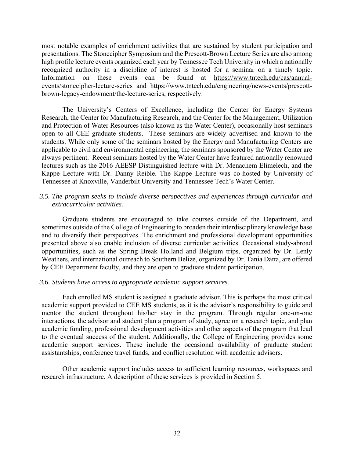most notable examples of enrichment activities that are sustained by student participation and presentations. The Stonecipher Symposium and the Prescott-Brown Lecture Series are also among high profile lecture events organized each year by Tennessee Tech University in which a nationally recognized authority in a discipline of interest is hosted for a seminar on a timely topic. Information on these events can be found at https://www.tntech.edu/cas/annualevents/stonecipher-lecture-series and https://www.tntech.edu/engineering/news-events/prescottbrown-legacy-endowment/the-lecture-series, respectively.

The University's Centers of Excellence, including the Center for Energy Systems Research, the Center for Manufacturing Research, and the Center for the Management, Utilization and Protection of Water Resources (also known as the Water Center), occasionally host seminars open to all CEE graduate students. These seminars are widely advertised and known to the students. While only some of the seminars hosted by the Energy and Manufacturing Centers are applicable to civil and environmental engineering, the seminars sponsored by the Water Center are always pertinent. Recent seminars hosted by the Water Center have featured nationally renowned lectures such as the 2016 AEESP Distinguished lecture with Dr. Menachem Elimelech, and the Kappe Lecture with Dr. Danny Reible. The Kappe Lecture was co-hosted by University of Tennessee at Knoxville, Vanderbilt University and Tennessee Tech's Water Center.

### *3.5. The program seeks to include diverse perspectives and experiences through curricular and extracurricular activities.*

Graduate students are encouraged to take courses outside of the Department, and sometimes outside of the College of Engineering to broaden their interdisciplinary knowledge base and to diversify their perspectives. The enrichment and professional development opportunities presented above also enable inclusion of diverse curricular activities. Occasional study-abroad opportunities, such as the Spring Break Holland and Belgium trips, organized by Dr. Lenly Weathers, and international outreach to Southern Belize, organized by Dr. Tania Datta, are offered by CEE Department faculty, and they are open to graduate student participation.

### *3.6. Students have access to appropriate academic support services.*

Each enrolled MS student is assigned a graduate advisor. This is perhaps the most critical academic support provided to CEE MS students, as it is the advisor's responsibility to guide and mentor the student throughout his/her stay in the program. Through regular one-on-one interactions, the advisor and student plan a program of study, agree on a research topic, and plan academic funding, professional development activities and other aspects of the program that lead to the eventual success of the student. Additionally, the College of Engineering provides some academic support services. These include the occasional availability of graduate student assistantships, conference travel funds, and conflict resolution with academic advisors.

Other academic support includes access to sufficient learning resources, workspaces and research infrastructure. A description of these services is provided in Section 5.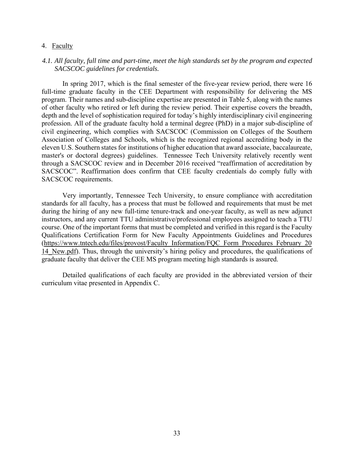#### 4. Faculty

#### *4.1. All faculty, full time and part-time, meet the high standards set by the program and expected SACSCOC guidelines for credentials.*

In spring 2017, which is the final semester of the five-year review period, there were 16 full-time graduate faculty in the CEE Department with responsibility for delivering the MS program. Their names and sub-discipline expertise are presented in Table 5, along with the names of other faculty who retired or left during the review period. Their expertise covers the breadth, depth and the level of sophistication required for today's highly interdisciplinary civil engineering profession. All of the graduate faculty hold a terminal degree (PhD) in a major sub-discipline of civil engineering, which complies with SACSCOC (Commission on Colleges of the Southern Association of Colleges and Schools, which is the recognized regional accrediting body in the eleven U.S. Southern states for institutions of higher education that award associate, baccalaureate, master's or doctoral degrees) guidelines. Tennessee Tech University relatively recently went through a SACSCOC review and in December 2016 received "reaffirmation of accreditation by SACSCOC". Reaffirmation does confirm that CEE faculty credentials do comply fully with SACSCOC requirements.

Very importantly, Tennessee Tech University, to ensure compliance with accreditation standards for all faculty, has a process that must be followed and requirements that must be met during the hiring of any new full-time tenure-track and one-year faculty, as well as new adjunct instructors, and any current TTU administrative/professional employees assigned to teach a TTU course. One of the important forms that must be completed and verified in this regard is the Faculty Qualifications Certification Form for New Faculty Appointments Guidelines and Procedures (https://www.tntech.edu/files/provost/Faculty\_Information/FQC\_Form\_Procedures\_February\_20 14 New.pdf). Thus, through the university's hiring policy and procedures, the qualifications of graduate faculty that deliver the CEE MS program meeting high standards is assured.

Detailed qualifications of each faculty are provided in the abbreviated version of their curriculum vitae presented in Appendix C.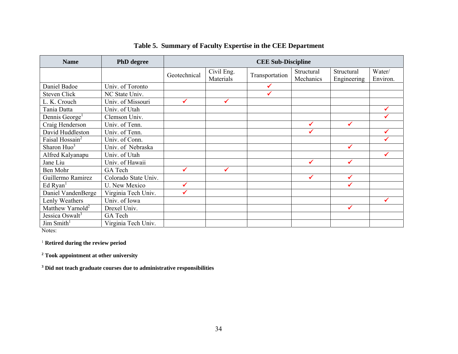| <b>Name</b>                  | <b>PhD</b> degree    |              |                         | <b>CEE Sub-Discipline</b> |                         |                           |                    |
|------------------------------|----------------------|--------------|-------------------------|---------------------------|-------------------------|---------------------------|--------------------|
|                              |                      | Geotechnical | Civil Eng.<br>Materials | Transportation            | Structural<br>Mechanics | Structural<br>Engineering | Water/<br>Environ. |
| Daniel Badoe                 | Univ. of Toronto     |              |                         |                           |                         |                           |                    |
| <b>Steven Click</b>          | NC State Univ.       |              |                         |                           |                         |                           |                    |
| L. K. Crouch                 | Univ. of Missouri    |              | ✓                       |                           |                         |                           |                    |
| Tania Datta                  | Univ. of Utah        |              |                         |                           |                         |                           |                    |
| Dennis George <sup>1</sup>   | Clemson Univ.        |              |                         |                           |                         |                           |                    |
| Craig Henderson              | Univ. of Tenn.       |              |                         |                           | ✔                       | ✔                         |                    |
| David Huddleston             | Univ. of Tenn.       |              |                         |                           |                         |                           |                    |
| Faisal Hossain <sup>2</sup>  | Univ. of Conn.       |              |                         |                           |                         |                           |                    |
| Sharon Huo <sup>3</sup>      | Univ. of Nebraska    |              |                         |                           |                         | ✔                         |                    |
| Alfred Kalyanapu             | Univ. of Utah        |              |                         |                           |                         |                           |                    |
| Jane Liu                     | Univ. of Hawaii      |              |                         |                           | ✔                       | ✔                         |                    |
| Ben Mohr                     | GA Tech              | ✔            | ✓                       |                           |                         |                           |                    |
| Guillermo Ramirez            | Colorado State Univ. |              |                         |                           | ✔                       | ✔                         |                    |
| Ed Ryan <sup>1</sup>         | <b>U.</b> New Mexico |              |                         |                           |                         |                           |                    |
| Daniel VandenBerge           | Virginia Tech Univ.  |              |                         |                           |                         |                           |                    |
| Lenly Weathers               | Univ. of Iowa        |              |                         |                           |                         |                           | ✓                  |
| Matthew Yarnold <sup>2</sup> | Drexel Univ.         |              |                         |                           |                         | ✓                         |                    |
| Jessica Oswalt <sup>3</sup>  | GA Tech              |              |                         |                           |                         |                           |                    |
| Jim Smith $1$                | Virginia Tech Univ.  |              |                         |                           |                         |                           |                    |

## **Table 5. Summary of Faculty Expertise in the CEE Department**

Notes:

1 **Retired during the review period** 

**2 Took appointment at other university** 

**3 Did not teach graduate courses due to administrative responsibilities**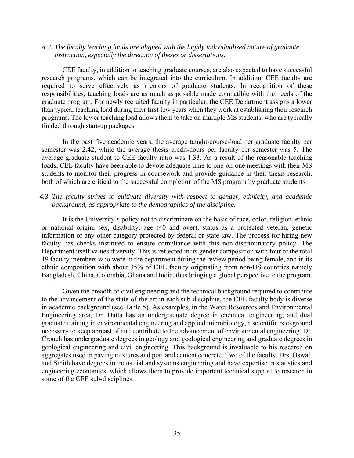#### *4.2. The faculty teaching loads are aligned with the highly individualized nature of graduate instruction, especially the direction of theses or dissertations.*

CEE faculty, in addition to teaching graduate courses, are also expected to have successful research programs, which can be integrated into the curriculum. In addition, CEE faculty are required to serve effectively as mentors of graduate students. In recognition of these responsibilities, teaching loads are as much as possible made compatible with the needs of the graduate program. For newly recruited faculty in particular, the CEE Department assigns a lower than typical teaching load during their first few years when they work at establishing their research programs. The lower teaching load allows them to take on multiple MS students, who are typically funded through start-up packages.

In the past five academic years, the average taught-course-load per graduate faculty per semester was 2.42, while the average thesis credit-hours per faculty per semester was 5. The average graduate student to CEE faculty ratio was 1.33. As a result of the reasonable teaching loads, CEE faculty have been able to devote adequate time to one-on-one meetings with their MS students to monitor their progress in coursework and provide guidance in their thesis research, both of which are critical to the successful completion of the MS program by graduate students.

## *4.3. The faculty strives to cultivate diversity with respect to gender, ethnicity, and academic background, as appropriate to the demographics of the discipline.*

It is the University's policy not to discriminate on the basis of race, color, religion, ethnic or national origin, sex, disability, age (40 and over), status as a protected veteran, genetic information or any other category protected by federal or state law. The process for hiring new faculty has checks instituted to ensure compliance with this non-discriminatory policy. The Department itself values diversity. This is reflected in its gender composition with four of the total 19 faculty members who were in the department during the review period being female, and in its ethnic composition with about 35% of CEE faculty originating from non-US countries namely Bangladesh, China, Colombia, Ghana and India, thus bringing a global perspective to the program.

Given the breadth of civil engineering and the technical background required to contribute to the advancement of the state-of-the-art in each sub-discipline, the CEE faculty body is diverse in academic background (see Table 5). As examples, in the Water Resources and Environmental Engineering area, Dr. Datta has an undergraduate degree in chemical engineering, and dual graduate training in environmental engineering and applied microbiology, a scientific background necessary to keep abreast of and contribute to the advancement of environmental engineering. Dr. Crouch has undergraduate degrees in geology and geological engineering and graduate degrees in geological engineering and civil engineering. This background is invaluable to his research on aggregates used in paving mixtures and portland cement concrete. Two of the faculty, Drs. Oswalt and Smith have degrees in industrial and systems engineering and have expertise in statistics and engineering economics, which allows them to provide important technical support to research in some of the CEE sub-disciplines.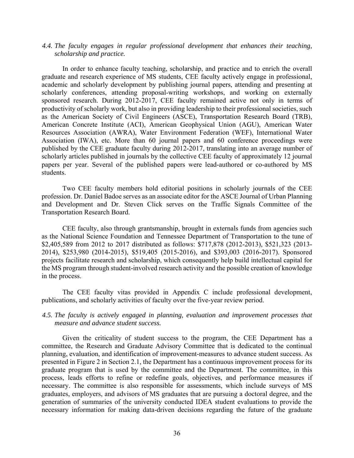#### *4.4. The faculty engages in regular professional development that enhances their teaching, scholarship and practice.*

In order to enhance faculty teaching, scholarship, and practice and to enrich the overall graduate and research experience of MS students, CEE faculty actively engage in professional, academic and scholarly development by publishing journal papers, attending and presenting at scholarly conferences, attending proposal-writing workshops, and working on externally sponsored research. During 2012-2017, CEE faculty remained active not only in terms of productivity of scholarly work, but also in providing leadership to their professional societies, such as the American Society of Civil Engineers (ASCE), Transportation Research Board (TRB), American Concrete Institute (ACI), American Geophysical Union (AGU), American Water Resources Association (AWRA), Water Environment Federation (WEF), International Water Association (IWA), etc. More than 60 journal papers and 60 conference proceedings were published by the CEE graduate faculty during 2012-2017, translating into an average number of scholarly articles published in journals by the collective CEE faculty of approximately 12 journal papers per year. Several of the published papers were lead-authored or co-authored by MS students.

Two CEE faculty members hold editorial positions in scholarly journals of the CEE profession. Dr. Daniel Badoe serves as an associate editor for the ASCE Journal of Urban Planning and Development and Dr. Steven Click serves on the Traffic Signals Committee of the Transportation Research Board.

CEE faculty, also through grantsmanship, brought in externals funds from agencies such as the National Science Foundation and Tennessee Department of Transportation to the tune of \$2,405,589 from 2012 to 2017 distributed as follows: \$717,878 (2012-2013), \$521,323 (2013- 2014), \$253,980 (2014-2015), \$519,405 (2015-2016), and \$393,003 (2016-2017). Sponsored projects facilitate research and scholarship, which consequently help build intellectual capital for the MS program through student-involved research activity and the possible creation of knowledge in the process.

The CEE faculty vitas provided in Appendix C include professional development, publications, and scholarly activities of faculty over the five-year review period.

## *4.5. The faculty is actively engaged in planning, evaluation and improvement processes that measure and advance student success.*

Given the criticality of student success to the program, the CEE Department has a committee, the Research and Graduate Advisory Committee that is dedicated to the continual planning, evaluation, and identification of improvement-measures to advance student success. As presented in Figure 2 in Section 2.1, the Department has a continuous improvement process for its graduate program that is used by the committee and the Department. The committee, in this process, leads efforts to refine or redefine goals, objectives, and performance measures if necessary. The committee is also responsible for assessments, which include surveys of MS graduates, employers, and advisors of MS graduates that are pursuing a doctoral degree, and the generation of summaries of the university conducted IDEA student evaluations to provide the necessary information for making data-driven decisions regarding the future of the graduate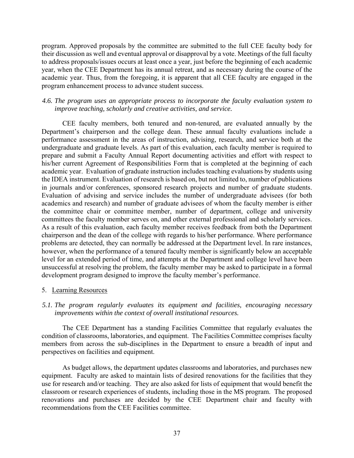program. Approved proposals by the committee are submitted to the full CEE faculty body for their discussion as well and eventual approval or disapproval by a vote. Meetings of the full faculty to address proposals/issues occurs at least once a year, just before the beginning of each academic year, when the CEE Department has its annual retreat, and as necessary during the course of the academic year. Thus, from the foregoing, it is apparent that all CEE faculty are engaged in the program enhancement process to advance student success.

## *4.6. The program uses an appropriate process to incorporate the faculty evaluation system to improve teaching, scholarly and creative activities, and service.*

CEE faculty members, both tenured and non-tenured, are evaluated annually by the Department's chairperson and the college dean. These annual faculty evaluations include a performance assessment in the areas of instruction, advising, research, and service both at the undergraduate and graduate levels. As part of this evaluation, each faculty member is required to prepare and submit a Faculty Annual Report documenting activities and effort with respect to his/her current Agreement of Responsibilities Form that is completed at the beginning of each academic year. Evaluation of graduate instruction includes teaching evaluations by students using the IDEA instrument. Evaluation of research is based on, but not limited to, number of publications in journals and/or conferences, sponsored research projects and number of graduate students. Evaluation of advising and service includes the number of undergraduate advisees (for both academics and research) and number of graduate advisees of whom the faculty member is either the committee chair or committee member, number of department, college and university committees the faculty member serves on, and other external professional and scholarly services. As a result of this evaluation, each faculty member receives feedback from both the Department chairperson and the dean of the college with regards to his/her performance. Where performance problems are detected, they can normally be addressed at the Department level. In rare instances, however, when the performance of a tenured faculty member is significantly below an acceptable level for an extended period of time, and attempts at the Department and college level have been unsuccessful at resolving the problem, the faculty member may be asked to participate in a formal development program designed to improve the faculty member's performance.

### 5. Learning Resources

## *5.1. The program regularly evaluates its equipment and facilities, encouraging necessary improvements within the context of overall institutional resources.*

The CEE Department has a standing Facilities Committee that regularly evaluates the condition of classrooms, laboratories, and equipment. The Facilities Committee comprises faculty members from across the sub-disciplines in the Department to ensure a breadth of input and perspectives on facilities and equipment.

As budget allows, the department updates classrooms and laboratories, and purchases new equipment. Faculty are asked to maintain lists of desired renovations for the facilities that they use for research and/or teaching. They are also asked for lists of equipment that would benefit the classroom or research experiences of students, including those in the MS program. The proposed renovations and purchases are decided by the CEE Department chair and faculty with recommendations from the CEE Facilities committee.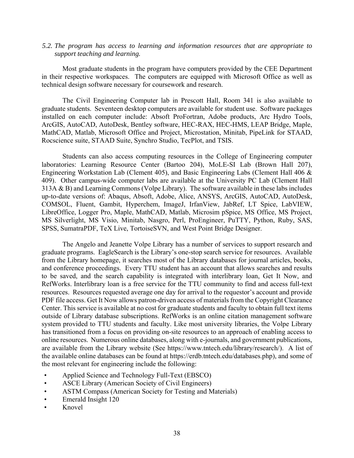#### *5.2. The program has access to learning and information resources that are appropriate to support teaching and learning.*

Most graduate students in the program have computers provided by the CEE Department in their respective workspaces. The computers are equipped with Microsoft Office as well as technical design software necessary for coursework and research.

The Civil Engineering Computer lab in Prescott Hall, Room 341 is also available to graduate students. Seventeen desktop computers are available for student use. Software packages installed on each computer include: Absoft ProFortran, Adobe products, Arc Hydro Tools, ArcGIS, AutoCAD, AutoDesk, Bentley software, HEC-RAX, HEC-HMS, LEAP Bridge, Maple, MathCAD, Matlab, Microsoft Office and Project, Microstation, Minitab, PipeLink for STAAD, Rocscience suite, STAAD Suite, Synchro Studio, TecPlot, and TSIS.

Students can also access computing resources in the College of Engineering computer laboratories: Learning Resource Center (Bartoo 204), MoLE-SI Lab (Brown Hall 207), Engineering Workstation Lab (Clement 405), and Basic Engineering Labs (Clement Hall 406 & 409). Other campus-wide computer labs are available at the University PC Lab (Clement Hall 313A & B) and Learning Commons (Volpe Library). The software available in these labs includes up-to-date versions of: Abaqus, Absoft, Adobe, Alice, ANSYS, ArcGIS, AutoCAD, AutoDesk, COMSOL, Fluent, Gambit, Hyperchem, ImageJ, IrfanView, JabRef, LT Spice, LabVIEW, LibreOffice, Logger Pro, Maple, MathCAD, Matlab, Microsim pSpice, MS Office, MS Project, MS Silverlight, MS Visio, Minitab, Nasgro, Perl, ProEngineer, PuTTY, Python, Ruby, SAS, SPSS, SumatraPDF, TeX Live, TortoiseSVN, and West Point Bridge Designer.

The Angelo and Jeanette Volpe Library has a number of services to support research and graduate programs. EagleSearch is the Library's one-stop search service for resources. Available from the Library homepage, it searches most of the Library databases for journal articles, books, and conference proceedings. Every TTU student has an account that allows searches and results to be saved, and the search capability is integrated with interlibrary loan, Get It Now, and RefWorks. Interlibrary loan is a free service for the TTU community to find and access full-text resources. Resources requested average one day for arrival to the requestor's account and provide PDF file access. Get It Now allows patron-driven access of materials from the Copyright Clearance Center. This service is available at no cost for graduate students and faculty to obtain full text items outside of Library database subscriptions. RefWorks is an online citation management software system provided to TTU students and faculty. Like most university libraries, the Volpe Library has transitioned from a focus on providing on-site resources to an approach of enabling access to online resources. Numerous online databases, along with e-journals, and government publications, are available from the Library website (See https://www.tntech.edu/library/research/). A list of the available online databases can be found at https://erdb.tntech.edu/databases.php), and some of the most relevant for engineering include the following:

- Applied Science and Technology Full-Text (EBSCO)
- ASCE Library (American Society of Civil Engineers)
- ASTM Compass (American Society for Testing and Materials)
- Emerald Insight 120
- Knovel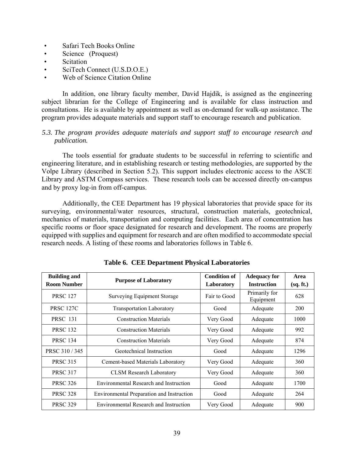- Safari Tech Books Online
- Science (Proquest)
- Scitation
- SciTech Connect (U.S.D.O.E.)
- Web of Science Citation Online

In addition, one library faculty member, David Hajdik, is assigned as the engineering subject librarian for the College of Engineering and is available for class instruction and consultations. He is available by appointment as well as on-demand for walk-up assistance. The program provides adequate materials and support staff to encourage research and publication.

## *5.3. The program provides adequate materials and support staff to encourage research and publication.*

The tools essential for graduate students to be successful in referring to scientific and engineering literature, and in establishing research or testing methodologies, are supported by the Volpe Library (described in Section 5.2). This support includes electronic access to the ASCE Library and ASTM Compass services. These research tools can be accessed directly on-campus and by proxy log-in from off-campus.

Additionally, the CEE Department has 19 physical laboratories that provide space for its surveying, environmental/water resources, structural, construction materials, geotechnical, mechanics of materials, transportation and computing facilities. Each area of concentration has specific rooms or floor space designated for research and development. The rooms are properly equipped with supplies and equipment for research and are often modified to accommodate special research needs. A listing of these rooms and laboratories follows in Table 6.

| <b>Building and</b> | <b>Purpose of Laboratory</b>                  | <b>Condition of</b> | <b>Adequacy for</b>        | Area      |
|---------------------|-----------------------------------------------|---------------------|----------------------------|-----------|
| <b>Room Number</b>  |                                               | Laboratory          | <b>Instruction</b>         | (sq. ft.) |
| <b>PRSC 127</b>     | <b>Surveying Equipment Storage</b>            | Fair to Good        | Primarily for<br>Equipment | 628       |
| <b>PRSC 127C</b>    | <b>Transportation Laboratory</b>              | Good                | Adequate                   | 200       |
| <b>PRSC 131</b>     | <b>Construction Materials</b>                 | Very Good           | Adequate                   | 1000      |
| <b>PRSC 132</b>     | <b>Construction Materials</b>                 | Very Good           | Adequate                   | 992       |
| <b>PRSC 134</b>     | <b>Construction Materials</b>                 | Very Good           | Adequate                   | 874       |
| PRSC 310/345        | Geotechnical Instruction                      | Good                | Adequate                   | 1296      |
| <b>PRSC 315</b>     | Cement-based Materials Laboratory             | Very Good           | Adequate                   | 360       |
| <b>PRSC 317</b>     | <b>CLSM Research Laboratory</b>               | Very Good           | Adequate                   | 360       |
| <b>PRSC 326</b>     | <b>Environmental Research and Instruction</b> | Good                | Adequate                   | 1700      |
| <b>PRSC 328</b>     | Environmental Preparation and Instruction     | Good                | Adequate                   | 264       |
| <b>PRSC 329</b>     | Environmental Research and Instruction        | Very Good           | Adequate                   | 900       |

| <b>Table 6. CEE Department Physical Laboratories</b> |  |  |  |  |  |
|------------------------------------------------------|--|--|--|--|--|
|------------------------------------------------------|--|--|--|--|--|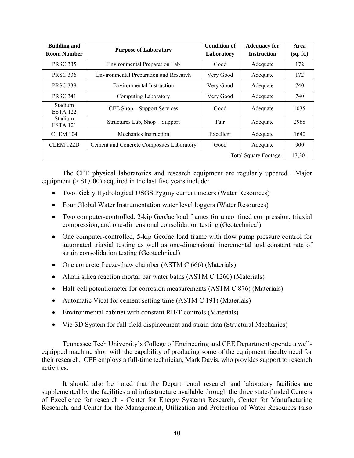| <b>Building and</b><br><b>Room Number</b> | <b>Purpose of Laboratory</b>              | <b>Condition of</b><br>Laboratory | <b>Adequacy for</b><br><b>Instruction</b> | Area<br>(sq. ft.) |
|-------------------------------------------|-------------------------------------------|-----------------------------------|-------------------------------------------|-------------------|
| <b>PRSC 335</b>                           | Environmental Preparation Lab             | Good                              | Adequate                                  | 172               |
| <b>PRSC 336</b>                           | Environmental Preparation and Research    | Very Good                         | Adequate                                  | 172               |
| <b>PRSC 338</b>                           | Environmental Instruction                 | Very Good                         | Adequate                                  | 740               |
| <b>PRSC 341</b>                           | Computing Laboratory                      | Very Good                         | Adequate                                  | 740               |
| <b>Stadium</b><br>ESTA 122                | CEE Shop – Support Services               | Good                              | Adequate                                  | 1035              |
| <b>Stadium</b><br><b>ESTA 121</b>         | Structures Lab, Shop – Support            | Fair                              | Adequate                                  | 2988              |
| <b>CLEM 104</b>                           | Mechanics Instruction                     | Excellent                         | Adequate                                  | 1640              |
| CLEM 122D                                 | Cement and Concrete Composites Laboratory | Good                              | Adequate                                  | 900               |
|                                           |                                           |                                   | Total Square Footage:                     | 17,301            |

The CEE physical laboratories and research equipment are regularly updated. Major equipment ( $>$  \$1,000) acquired in the last five years include:

- Two Rickly Hydrological USGS Pygmy current meters (Water Resources)
- Four Global Water Instrumentation water level loggers (Water Resources)
- Two computer-controlled, 2-kip GeoJac load frames for unconfined compression, triaxial compression, and one-dimensional consolidation testing (Geotechnical)
- One computer-controlled, 5-kip GeoJac load frame with flow pump pressure control for automated triaxial testing as well as one-dimensional incremental and constant rate of strain consolidation testing (Geotechnical)
- One concrete freeze-thaw chamber (ASTM C 666) (Materials)
- Alkali silica reaction mortar bar water baths (ASTM C 1260) (Materials)
- Half-cell potentiometer for corrosion measurements (ASTM C 876) (Materials)
- Automatic Vicat for cement setting time (ASTM C 191) (Materials)
- Environmental cabinet with constant RH/T controls (Materials)
- Vic-3D System for full-field displacement and strain data (Structural Mechanics)

Tennessee Tech University's College of Engineering and CEE Department operate a wellequipped machine shop with the capability of producing some of the equipment faculty need for their research. CEE employs a full-time technician, Mark Davis, who provides support to research activities.

It should also be noted that the Departmental research and laboratory facilities are supplemented by the facilities and infrastructure available through the three state-funded Centers of Excellence for research - Center for Energy Systems Research, Center for Manufacturing Research, and Center for the Management, Utilization and Protection of Water Resources (also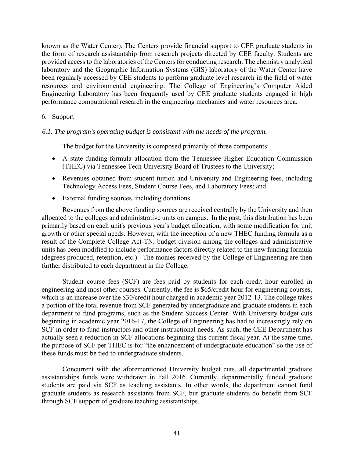known as the Water Center). The Centers provide financial support to CEE graduate students in the form of research assistantship from research projects directed by CEE faculty. Students are provided access to the laboratories of the Centers for conducting research. The chemistry analytical laboratory and the Geographic Information Systems (GIS) laboratory of the Water Center have been regularly accessed by CEE students to perform graduate level research in the field of water resources and environmental engineering. The College of Engineering's Computer Aided Engineering Laboratory has been frequently used by CEE graduate students engaged in high performance computational research in the engineering mechanics and water resources area.

## 6. Support

## *6.1. The program's operating budget is consistent with the needs of the program.*

The budget for the University is composed primarily of three components:

- A state funding-formula allocation from the Tennessee Higher Education Commission (THEC) via Tennessee Tech University Board of Trustees to the University;
- Revenues obtained from student tuition and University and Engineering fees, including Technology Access Fees, Student Course Fees, and Laboratory Fees; and
- External funding sources, including donations.

Revenues from the above funding sources are received centrally by the University and then allocated to the colleges and administrative units on campus. In the past, this distribution has been primarily based on each unit's previous year's budget allocation, with some modification for unit growth or other special needs. However, with the inception of a new THEC funding formula as a result of the Complete College Act-TN, budget division among the colleges and administrative units has been modified to include performance factors directly related to the new funding formula (degrees produced, retention, etc.). The monies received by the College of Engineering are then further distributed to each department in the College.

Student course fees (SCF) are fees paid by students for each credit hour enrolled in engineering and most other courses. Currently, the fee is \$65/credit hour for engineering courses, which is an increase over the \$30/credit hour charged in academic year 2012-13. The college takes a portion of the total revenue from SCF generated by undergraduate and graduate students in each department to fund programs, such as the Student Success Center. With University budget cuts beginning in academic year 2016-17, the College of Engineering has had to increasingly rely on SCF in order to fund instructors and other instructional needs. As such, the CEE Department has actually seen a reduction in SCF allocations beginning this current fiscal year. At the same time, the purpose of SCF per THEC is for "the enhancement of undergraduate education" so the use of these funds must be tied to undergraduate students.

Concurrent with the aforementioned University budget cuts, all departmental graduate assistantships funds were withdrawn in Fall 2016. Currently, departmentally funded graduate students are paid via SCF as teaching assistants. In other words, the department cannot fund graduate students as research assistants from SCF, but graduate students do benefit from SCF through SCF support of graduate teaching assistantships.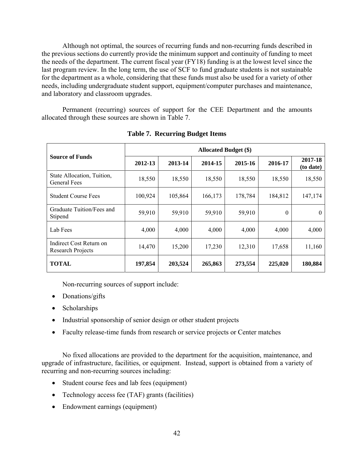Although not optimal, the sources of recurring funds and non-recurring funds described in the previous sections do currently provide the minimum support and continuity of funding to meet the needs of the department. The current fiscal year (FY18) funding is at the lowest level since the last program review. In the long term, the use of SCF to fund graduate students is not sustainable for the department as a whole, considering that these funds must also be used for a variety of other needs, including undergraduate student support, equipment/computer purchases and maintenance, and laboratory and classroom upgrades.

Permanent (recurring) sources of support for the CEE Department and the amounts allocated through these sources are shown in Table 7.

|                                                     | <b>Allocated Budget (\$)</b> |                    |         |         |          |                      |  |  |  |
|-----------------------------------------------------|------------------------------|--------------------|---------|---------|----------|----------------------|--|--|--|
| <b>Source of Funds</b>                              | 2012-13                      | 2013-14<br>2014-15 |         | 2015-16 | 2016-17  | 2017-18<br>(to date) |  |  |  |
| State Allocation, Tuition,<br>General Fees          | 18,550                       | 18,550             | 18,550  | 18,550  | 18,550   | 18,550               |  |  |  |
| <b>Student Course Fees</b>                          | 100,924                      | 105,864            | 166,173 | 178,784 | 184,812  | 147,174              |  |  |  |
| Graduate Tuition/Fees and<br>Stipend                | 59,910                       | 59,910             | 59,910  | 59,910  | $\Omega$ | $\Omega$             |  |  |  |
| Lab Fees                                            | 4,000                        | 4,000              | 4,000   | 4,000   | 4,000    | 4,000                |  |  |  |
| Indirect Cost Return on<br><b>Research Projects</b> | 14,470                       | 15,200             | 17,230  | 12,310  | 17,658   | 11,160               |  |  |  |
| <b>TOTAL</b>                                        | 197,854                      | 203,524            | 265,863 | 273,554 | 225,020  | 180,884              |  |  |  |

**Table 7. Recurring Budget Items** 

Non-recurring sources of support include:

- Donations/gifts
- Scholarships
- Industrial sponsorship of senior design or other student projects
- Faculty release-time funds from research or service projects or Center matches

No fixed allocations are provided to the department for the acquisition, maintenance, and upgrade of infrastructure, facilities, or equipment. Instead, support is obtained from a variety of recurring and non-recurring sources including:

- Student course fees and lab fees (equipment)
- Technology access fee (TAF) grants (facilities)
- Endowment earnings (equipment)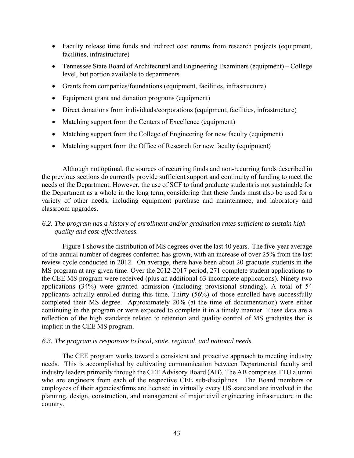- Faculty release time funds and indirect cost returns from research projects (equipment, facilities, infrastructure)
- Tennessee State Board of Architectural and Engineering Examiners (equipment) College level, but portion available to departments
- Grants from companies/foundations (equipment, facilities, infrastructure)
- Equipment grant and donation programs (equipment)
- Direct donations from individuals/corporations (equipment, facilities, infrastructure)
- Matching support from the Centers of Excellence (equipment)
- Matching support from the College of Engineering for new faculty (equipment)
- Matching support from the Office of Research for new faculty (equipment)

Although not optimal, the sources of recurring funds and non-recurring funds described in the previous sections do currently provide sufficient support and continuity of funding to meet the needs of the Department. However, the use of SCF to fund graduate students is not sustainable for the Department as a whole in the long term, considering that these funds must also be used for a variety of other needs, including equipment purchase and maintenance, and laboratory and classroom upgrades.

## *6.2. The program has a history of enrollment and/or graduation rates sufficient to sustain high quality and cost-effectiveness.*

Figure 1 shows the distribution of MS degrees over the last 40 years. The five-year average of the annual number of degrees conferred has grown, with an increase of over 25% from the last review cycle conducted in 2012. On average, there have been about 20 graduate students in the MS program at any given time. Over the 2012-2017 period, 271 complete student applications to the CEE MS program were received (plus an additional 63 incomplete applications). Ninety-two applications (34%) were granted admission (including provisional standing). A total of 54 applicants actually enrolled during this time. Thirty (56%) of those enrolled have successfully completed their MS degree. Approximately 20% (at the time of documentation) were either continuing in the program or were expected to complete it in a timely manner. These data are a reflection of the high standards related to retention and quality control of MS graduates that is implicit in the CEE MS program.

## *6.3. The program is responsive to local, state, regional, and national needs.*

The CEE program works toward a consistent and proactive approach to meeting industry needs. This is accomplished by cultivating communication between Departmental faculty and industry leaders primarily through the CEE Advisory Board (AB). The AB comprises TTU alumni who are engineers from each of the respective CEE sub-disciplines. The Board members or employees of their agencies/firms are licensed in virtually every US state and are involved in the planning, design, construction, and management of major civil engineering infrastructure in the country.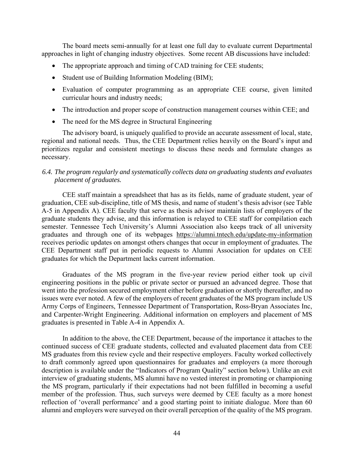The board meets semi-annually for at least one full day to evaluate current Departmental approaches in light of changing industry objectives. Some recent AB discussions have included:

- The appropriate approach and timing of CAD training for CEE students;
- Student use of Building Information Modeling (BIM);
- Evaluation of computer programming as an appropriate CEE course, given limited curricular hours and industry needs;
- The introduction and proper scope of construction management courses within CEE; and
- The need for the MS degree in Structural Engineering

The advisory board, is uniquely qualified to provide an accurate assessment of local, state, regional and national needs. Thus, the CEE Department relies heavily on the Board's input and prioritizes regular and consistent meetings to discuss these needs and formulate changes as necessary.

## *6.4. The program regularly and systematically collects data on graduating students and evaluates placement of graduates.*

CEE staff maintain a spreadsheet that has as its fields, name of graduate student, year of graduation, CEE sub-discipline, title of MS thesis, and name of student's thesis advisor (see Table A-5 in Appendix A). CEE faculty that serve as thesis advisor maintain lists of employers of the graduate students they advise, and this information is relayed to CEE staff for compilation each semester. Tennessee Tech University's Alumni Association also keeps track of all university graduates and through one of its webpages https://alumni.tntech.edu/update-my-information receives periodic updates on amongst others changes that occur in employment of graduates. The CEE Department staff put in periodic requests to Alumni Association for updates on CEE graduates for which the Department lacks current information.

Graduates of the MS program in the five-year review period either took up civil engineering positions in the public or private sector or pursued an advanced degree. Those that went into the profession secured employment either before graduation or shortly thereafter, and no issues were ever noted. A few of the employers of recent graduates of the MS program include US Army Corps of Engineers, Tennessee Department of Transportation, Ross-Bryan Associates Inc, and Carpenter-Wright Engineering. Additional information on employers and placement of MS graduates is presented in Table A-4 in Appendix A.

In addition to the above, the CEE Department, because of the importance it attaches to the continued success of CEE graduate students, collected and evaluated placement data from CEE MS graduates from this review cycle and their respective employers. Faculty worked collectively to draft commonly agreed upon questionnaires for graduates and employers (a more thorough description is available under the "Indicators of Program Quality" section below). Unlike an exit interview of graduating students, MS alumni have no vested interest in promoting or championing the MS program, particularly if their expectations had not been fulfilled in becoming a useful member of the profession. Thus, such surveys were deemed by CEE faculty as a more honest reflection of 'overall performance' and a good starting point to initiate dialogue. More than 60 alumni and employers were surveyed on their overall perception of the quality of the MS program.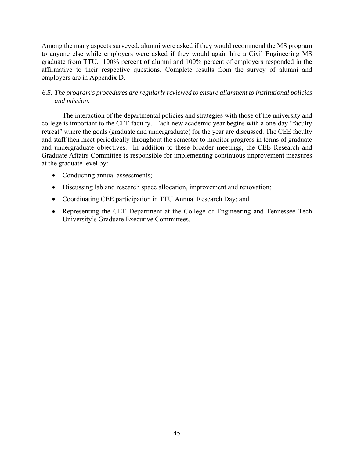Among the many aspects surveyed, alumni were asked if they would recommend the MS program to anyone else while employers were asked if they would again hire a Civil Engineering MS graduate from TTU. 100% percent of alumni and 100% percent of employers responded in the affirmative to their respective questions. Complete results from the survey of alumni and employers are in Appendix D.

## *6.5. The program's procedures are regularly reviewed to ensure alignment to institutional policies and mission.*

The interaction of the departmental policies and strategies with those of the university and college is important to the CEE faculty. Each new academic year begins with a one-day "faculty retreat" where the goals (graduate and undergraduate) for the year are discussed. The CEE faculty and staff then meet periodically throughout the semester to monitor progress in terms of graduate and undergraduate objectives. In addition to these broader meetings, the CEE Research and Graduate Affairs Committee is responsible for implementing continuous improvement measures at the graduate level by:

- Conducting annual assessments;
- Discussing lab and research space allocation, improvement and renovation;
- Coordinating CEE participation in TTU Annual Research Day; and
- Representing the CEE Department at the College of Engineering and Tennessee Tech University's Graduate Executive Committees.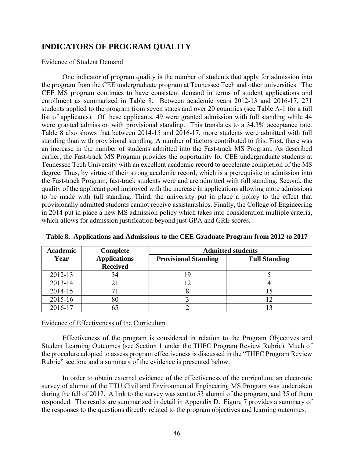## **INDICATORS OF PROGRAM QUALITY**

#### Evidence of Student Demand

One indicator of program quality is the number of students that apply for admission into the program from the CEE undergraduate program at Tennessee Tech and other universities. The CEE MS program continues to have consistent demand in terms of student applications and enrollment as summarized in Table 8. Between academic years 2012-13 and 2016-17, 271 students applied to the program from seven states and over 20 countries (see Table A-1 for a full list of applicants). Of these applicants, 49 were granted admission with full standing while 44 were granted admission with provisional standing. This translates to a 34.3% acceptance rate. Table 8 also shows that between 2014-15 and 2016-17, more students were admitted with full standing than with provisional standing. A number of factors contributed to this. First, there was an increase in the number of students admitted into the Fast-track MS Program. As described earlier, the Fast-track MS Program provides the opportunity for CEE undergraduate students at Tennessee Tech University with an excellent academic record to accelerate completion of the MS degree. Thus, by virtue of their strong academic record, which is a prerequisite to admission into the Fast-track Program, fast-track students were and are admitted with full standing. Second, the quality of the applicant pool improved with the increase in applications allowing more admissions to be made with full standing. Third, the university put in place a policy to the effect that provisionally admitted students cannot receive assistantships. Finally, the College of Engineering in 2014 put in place a new MS admission policy which takes into consideration multiple criteria, which allows for admission justification beyond just GPA and GRE scores.

| <b>Academic</b> | Complete                               | <b>Admitted students</b>    |                      |  |  |  |
|-----------------|----------------------------------------|-----------------------------|----------------------|--|--|--|
| Year            | <b>Applications</b><br><b>Received</b> | <b>Provisional Standing</b> | <b>Full Standing</b> |  |  |  |
| 2012-13         | 34                                     |                             |                      |  |  |  |
| 2013-14         |                                        |                             |                      |  |  |  |
| 2014-15         |                                        |                             |                      |  |  |  |
| 2015-16         | 80                                     |                             |                      |  |  |  |
| 2016-17         |                                        |                             |                      |  |  |  |

**Table 8. Applications and Admissions to the CEE Graduate Program from 2012 to 2017** 

#### Evidence of Effectiveness of the Curriculum

Effectiveness of the program is considered in relation to the Program Objectives and Student Learning Outcomes (see Section 1 under the THEC Program Review Rubric). Much of the procedure adopted to assess program effectiveness is discussed in the "THEC Program Review Rubric" section, and a summary of the evidence is presented below.

In order to obtain external evidence of the effectiveness of the curriculum, an electronic survey of alumni of the TTU Civil and Environmental Engineering MS Program was undertaken during the fall of 2017. A link to the survey was sent to 53 alumni of the program, and 35 of them responded. The results are summarized in detail in Appendix D. Figure 7 provides a summary of the responses to the questions directly related to the program objectives and learning outcomes.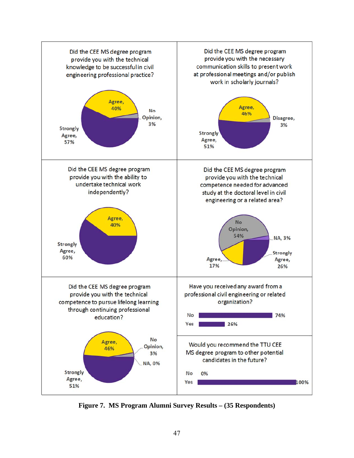

**Figure 7. MS Program Alumni Survey Results – (35 Respondents)**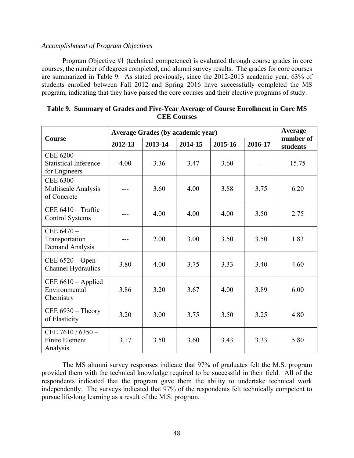## *Accomplishment of Program Objectives*

Program Objective #1 (technical competence) is evaluated through course grades in core courses, the number of degrees completed, and alumni survey results. The grades for core courses are summarized in Table 9. As stated previously, since the 2012-2013 academic year, 63% of students enrolled between Fall 2012 and Spring 2016 have successfully completed the MS program, indicating that they have passed the core courses and their elective programs of study.

|                                                               | <b>Average Grades (by academic year)</b> | <b>Average</b> |                               |      |                       |       |
|---------------------------------------------------------------|------------------------------------------|----------------|-------------------------------|------|-----------------------|-------|
| <b>Course</b>                                                 | 2012-13                                  | 2013-14        | 2014-15<br>2015-16<br>2016-17 |      | number of<br>students |       |
| CEE $6200 -$<br><b>Statistical Inference</b><br>for Engineers | 4.00                                     | 3.36           | 3.47                          | 3.60 |                       | 15.75 |
| CEE $6300 -$<br><b>Multiscale Analysis</b><br>of Concrete     |                                          | 3.60           | 4.00                          | 3.88 | 3.75                  | 6.20  |
| CEE $6410 - \text{Traffic}$<br><b>Control Systems</b>         |                                          | 4.00           | 4.00                          | 4.00 | 3.50                  | 2.75  |
| CEE 6470-<br>Transportation<br>Demand Analysis                |                                          | 2.00           | 3.00                          | 3.50 | 3.50                  | 1.83  |
| CEE $6520 - Open-$<br>Channel Hydraulics                      | 3.80                                     | 4.00           | 3.75                          | 3.33 | 3.40                  | 4.60  |
| CEE 6610 - Applied<br>Environmental<br>Chemistry              | 3.86                                     | 3.20           | 3.67                          | 4.00 | 3.89                  | 6.00  |
| CEE $6930 -$ Theory<br>of Elasticity                          | 3.20                                     | 3.00           | 3.75                          | 3.50 | 3.25                  | 4.80  |
| CEE $7610 / 6350 -$<br>Finite Element<br>Analysis             | 3.17                                     | 3.50           | 3.60                          | 3.43 | 3.33                  | 5.80  |

**Table 9. Summary of Grades and Five-Year Average of Course Enrollment in Core MS CEE Courses** 

The MS alumni survey responses indicate that 97% of graduates felt the M.S. program provided them with the technical knowledge required to be successful in their field. All of the respondents indicated that the program gave them the ability to undertake technical work independently. The surveys indicated that 97% of the respondents felt technically competent to pursue life-long learning as a result of the M.S. program.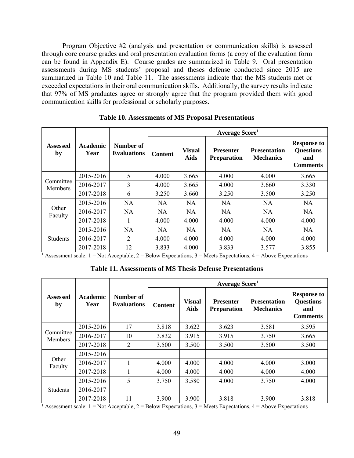Program Objective #2 (analysis and presentation or communication skills) is assessed through core course grades and oral presentation evaluation forms (a copy of the evaluation form can be found in Appendix E). Course grades are summarized in Table 9. Oral presentation assessments during MS students' proposal and theses defense conducted since 2015 are summarized in Table 10 and Table 11. The assessments indicate that the MS students met or exceeded expectations in their oral communication skills. Additionally, the survey results indicate that 97% of MS graduates agree or strongly agree that the program provided them with good communication skills for professional or scholarly purposes.

|                       |                         |                                 |                |                              | Average Score <sup>1</sup>             |                                                                                                                      |                                                                  |
|-----------------------|-------------------------|---------------------------------|----------------|------------------------------|----------------------------------------|----------------------------------------------------------------------------------------------------------------------|------------------------------------------------------------------|
| <b>Assessed</b><br>by | <b>Academic</b><br>Year | Number of<br><b>Evaluations</b> | <b>Content</b> | <b>Visual</b><br><b>Aids</b> | <b>Presenter</b><br><b>Preparation</b> | <b>Presentation</b><br><b>Mechanics</b>                                                                              | <b>Response to</b><br><b>Questions</b><br>and<br><b>Comments</b> |
|                       | 2015-2016               | 5                               | 4.000          | 3.665                        | 4.000                                  | 4.000                                                                                                                | 3.665                                                            |
| Committee<br>Members  | 2016-2017               | 3                               | 4.000          | 3.665                        | 4.000                                  | 3.660                                                                                                                | 3.330                                                            |
|                       | 2017-2018               | 6                               | 3.250          | 3.660                        | 3.250                                  | 3.500                                                                                                                | 3.250                                                            |
|                       | 2015-2016               | NA                              | NA.            | NA.                          | <b>NA</b>                              | NA.                                                                                                                  | NA.                                                              |
| Other<br>Faculty      | 2016-2017               | <b>NA</b>                       | NA.            | NA                           | NA                                     | NA.                                                                                                                  | <b>NA</b>                                                        |
|                       | 2017-2018               |                                 | 4.000          | 4.000                        | 4.000                                  | 4.000                                                                                                                | 4.000                                                            |
|                       | 2015-2016               | <b>NA</b>                       | NA.            | NA                           | NA.                                    | NA                                                                                                                   | NA                                                               |
| <b>Students</b>       | 2016-2017               | 2                               | 4.000          | 4.000                        | 4.000                                  | 4.000                                                                                                                | 4.000                                                            |
|                       | 2017-2018               | 12                              | 3.833          | 4.000                        | 3.833                                  | 3.577                                                                                                                | 3.855                                                            |
|                       |                         |                                 |                |                              |                                        | Assessment scale: $1 = Not$ Acceptable, $2 = Below$ Expectations, $3 =$ Meets Expectations, $4 =$ Above Expectations |                                                                  |

**Table 10. Assessments of MS Proposal Presentations** 

**Table 11. Assessments of MS Thesis Defense Presentations** 

|                             |                         |                                 |                |                              | Average Score <sup>1</sup>             |                                                                                                                      |                                                                  |
|-----------------------------|-------------------------|---------------------------------|----------------|------------------------------|----------------------------------------|----------------------------------------------------------------------------------------------------------------------|------------------------------------------------------------------|
| <b>Assessed</b><br>by       | <b>Academic</b><br>Year | Number of<br><b>Evaluations</b> | <b>Content</b> | <b>Visual</b><br><b>Aids</b> | <b>Presenter</b><br><b>Preparation</b> | <b>Presentation</b><br><b>Mechanics</b>                                                                              | <b>Response to</b><br><b>Questions</b><br>and<br><b>Comments</b> |
|                             | 2015-2016               | 17                              | 3.818          | 3.622                        | 3.623                                  | 3.581                                                                                                                | 3.595                                                            |
| Committee<br><b>Members</b> | 2016-2017               | 10                              | 3.832          | 3.915                        | 3.915                                  | 3.750                                                                                                                | 3.665                                                            |
|                             | 2017-2018               | 2                               | 3.500          | 3.500                        | 3.500                                  | 3.500                                                                                                                | 3.500                                                            |
|                             | 2015-2016               |                                 |                |                              |                                        |                                                                                                                      |                                                                  |
| Other<br>Faculty            | 2016-2017               |                                 | 4.000          | 4.000                        | 4.000                                  | 4.000                                                                                                                | 3.000                                                            |
|                             | 2017-2018               |                                 | 4.000          | 4.000                        | 4.000                                  | 4.000                                                                                                                | 4.000                                                            |
|                             | 2015-2016               | 5                               | 3.750          | 3.580                        | 4.000                                  | 3.750                                                                                                                | 4.000                                                            |
| <b>Students</b>             | 2016-2017               |                                 |                |                              |                                        |                                                                                                                      |                                                                  |
|                             | 2017-2018               | 11                              | 3.900          | 3.900                        | 3.818                                  | 3.900                                                                                                                | 3.818                                                            |
|                             |                         |                                 |                |                              |                                        | Assessment scale: $1 = Not$ Acceptable, $2 = Below$ Expectations, $3 =$ Meets Expectations, $4 =$ Above Expectations |                                                                  |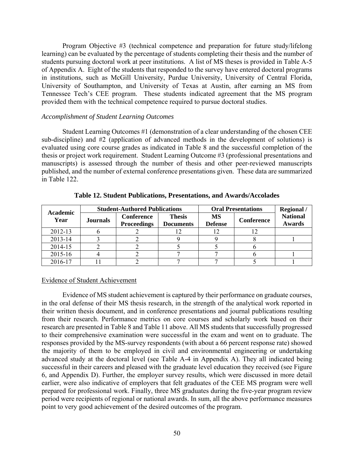Program Objective #3 (technical competence and preparation for future study/lifelong learning) can be evaluated by the percentage of students completing their thesis and the number of students pursuing doctoral work at peer institutions. A list of MS theses is provided in Table A-5 of Appendix A. Eight of the students that responded to the survey have entered doctoral programs in institutions, such as McGill University, Purdue University, University of Central Florida, University of Southampton, and University of Texas at Austin, after earning an MS from Tennessee Tech's CEE program. These students indicated agreement that the MS program provided them with the technical competence required to pursue doctoral studies.

### *Accomplishment of Student Learning Outcomes*

Student Learning Outcomes #1 (demonstration of a clear understanding of the chosen CEE sub-discipline) and #2 (application of advanced methods in the development of solutions) is evaluated using core course grades as indicated in Table 8 and the successful completion of the thesis or project work requirement. Student Learning Outcome #3 (professional presentations and manuscripts) is assessed through the number of thesis and other peer-reviewed manuscripts published, and the number of external conference presentations given. These data are summarized in Table 122.

| Academic |                 | <b>Student-Authored Publications</b>    |                                   | <b>Regional</b> /<br><b>Oral Presentations</b> |            |                                  |
|----------|-----------------|-----------------------------------------|-----------------------------------|------------------------------------------------|------------|----------------------------------|
| Year     | <b>Journals</b> | <b>Conference</b><br><b>Proceedings</b> | <b>Thesis</b><br><b>Documents</b> | <b>MS</b><br><b>Defense</b>                    | Conference | <b>National</b><br><b>Awards</b> |
| 2012-13  |                 |                                         |                                   | 12                                             |            |                                  |
| 2013-14  |                 |                                         |                                   |                                                |            |                                  |
| 2014-15  |                 |                                         |                                   |                                                |            |                                  |
| 2015-16  |                 |                                         |                                   |                                                |            |                                  |
| 2016-17  |                 |                                         |                                   |                                                |            |                                  |

#### **Table 12. Student Publications, Presentations, and Awards/Accolades**

### Evidence of Student Achievement

Evidence of MS student achievement is captured by their performance on graduate courses, in the oral defense of their MS thesis research, in the strength of the analytical work reported in their written thesis document, and in conference presentations and journal publications resulting from their research. Performance metrics on core courses and scholarly work based on their research are presented in Table 8 and Table 11 above. All MS students that successfully progressed to their comprehensive examination were successful in the exam and went on to graduate. The responses provided by the MS-survey respondents (with about a 66 percent response rate) showed the majority of them to be employed in civil and environmental engineering or undertaking advanced study at the doctoral level (see Table A-4 in Appendix A). They all indicated being successful in their careers and pleased with the graduate level education they received (see Figure 6, and Appendix D). Further, the employer survey results, which were discussed in more detail earlier, were also indicative of employers that felt graduates of the CEE MS program were well prepared for professional work. Finally, three MS graduates during the five-year program review period were recipients of regional or national awards. In sum, all the above performance measures point to very good achievement of the desired outcomes of the program.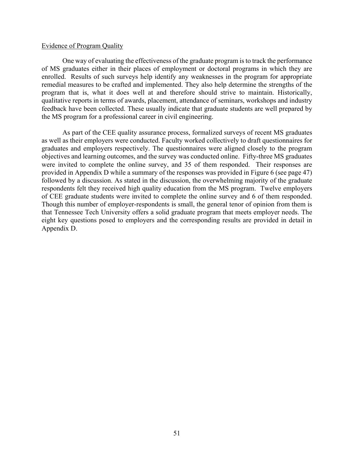#### Evidence of Program Quality

One way of evaluating the effectiveness of the graduate program is to track the performance of MS graduates either in their places of employment or doctoral programs in which they are enrolled. Results of such surveys help identify any weaknesses in the program for appropriate remedial measures to be crafted and implemented. They also help determine the strengths of the program that is, what it does well at and therefore should strive to maintain. Historically, qualitative reports in terms of awards, placement, attendance of seminars, workshops and industry feedback have been collected. These usually indicate that graduate students are well prepared by the MS program for a professional career in civil engineering.

As part of the CEE quality assurance process, formalized surveys of recent MS graduates as well as their employers were conducted. Faculty worked collectively to draft questionnaires for graduates and employers respectively. The questionnaires were aligned closely to the program objectives and learning outcomes, and the survey was conducted online. Fifty-three MS graduates were invited to complete the online survey, and 35 of them responded. Their responses are provided in Appendix D while a summary of the responses was provided in Figure 6 (see page 47) followed by a discussion. As stated in the discussion, the overwhelming majority of the graduate respondents felt they received high quality education from the MS program. Twelve employers of CEE graduate students were invited to complete the online survey and 6 of them responded. Though this number of employer-respondents is small, the general tenor of opinion from them is that Tennessee Tech University offers a solid graduate program that meets employer needs. The eight key questions posed to employers and the corresponding results are provided in detail in Appendix D.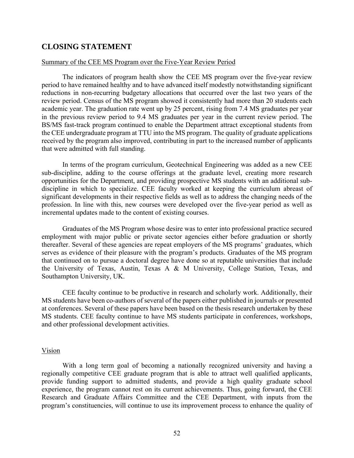## **CLOSING STATEMENT**

#### Summary of the CEE MS Program over the Five-Year Review Period

The indicators of program health show the CEE MS program over the five-year review period to have remained healthy and to have advanced itself modestly notwithstanding significant reductions in non-recurring budgetary allocations that occurred over the last two years of the review period. Census of the MS program showed it consistently had more than 20 students each academic year. The graduation rate went up by 25 percent, rising from 7.4 MS graduates per year in the previous review period to 9.4 MS graduates per year in the current review period. The BS/MS fast-track program continued to enable the Department attract exceptional students from the CEE undergraduate program at TTU into the MS program. The quality of graduate applications received by the program also improved, contributing in part to the increased number of applicants that were admitted with full standing.

In terms of the program curriculum, Geotechnical Engineering was added as a new CEE sub-discipline, adding to the course offerings at the graduate level, creating more research opportunities for the Department, and providing prospective MS students with an additional subdiscipline in which to specialize. CEE faculty worked at keeping the curriculum abreast of significant developments in their respective fields as well as to address the changing needs of the profession. In line with this, new courses were developed over the five-year period as well as incremental updates made to the content of existing courses.

Graduates of the MS Program whose desire was to enter into professional practice secured employment with major public or private sector agencies either before graduation or shortly thereafter. Several of these agencies are repeat employers of the MS programs' graduates, which serves as evidence of their pleasure with the program's products. Graduates of the MS program that continued on to pursue a doctoral degree have done so at reputable universities that include the University of Texas, Austin, Texas A & M University, College Station, Texas, and Southampton University, UK.

CEE faculty continue to be productive in research and scholarly work. Additionally, their MS students have been co-authors of several of the papers either published in journals or presented at conferences. Several of these papers have been based on the thesis research undertaken by these MS students. CEE faculty continue to have MS students participate in conferences, workshops, and other professional development activities.

#### Vision

With a long term goal of becoming a nationally recognized university and having a regionally competitive CEE graduate program that is able to attract well qualified applicants, provide funding support to admitted students, and provide a high quality graduate school experience, the program cannot rest on its current achievements. Thus, going forward, the CEE Research and Graduate Affairs Committee and the CEE Department, with inputs from the program's constituencies, will continue to use its improvement process to enhance the quality of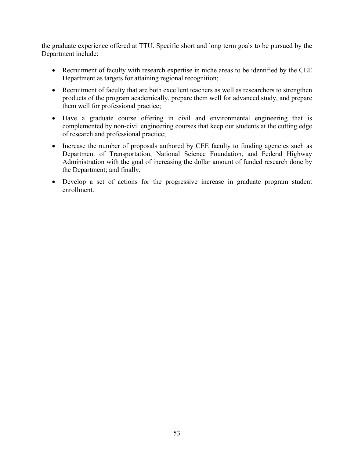the graduate experience offered at TTU. Specific short and long term goals to be pursued by the Department include:

- Recruitment of faculty with research expertise in niche areas to be identified by the CEE Department as targets for attaining regional recognition;
- Recruitment of faculty that are both excellent teachers as well as researchers to strengthen products of the program academically, prepare them well for advanced study, and prepare them well for professional practice;
- Have a graduate course offering in civil and environmental engineering that is complemented by non-civil engineering courses that keep our students at the cutting edge of research and professional practice;
- Increase the number of proposals authored by CEE faculty to funding agencies such as Department of Transportation, National Science Foundation, and Federal Highway Administration with the goal of increasing the dollar amount of funded research done by the Department; and finally,
- Develop a set of actions for the progressive increase in graduate program student enrollment.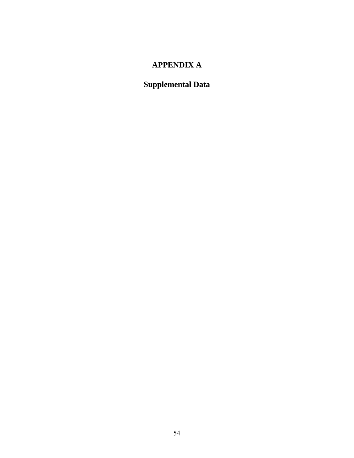## **APPENDIX A**

# **Supplemental Data**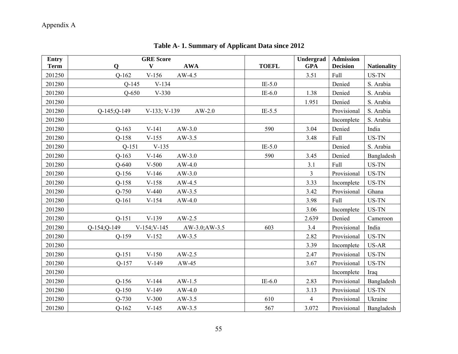# Appendix A

| <b>Entry</b><br><b>Term</b> | <b>GRE</b> Score<br>$\mathbf{V}$<br><b>AWA</b><br>$\mathbf Q$ | <b>TOEFL</b> | Undergrad<br><b>GPA</b> | <b>Admission</b><br><b>Decision</b> | <b>Nationality</b> |
|-----------------------------|---------------------------------------------------------------|--------------|-------------------------|-------------------------------------|--------------------|
| 201250                      | $V-156$<br>$Q-162$<br>$AW-4.5$                                |              | 3.51                    | Full                                | US-TN              |
| 201280                      | $V-134$<br>$Q-145$                                            | $IE-5.0$     |                         | Denied                              | S. Arabia          |
| 201280                      | $Q - 650$<br>$V-330$                                          | $IE-6.0$     | 1.38                    | Denied                              | S. Arabia          |
| 201280                      |                                                               |              | 1.951                   | Denied                              | S. Arabia          |
| 201280                      | $Q-145; Q-149$<br>$V-133$ ; $V-139$<br>$AW-2.0$               | $IE-5.5$     |                         | Provisional                         | S. Arabia          |
| 201280                      |                                                               |              |                         | Incomplete                          | S. Arabia          |
| 201280                      | $Q-163$<br>$V-141$<br>$AW-3.0$                                | 590          | 3.04                    | Denied                              | India              |
| 201280                      | $Q-158$<br>$V-155$<br>$AW-3.5$                                |              | 3.48                    | Full                                | US-TN              |
| 201280                      | $Q-151$<br>$V-135$                                            | $IE-5.0$     |                         | Denied                              | S. Arabia          |
| 201280                      | $Q-163$<br>$V-146$<br>$AW-3.0$                                | 590          | 3.45                    | Denied                              | Bangladesh         |
| 201280                      | $Q-640$<br>$V-500$<br>$AW-4.0$                                |              | 3.1                     | Full                                | US-TN              |
| 201280                      | $V-146$<br>$AW-3.0$<br>$Q-156$                                |              | $\overline{3}$          | Provisional                         | US-TN              |
| 201280                      | $Q-158$<br>$V-158$<br>$AW-4.5$                                |              | 3.33                    | Incomplete                          | US-TN              |
| 201280                      | $Q-750$<br>$V-440$<br>$AW-3.5$                                |              | 3.42                    | Provisional                         | Ghana              |
| 201280                      | $Q-161$<br>$V-154$<br>$AW-4.0$                                |              | 3.98                    | Full                                | US-TN              |
| 201280                      |                                                               |              | 3.06                    | Incomplete                          | US-TN              |
| 201280                      | $V-139$<br>$Q-151$<br>$AW-2.5$                                |              | 2.639                   | Denied                              | Cameroon           |
| 201280                      | Q-154;Q-149<br>$V-154; V-145$<br>$AW-3.0;AW-3.5$              | 603          | 3.4                     | Provisional                         | India              |
| 201280                      | $Q-159$<br>$AW-3.5$<br>$V-152$                                |              | 2.82                    | Provisional                         | US-TN              |
| 201280                      |                                                               |              | 3.39                    | Incomplete                          | US-AR              |
| 201280                      | $Q-151$<br>$V-150$<br>$AW-2.5$                                |              | 2.47                    | Provisional                         | US-TN              |
| 201280                      | $Q-157$<br>$V-149$<br>$AW-45$                                 |              | 3.67                    | Provisional                         | US-TN              |
| 201280                      |                                                               |              |                         | Incomplete                          | Iraq               |
| 201280                      | $Q-156$<br>$V-144$<br>$AW-1.5$                                | $IE-6.0$     | 2.83                    | Provisional                         | Bangladesh         |
| 201280                      | $Q-150$<br>$V-149$<br>$AW-4.0$                                |              | 3.13                    | Provisional                         | US-TN              |
| 201280                      | $Q-730$<br>$V-300$<br>$AW-3.5$                                | 610          | $\overline{4}$          | Provisional                         | Ukraine            |
| 201280                      | $Q-162$<br>$V-145$<br>$AW-3.5$                                | 567          | 3.072                   | Provisional                         | Bangladesh         |

**Table A- 1. Summary of Applicant Data since 2012**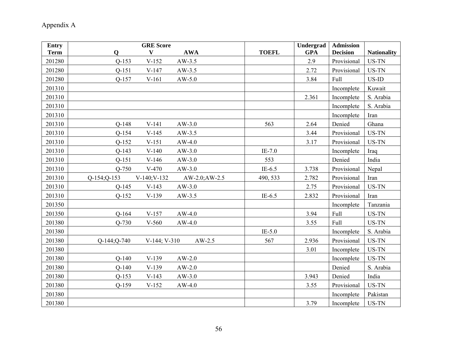# Appendix A

| <b>Entry</b> |                   | <b>GRE</b> Score  |                |              | Undergrad  | <b>Admission</b> |                    |
|--------------|-------------------|-------------------|----------------|--------------|------------|------------------|--------------------|
| <b>Term</b>  | $\mathbf 0$       | V                 | <b>AWA</b>     | <b>TOEFL</b> | <b>GPA</b> | <b>Decision</b>  | <b>Nationality</b> |
| 201280       | $Q-153$           | $V-152$           | $AW-3.5$       |              | 2.9        | Provisional      | US-TN              |
| 201280       | $Q-151$           | $V-147$           | $AW-3.5$       |              | 2.72       | Provisional      | US-TN              |
| 201280       | $Q-157$           | $V-161$           | $AW-5.0$       |              | 3.84       | Full             | $US$ -ID           |
| 201310       |                   |                   |                |              |            | Incomplete       | Kuwait             |
| 201310       |                   |                   |                |              | 2.361      | Incomplete       | S. Arabia          |
| 201310       |                   |                   |                |              |            | Incomplete       | S. Arabia          |
| 201310       |                   |                   |                |              |            | Incomplete       | Iran               |
| 201310       | $Q-148$           | $V-141$           | $AW-3.0$       | 563          | 2.64       | Denied           | Ghana              |
| 201310       | $Q-154$           | $V-145$           | $AW-3.5$       |              | 3.44       | Provisional      | US-TN              |
| 201310       | $Q-152$           | $V-151$           | $AW-4.0$       |              | 3.17       | Provisional      | US-TN              |
| 201310       | $Q-143$           | $V-140$           | $AW-3.0$       | $IE-7.0$     |            | Incomplete       | Iraq               |
| 201310       | $Q-151$           | $V-146$           | $AW-3.0$       | 553          |            | Denied           | India              |
| 201310       | $Q-750$           | $V-470$           | $AW-3.0$       | $IE-6.5$     | 3.738      | Provisional      | Nepal              |
| 201310       | Q-154; Q-153      | V-140; V-132      | AW-2.0; AW-2.5 | 490, 533     | 2.782      | Provisional      | Iran               |
| 201310       | $Q-145$           | $V-143$           | $AW-3.0$       |              | 2.75       | Provisional      | US-TN              |
| 201310       | $Q-152$           | $V-139$           | $AW-3.5$       | $IE-6.5$     | 2.832      | Provisional      | Iran               |
| 201350       |                   |                   |                |              |            | Incomplete       | Tanzania           |
| 201350       | $Q-164$           | $V-157$           | $AW-4.0$       |              | 3.94       | Full             | US-TN              |
| 201380       | $Q-730$           | $V-560$           | $AW-4.0$       |              | 3.55       | Full             | US-TN              |
| 201380       |                   |                   |                | $IE-5.0$     |            | Incomplete       | S. Arabia          |
| 201380       | $Q-144$ ; $Q-740$ | $V-144$ ; $V-310$ | $AW-2.5$       | 567          | 2.936      | Provisional      | US-TN              |
| 201380       |                   |                   |                |              | 3.01       | Incomplete       | US-TN              |
| 201380       | $Q-140$           | $V-139$           | $AW-2.0$       |              |            | Incomplete       | US-TN              |
| 201380       | $Q-140$           | $V-139$           | $AW-2.0$       |              |            | Denied           | S. Arabia          |
| 201380       | $Q-153$           | $V-143$           | $AW-3.0$       |              | 3.943      | Denied           | India              |
| 201380       | $Q-159$           | $V-152$           | $AW-4.0$       |              | 3.55       | Provisional      | US-TN              |
| 201380       |                   |                   |                |              |            | Incomplete       | Pakistan           |
| 201380       |                   |                   |                |              | 3.79       | Incomplete       | US-TN              |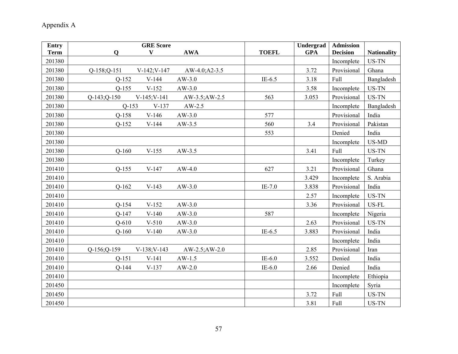| <b>Entry</b><br><b>Term</b> | <b>GRE</b> Score<br>$\mathbf{V}$<br><b>AWA</b><br>$\mathbf Q$ | <b>TOEFL</b> | <b>Undergrad</b><br><b>GPA</b> | <b>Admission</b><br><b>Decision</b> | <b>Nationality</b> |
|-----------------------------|---------------------------------------------------------------|--------------|--------------------------------|-------------------------------------|--------------------|
| 201380                      |                                                               |              |                                | Incomplete                          | US-TN              |
| 201380                      | V-142; V-147<br>$Q-158; Q-151$<br>$AW-4.0; A2-3.5$            |              | 3.72                           | Provisional                         | Ghana              |
| 201380                      | $V-144$<br>$AW-3.0$<br>$Q-152$                                | $IE-6.5$     | 3.18                           | Full                                | Bangladesh         |
| 201380                      | $Q-155$<br>$V-152$<br>$AW-3.0$                                |              | 3.58                           | Incomplete                          | US-TN              |
| 201380                      | $Q-143;Q-150$<br>$V-145; V-141$<br>AW-3.5; AW-2.5             | 563          | 3.053                          | Provisional                         | US-TN              |
| 201380                      | $Q-153$<br>$V-137$<br>$AW-2.5$                                |              |                                | Incomplete                          | Bangladesh         |
| 201380                      | $Q-158$<br>$V-146$<br>$AW-3.0$                                | 577          |                                | Provisional                         | India              |
| 201380                      | $Q-152$<br>$V-144$<br>$AW-3.5$                                | 560          | 3.4                            | Provisional                         | Pakistan           |
| 201380                      |                                                               | 553          |                                | Denied                              | India              |
| 201380                      |                                                               |              |                                | Incomplete                          | US-MD              |
| 201380                      | $Q-160$<br>$V-155$<br>$AW-3.5$                                |              | 3.41                           | Full                                | US-TN              |
| 201380                      |                                                               |              |                                | Incomplete                          | Turkey             |
| 201410                      | $Q-155$<br>$V-147$<br>$AW-4.0$                                | 627          | 3.21                           | Provisional                         | Ghana              |
| 201410                      |                                                               |              | 3.429                          | Incomplete                          | S. Arabia          |
| 201410                      | $Q-162$<br>$V-143$<br>$AW-3.0$                                | $IE-7.0$     | 3.838                          | Provisional                         | India              |
| 201410                      |                                                               |              | 2.57                           | Incomplete                          | US-TN              |
| 201410                      | $Q-154$<br>$V-152$<br>$AW-3.0$                                |              | 3.36                           | Provisional                         | US-FL              |
| 201410                      | $Q-147$<br>$V-140$<br>$AW-3.0$                                | 587          |                                | Incomplete                          | Nigeria            |
| 201410                      | $Q-610$<br>$V-510$<br>$AW-3.0$                                |              | 2.63                           | Provisional                         | US-TN              |
| 201410                      | $Q-160$<br>$AW-3.0$<br>$V-140$                                | $IE-6.5$     | 3.883                          | Provisional                         | India              |
| 201410                      |                                                               |              |                                | Incomplete                          | India              |
| 201410                      | V-138; V-143<br>Q-156; Q-159<br>$AW-2.5;AW-2.0$               |              | 2.85                           | Provisional                         | Iran               |
| 201410                      | $Q-151$<br>$V-141$<br>$AW-1.5$                                | $IE-6.0$     | 3.552                          | Denied                              | India              |
| 201410                      | $Q-144$<br>$V-137$<br>$AW-2.0$                                | $IE-6.0$     | 2.66                           | Denied                              | India              |
| 201410                      |                                                               |              |                                | Incomplete                          | Ethiopia           |
| 201450                      |                                                               |              |                                | Incomplete                          | Syria              |
| 201450                      |                                                               |              | 3.72                           | Full                                | US-TN              |
| 201450                      |                                                               |              | 3.81                           | Full                                | US-TN              |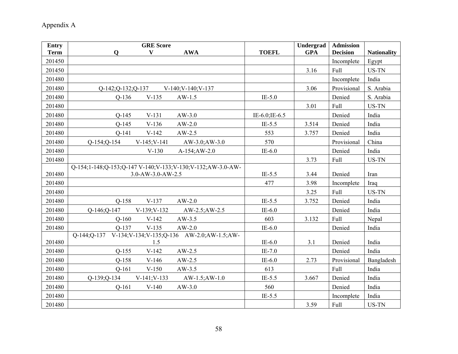| <b>Entry</b> | <b>GRE Score</b>                                                           |               | Undergrad  | <b>Admission</b> |                    |
|--------------|----------------------------------------------------------------------------|---------------|------------|------------------|--------------------|
| <b>Term</b>  | $\mathbf Q$<br>V<br><b>AWA</b>                                             | <b>TOEFL</b>  | <b>GPA</b> | <b>Decision</b>  | <b>Nationality</b> |
| 201450       |                                                                            |               |            | Incomplete       | Egypt              |
| 201450       |                                                                            |               | 3.16       | Full             | US-TN              |
| 201480       |                                                                            |               |            | Incomplete       | India              |
| 201480       | $Q-142$ ; $Q-132$ ; $Q-137$<br>$V-140$ ; $V-140$ ; $V-137$                 |               | 3.06       | Provisional      | S. Arabia          |
| 201480       | $V-135$<br>$Q-136$<br>$AW-1.5$                                             | $IE-5.0$      |            | Denied           | S. Arabia          |
| 201480       |                                                                            |               | 3.01       | Full             | US-TN              |
| 201480       | $Q-145$<br>$V-131$<br>$AW-3.0$                                             | IE-6.0;IE-6.5 |            | Denied           | India              |
| 201480       | $Q-145$<br>$V-136$<br>$AW-2.0$                                             | $IE-5.5$      | 3.514      | Denied           | India              |
| 201480       | $V-142$<br>$Q-141$<br>$AW-2.5$                                             | 553           | 3.757      | Denied           | India              |
| 201480       | $V-145; V-141$<br>$Q-154$ ; $Q-154$<br>$AW-3.0;AW-3.0$                     | 570           |            | Provisional      | China              |
| 201480       | $V-130$<br>A-154; AW-2.0                                                   | $IE-6.0$      |            | Denied           | India              |
| 201480       |                                                                            |               | 3.73       | Full             | US-TN              |
|              | Q-154;1-148;Q-153;Q-147 V-140;V-133;V-130;V-132;AW-3.0-AW-                 |               |            |                  |                    |
| 201480       | $3.0 - AW - 3.0 - AW - 2.5$                                                | $IE-5.5$      | 3.44       | Denied           | Iran               |
| 201480       |                                                                            | 477           | 3.98       | Incomplete       | Iraq               |
| 201480       |                                                                            |               | 3.25       | Full             | US-TN              |
| 201480       | $Q-158$<br>$V-137$<br>$AW-2.0$                                             | $IE-5.5$      | 3.752      | Denied           | India              |
| 201480       | O-146; O-147<br>$V-139; V-132$<br>AW-2.5; AW-2.5                           | $IE-6.0$      |            | Denied           | India              |
| 201480       | $Q-160$<br>$V-142$<br>$AW-3.5$                                             | 603           | 3.132      | Full             | Nepal              |
| 201480       | $V-135$<br>$AW-2.0$<br>$Q-137$                                             | $IE-6.0$      |            | Denied           | India              |
| 201480       | V-134; V-134; V-135; Q-136 AW-2.0; AW-1.5; AW-<br>$O-144$ ; $O-137$<br>1.5 | $IE-6.0$      | 3.1        | Denied           | India              |
| 201480       | $Q-155$<br>$V-142$<br>$AW-2.5$                                             | $IE-7.0$      |            | Denied           | India              |
| 201480       | $Q-158$<br>$V-146$<br>$AW-2.5$                                             | $IE-6.0$      | 2.73       | Provisional      | Bangladesh         |
| 201480       | $Q-161$<br>$V-150$<br>$AW-3.5$                                             | 613           |            | Full             | India              |
| 201480       | Q-139; Q-134<br>$V-141; V-133$<br>$AW-1.5;AW-1.0$                          | $IE-5.5$      | 3.667      | Denied           | India              |
| 201480       | $Q-161$<br>$V-140$<br>$AW-3.0$                                             | 560           |            | Denied           | India              |
| 201480       |                                                                            | $IE-5.5$      |            | Incomplete       | India              |
| 201480       |                                                                            |               | 3.59       | Full             | US-TN              |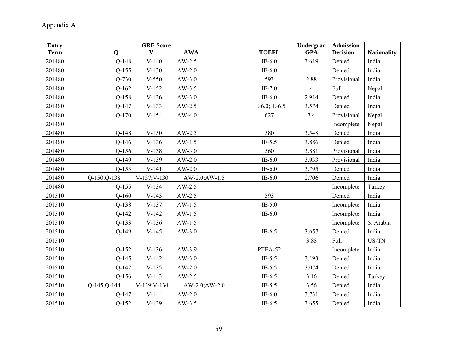| <b>Entry</b> |                   | <b>GRE Score</b> |                 |                | Undergrad       | <b>Admission</b> |                    |
|--------------|-------------------|------------------|-----------------|----------------|-----------------|------------------|--------------------|
| <b>Term</b>  | $\mathbf 0$       | $\mathbf{V}$     | <b>AWA</b>      | <b>TOEFL</b>   | <b>GPA</b>      | <b>Decision</b>  | <b>Nationality</b> |
| 201480       | $Q-148$           | $V-140$          | $AW-2.5$        | $IE-6.0$       | 3.619           | Denied           | India              |
| 201480       | $Q-155$           | $V-130$          | $AW-2.0$        | $IE-6.0$       |                 | Denied           | India              |
| 201480       | $Q-730$           | $V-550$          | $AW-3.0$        | 593            | 2.88            | Provisional      | India              |
| 201480       | $Q-162$           | $V-152$          | $AW-3.5$        | $IE-7.0$       | $\overline{4}$  | Full             | Nepal              |
| 201480       | $Q-158$           | $V-136$          | $AW-3.0$        | $IE-6.0$       | 2.914           | Denied           | India              |
| 201480       | $Q-147$           | $V-133$          | $AW-2.5$        | IE-6.0; IE-6.5 | 3.574           | Denied           | India              |
| 201480       | $Q-170$           | $V-154$          | $AW-4.0$        | 627            | 3.4             | Provisional      | Nepal              |
| 201480       |                   |                  |                 |                |                 | Incomplete       | Nepal              |
| 201480       | $Q-148$           | $V-150$          | $AW-2.5$        | 580            | Denied<br>3.548 |                  | India              |
| 201480       | $Q-146$           | $V-136$          | $AW-1.5$        | $IE-5.5$       | 3.886           | Denied           | India              |
| 201480       | $Q-156$           | $V-138$          | $AW-3.0$        | 560            | 3.881           | Provisional      | India              |
| 201480       | $Q-149$           | $V-139$          | $AW-2.0$        | $IE-6.0$       | 3.933           | Provisional      | India              |
| 201480       | $Q-153$           | $V-141$          | $AW-2.0$        | $IE-6.0$       | 3.795           | Denied           | India              |
| 201480       | $Q-150$ ; $Q-138$ | $V-137; V-130$   | AW-2.0; AW-1.5  | $IE-6.0$       | 2.706           | Denied           | India              |
| 201480       | $Q-155$           | $V-134$          | $AW-2.5$        |                |                 | Incomplete       | Turkey             |
| 201510       | $Q-160$           | $V-145$          | $AW-2.5$        | 593            |                 | Denied           | India              |
| 201510       | $Q-138$           | $V-137$          | $AW-1.5$        | $IE-5.0$       |                 | Incomplete       | India              |
| 201510       | $Q-142$           | $V-142$          | $AW-1.5$        | $IE-6.0$       |                 | Incomplete       | India              |
| 201510       | $Q-133$           | $V-136$          | $AW-1.5$        |                |                 | Incomplete       | S. Arabia          |
| 201510       | $Q-149$           | $V-145$          | $AW-3.0$        | IE- $6.5$      | 3.657           | Denied           | India              |
| 201510       |                   |                  |                 |                | 3.88            | Full             | US-TN              |
| 201510       | $Q-152$           | $V-136$          | AW-3.9          | PTEA-52        |                 | Incomplete       | India              |
| 201510       | $Q-145$           | $V-142$          | $AW-3.0$        | $IE-5.5$       | 3.193           | Denied           | India              |
| 201510       | $Q-147$           | $V-135$          | $AW-2.0$        | $IE-5.5$       | 3.074           | Denied           | India              |
| 201510       | $Q-156$           | $V-143$          | $AW-2.5$        | $IE-6.5$       | 3.16            | Denied           | Turkey             |
| 201510       | $Q-145$ ; $Q-144$ | $V-139; V-134$   | $AW-2.0;AW-2.0$ | $IE-5.5$       | 3.56            | Denied           | India              |
| 201510       | $Q-147$           | $V-144$          | $AW-2.0$        | $IE-6.0$       | 3.731           | Denied           | India              |
| 201510       | $Q-152$           | $V-139$          | $AW-3.5$        | $IE-6.5$       | 3.655           | Denied           | India              |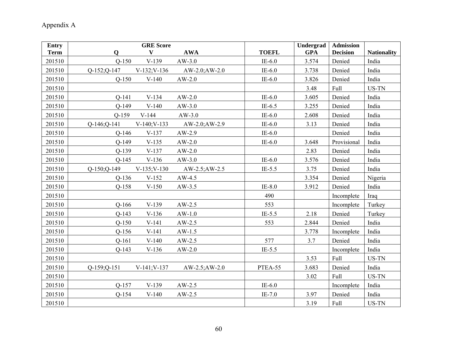| <b>Entry</b> | <b>GRE</b> Score                                      |                          | Undergrad<br><b>GPA</b> | <b>Admission</b> |                             |
|--------------|-------------------------------------------------------|--------------------------|-------------------------|------------------|-----------------------------|
| <b>Term</b>  | <b>AWA</b><br>V<br>$\mathbf 0$<br>$V-139$             | <b>TOEFL</b><br>$IE-6.0$ |                         | <b>Decision</b>  | <b>Nationality</b><br>India |
| 201510       | $Q-150$<br>$AW-3.0$                                   |                          | 3.574                   | Denied           |                             |
| 201510       | Q-152;Q-147<br>$V-132; V-136$<br>AW-2.0; AW-2.0       | $IE-6.0$                 | 3.738                   | Denied           | India                       |
| 201510       | $Q-150$<br>$V-140$<br>$AW-2.0$                        | $IE-6.0$                 | 3.826                   | Denied           | India                       |
| 201510       |                                                       |                          | 3.48                    | Full             | US-TN                       |
| 201510       | $V-134$<br>$AW-2.0$<br>$Q-141$                        | $IE-6.0$                 | 3.605                   | Denied           | India                       |
| 201510       | $Q-149$<br>$V-140$<br>$AW-3.0$                        | IE- $6.5$                | 3.255                   | Denied           | India                       |
| 201510       | $V-144$<br>$Q-159$<br>$AW-3.0$                        | $IE-6.0$                 | 2.608                   | Denied           | India                       |
| 201510       | $Q-146$ ; $Q-141$<br>$V-140; V-133$<br>AW-2.0; AW-2.9 | $IE-6.0$                 | 3.13                    | Denied           | India                       |
| 201510       | $Q-146$<br>$V-137$<br>$AW-2.9$                        | $IE-6.0$                 |                         | Denied           | India                       |
| 201510       | $Q-149$<br>$V-135$<br>$AW-2.0$                        | $IE-6.0$                 | 3.648                   | Provisional      | India                       |
| 201510       | $Q-139$<br>$V-137$<br>$AW-2.0$                        |                          | 2.83                    | Denied           | India                       |
| 201510       | $Q-145$<br>$V-136$<br>$AW-3.0$                        | IE- $6.0$                | 3.576                   | Denied           | India                       |
| 201510       | Q-150;Q-149<br>$V-135; V-130$<br>$AW-2.5;AW-2.5$      | $IE-5.5$                 | 3.75                    | Denied           | India                       |
| 201510       | $Q-136$<br>$V-152$<br>$AW-4.5$                        |                          | 3.354                   | Denied           | Nigeria                     |
| 201510       | $Q-158$<br>$V-150$<br>$AW-3.5$                        | $IE-8.0$                 | 3.912                   | Denied           | India                       |
| 201510       |                                                       | 490                      |                         | Incomplete       | Iraq                        |
| 201510       | $Q-166$<br>$V-139$<br>$AW-2.5$                        | 553                      |                         | Incomplete       | Turkey                      |
| 201510       | $Q-143$<br>$V-136$<br>$AW-1.0$                        | $IE-5.5$                 | 2.18                    | Denied           | Turkey                      |
| 201510       | $Q-150$<br>$V-141$<br>$AW-2.5$                        | 553                      | 2.844                   | Denied           | India                       |
| 201510       | $Q-156$<br>$V-141$<br>$AW-1.5$                        |                          | 3.778                   | Incomplete       | India                       |
| 201510       | $Q-161$<br>$V-140$<br>$AW-2.5$                        | 577                      | 3.7                     | Denied           | India                       |
| 201510       | $Q-143$<br>$V-136$<br>$AW-2.0$                        | $IE-5.5$                 |                         | Incomplete       | India                       |
| 201510       |                                                       |                          | 3.53                    | Full             | US-TN                       |
| 201510       | $Q-159; Q-151$<br>$V-141; V-137$<br>$AW-2.5;AW-2.0$   | PTEA-55                  | 3.683                   | Denied           | India                       |
| 201510       |                                                       |                          | 3.02                    | Full             | US-TN                       |
| 201510       | $Q-157$<br>$V-139$<br>$AW-2.5$                        | IE- $6.0$                |                         | Incomplete       | India                       |
| 201510       | $Q-154$<br>$V-140$<br>$AW-2.5$                        | $IE-7.0$                 | 3.97                    | Denied           | India                       |
| 201510       |                                                       |                          | 3.19                    | Full             | US-TN                       |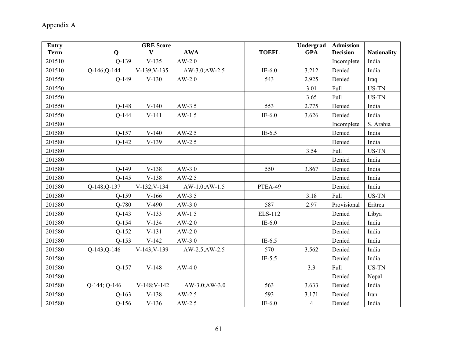| <b>Entry</b> | <b>GRE Score</b>                                    |              | Undergrad      | <b>Admission</b> |                    |
|--------------|-----------------------------------------------------|--------------|----------------|------------------|--------------------|
| <b>Term</b>  | $\mathbf Q$<br>V<br><b>AWA</b>                      | <b>TOEFL</b> | <b>GPA</b>     | <b>Decision</b>  | <b>Nationality</b> |
| 201510       | $Q-139$<br>$V-135$<br>$AW-2.0$                      |              |                | Incomplete       | India              |
| 201510       | Q-146; Q-144<br>$V-139; V-135$<br>AW-3.0; AW-2.5    | $IE-6.0$     | 3.212          | Denied           | India              |
| 201550       | $Q-149$<br>$V-130$<br>$AW-2.0$                      | 543          | 2.925          | Denied           | Iraq               |
| 201550       |                                                     |              | 3.01           | Full             | US-TN              |
| 201550       |                                                     |              | 3.65           | Full             | US-TN              |
| 201550       | $Q-148$<br>$V-140$<br>$AW-3.5$                      | 553          | 2.775          | Denied           | India              |
| 201550       | $Q-144$<br>$V-141$<br>$AW-1.5$                      | $IE-6.0$     | 3.626          | Denied           | India              |
| 201580       |                                                     |              |                | Incomplete       | S. Arabia          |
| 201580       | $Q-157$<br>$V-140$<br>$AW-2.5$                      | $IE-6.5$     |                | Denied           | India              |
| 201580       | $V-139$<br>$AW-2.5$<br>$Q-142$                      |              |                | Denied           | India              |
| 201580       |                                                     |              | 3.54           | Full             | US-TN              |
| 201580       |                                                     |              |                | Denied           | India              |
| 201580       | $Q-149$<br>$V-138$<br>$AW-3.0$                      | 550          | 3.867          | Denied           | India              |
| 201580       | $V-138$<br>$Q-145$<br>$AW-2.5$                      |              |                | Denied           | India              |
| 201580       | $V-132; V-134$<br>$Q-148; Q-137$<br>$AW-1.0;AW-1.5$ | PTEA-49      |                | Denied           | India              |
| 201580       | $Q-159$<br>$V-166$<br>$AW-3.5$                      |              | 3.18           | Full             | US-TN              |
| 201580       | Q-780<br>$V-490$<br>$AW-3.0$                        | 587          | 2.97           | Provisional      | Eritrea            |
| 201580       | $Q-143$<br>$V-133$<br>$AW-1.5$                      | ELS-112      |                | Denied           | Libya              |
| 201580       | $Q-154$<br>$V-134$<br>$AW-2.0$                      | $IE-6.0$     |                | Denied           | India              |
| 201580       | $Q-152$<br>$V-131$<br>$AW-2.0$                      |              |                | Denied           | India              |
| 201580       | $V-142$<br>$Q-153$<br>$AW-3.0$                      | $IE-6.5$     |                | Denied           | India              |
| 201580       | $Q-143; Q-146$<br>$V-143; V-139$<br>AW-2.5; AW-2.5  | 570          | 3.562          | Denied           | India              |
| 201580       |                                                     | $IE-5.5$     |                | Denied           | India              |
| 201580       | $Q-157$<br>$V-148$<br>$AW-4.0$                      |              | 3.3            | Full             | US-TN              |
| 201580       |                                                     |              |                | Denied           | Nepal              |
| 201580       | V-148; V-142<br>Q-144; Q-146<br>$AW-3.0;AW-3.0$     | 563          | 3.633          | Denied           | India              |
| 201580       | $Q-163$<br>$V-138$<br>$AW-2.5$                      | 593          | 3.171          | Denied           | Iran               |
| 201580       | $Q-156$<br>$V-136$<br>$AW-2.5$                      | $IE-6.0$     | $\overline{4}$ | Denied           | India              |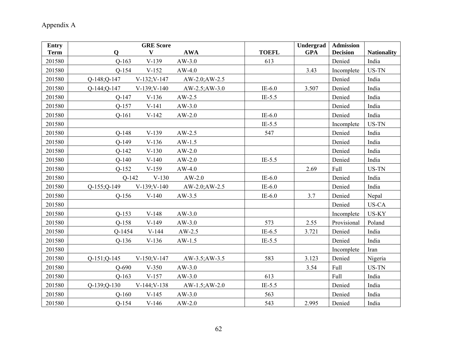| <b>Entry</b> | <b>GRE Score</b>                                     |              | Undergrad  | <b>Admission</b> |                    |
|--------------|------------------------------------------------------|--------------|------------|------------------|--------------------|
| <b>Term</b>  | <b>AWA</b><br>$\mathbf Q$<br>V                       | <b>TOEFL</b> | <b>GPA</b> | <b>Decision</b>  | <b>Nationality</b> |
| 201580       | $Q-163$<br>$V-139$<br>$AW-3.0$                       | 613          |            | Denied           | India              |
| 201580       | $Q-154$<br>$V-152$<br>$AW-4.0$                       |              | 3.43       | Incomplete       | US-TN              |
| 201580       | V-132; V-147<br>Q-148; Q-147<br>AW-2.0; AW-2.5       |              |            | Denied           | India              |
| 201580       | $V-139; V-140$<br>$Q-144; Q-147$<br>$AW-2.5; AW-3.0$ | $IE-6.0$     | 3.507      | Denied           | India              |
| 201580       | $Q-147$<br>$V-136$<br>$AW-2.5$                       | $IE-5.5$     |            | Denied           | India              |
| 201580       | $Q-157$<br>$V-141$<br>$AW-3.0$                       |              |            | Denied           | India              |
| 201580       | $Q-161$<br>$V-142$<br>$AW-2.0$                       | $IE-6.0$     |            | Denied           | India              |
| 201580       |                                                      | $IE-5.5$     |            | Incomplete       | US-TN              |
| 201580       | $V-139$<br>$Q-148$<br>$AW-2.5$                       | 547          |            | Denied           | India              |
| 201580       | $Q-149$<br>$V-136$<br>$AW-1.5$                       |              |            | Denied           | India              |
| 201580       | $Q-142$<br>$V-130$<br>$AW-2.0$                       |              |            | Denied           | India              |
| 201580       | $Q-140$<br>$V-140$<br>$AW-2.0$                       | $IE-5.5$     |            | Denied           | India              |
| 201580       | $Q-152$<br>$V-159$<br>$AW-4.0$                       |              | 2.69       | Full             | US-TN              |
| 201580       | $V-130$<br>$AW-2.0$<br>$Q-142$                       | $IE-6.0$     |            | Denied           | India              |
| 201580       | Q-155;Q-149<br>$V-139; V-140$<br>AW-2.0; AW-2.5      | $IE-6.0$     |            | Denied           | India              |
| 201580       | $Q-156$<br>$V-140$<br>$AW-3.5$                       | $IE-6.0$     | 3.7        | Denied           | Nepal              |
| 201580       |                                                      |              |            | Denied           | US-CA              |
| 201580       | $V-148$<br>$Q-153$<br>$AW-3.0$                       |              |            | Incomplete       | US-KY              |
| 201580       | $Q-158$<br>$V-149$<br>$AW-3.0$                       | 573          | 2.55       | Provisional      | Poland             |
| 201580       | $V-144$<br>$AW-2.5$<br>Q-1454                        | IE- $6.5$    | 3.721      | Denied           | India              |
| 201580       | $Q-136$<br>$V-136$<br>$AW-1.5$                       | $IE-5.5$     |            | Denied           | India              |
| 201580       |                                                      |              |            | Incomplete       | Iran               |
| 201580       | $Q-151; Q-145$<br>$V-150; V-147$<br>AW-3.5; AW-3.5   | 583          | 3.123      | Denied           | Nigeria            |
| 201580       | $Q - 690$<br>$V-350$<br>$AW-3.0$                     |              | 3.54       | Full             | US-TN              |
| 201580       | $Q-163$<br>$V-157$<br>$AW-3.0$                       | 613          |            | Full             | India              |
| 201580       | $Q-139$ ; $Q-130$<br>V-144; V-138<br>$AW-1.5;AW-2.0$ | $IE-5.5$     |            | Denied           | India              |
| 201580       | $O-160$<br>$V-145$<br>$AW-3.0$                       | 563          |            | Denied           | India              |
| 201580       | $Q-154$<br>$V-146$<br>$AW-2.0$                       | 543          | 2.995      | Denied           | India              |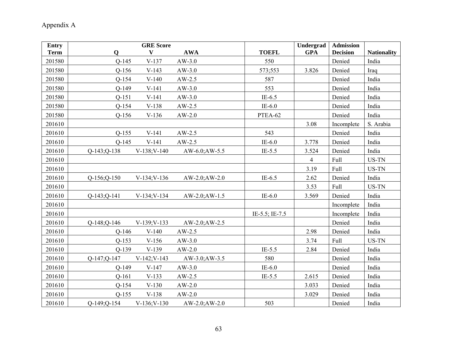| <b>Entry</b> | <b>GRE</b> Score                                       |                | Undergrad      | <b>Admission</b> |                    |
|--------------|--------------------------------------------------------|----------------|----------------|------------------|--------------------|
| <b>Term</b>  | <b>AWA</b><br>V<br>$\mathbf 0$                         | <b>TOEFL</b>   | <b>GPA</b>     | <b>Decision</b>  | <b>Nationality</b> |
| 201580       | $Q-145$<br>$V-137$<br>$AW-3.0$                         | 550            |                | Denied           | India              |
| 201580       | $Q-156$<br>$V-143$<br>$AW-3.0$                         | 573;553        | 3.826          | Denied           | Iraq               |
| 201580       | $Q-154$<br>$V-140$<br>$AW-2.5$                         | 587            |                | Denied           | India              |
| 201580       | $Q-149$<br>$V-141$<br>$AW-3.0$                         | 553            |                | Denied           | India              |
| 201580       | $Q-151$<br>$V-141$<br>$AW-3.0$                         | $IE-6.5$       |                | Denied           | India              |
| 201580       | $Q-154$<br>$V-138$<br>$AW-2.5$                         | $IE-6.0$       |                | Denied           | India              |
| 201580       | $Q-156$<br>$V-136$<br>$AW-2.0$                         | PTEA-62        |                | Denied           | India              |
| 201610       |                                                        |                | 3.08           | Incomplete       | S. Arabia          |
| 201610       | $Q-155$<br>$V-141$<br>$AW-2.5$                         | 543            |                | Denied           | India              |
| 201610       | $V-141$<br>$Q-145$<br>$AW-2.5$                         | $IE-6.0$       | 3.778          | Denied           | India              |
| 201610       | $Q-143; Q-138$<br>$V-138; V-140$<br>AW-6.0; AW-5.5     | $IE-5.5$       | 3.524          | Denied           | India              |
| 201610       |                                                        |                | $\overline{4}$ | Full             | US-TN              |
| 201610       |                                                        |                | 3.19           | Full             | US-TN              |
| 201610       | $V-134; V-136$<br>$Q-156$ ; $Q-150$<br>$AW-2.0;AW-2.0$ | $IE-6.5$       | 2.62           | Denied           | India              |
| 201610       |                                                        |                | 3.53           | Full             | US-TN              |
| 201610       | $Q-143;Q-141$<br>$V-134; V-134$<br>$AW-2.0;AW-1.5$     | $IE-6.0$       | 3.569          | Denied           | India              |
| 201610       |                                                        |                |                | Incomplete       | India              |
| 201610       |                                                        | IE-5.5; IE-7.5 |                | Incomplete       | India              |
| 201610       | V-139; V-133<br>$Q-148$ ; $Q-146$<br>$AW-2.0;AW-2.5$   |                |                | Denied           | India              |
| 201610       | $Q-146$<br>$V-140$<br>$AW-2.5$                         |                | 2.98           | Denied           | India              |
| 201610       | $Q-153$<br>$V-156$<br>$AW-3.0$                         |                | 3.74           | Full             | US-TN              |
| 201610       | $V-139$<br>$Q-139$<br>$AW-2.0$                         | $IE-5.5$       | 2.84           | Denied           | India              |
| 201610       | $Q-147;Q-147$<br>$V-142; V-143$<br>AW-3.0; AW-3.5      | 580            |                | Denied           | India              |
| 201610       | $Q-149$<br>$AW-3.0$<br>$V-147$                         | $IE-6.0$       |                | Denied           | India              |
| 201610       | $Q-161$<br>$V-133$<br>$AW-2.5$                         | $IE-5.5$       | 2.615          | Denied           | India              |
| 201610       | $Q-154$<br>$V-130$<br>$AW-2.0$                         |                | 3.033          | Denied           | India              |
| 201610       | $Q-155$<br>$V-138$<br>$AW-2.0$                         |                | 3.029          | Denied           | India              |
| 201610       | O-149:O-154<br>$V-136; V-130$<br>$AW-2.0; AW-2.0$      | 503            |                | Denied           | India              |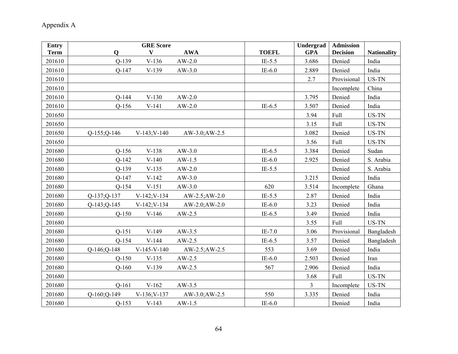# Appendix A

| <b>Entry</b> | <b>GRE Score</b>                                       |              | Undergrad      | <b>Admission</b> |                    |
|--------------|--------------------------------------------------------|--------------|----------------|------------------|--------------------|
| <b>Term</b>  | <b>AWA</b><br>V<br>$\mathbf 0$                         | <b>TOEFL</b> | <b>GPA</b>     | <b>Decision</b>  | <b>Nationality</b> |
| 201610       | $Q-139$<br>$V-136$<br>$AW-2.0$                         | $IE-5.5$     | 3.686          | Denied           | India              |
| 201610       | $Q-147$<br>$V-139$<br>$AW-3.0$                         | $IE-6.0$     | 2.889          | Denied           | India              |
| 201610       |                                                        |              | 2.7            | Provisional      | US-TN              |
| 201610       |                                                        |              |                | Incomplete       | China              |
| 201610       | $Q-144$<br>$V-130$<br>$AW-2.0$                         |              | 3.795          | Denied           | India              |
| 201610       | $Q-156$<br>$V-141$<br>$AW-2.0$                         | $IE-6.5$     | 3.507          | Denied           | India              |
| 201650       |                                                        |              | 3.94           | Full             | US-TN              |
| 201650       |                                                        |              | 3.15           | Full             | US-TN              |
| 201650       | $Q-155$ ; $Q-146$<br>$V-143; V-140$<br>$AW-3.0;AW-2.5$ |              | 3.082          | Denied           | US-TN              |
| 201650       |                                                        |              | 3.56           | Full             | US-TN              |
| 201680       | $Q-156$<br>$V-138$<br>$AW-3.0$                         | $IE-6.5$     | 3.384          | Denied           | Sudan              |
| 201680       | $Q-142$<br>$V-140$<br>$AW-1.5$                         | $IE-6.0$     | 2.925          | Denied           | S. Arabia          |
| 201680       | $Q-139$<br>$V-135$<br>$AW-2.0$                         | $IE-5.5$     |                | Denied           | S. Arabia          |
| 201680       | $V-142$<br>$Q-147$<br>$AW-3.0$                         |              | 3.215          | Denied           | India              |
| 201680       | $V-151$<br>$Q-154$<br>$AW-3.0$                         | 620          | 3.514          | Incomplete       | Ghana              |
| 201680       | $Q-137; Q-137$<br>$V-142; V-134$<br>$AW-2.5;AW-2.0$    | $IE-5.5$     | 2.87           | Denied           | India              |
| 201680       | $Q-143; Q-145$<br>$V-142; V-134$<br>$AW-2.0;AW-2.0$    | $IE-6.0$     | 3.23           | Denied           | India              |
| 201680       | $V-146$<br>$Q-150$<br>$AW-2.5$                         | $IE-6.5$     | 3.49           | Denied           | India              |
| 201680       |                                                        |              | 3.55           | Full             | US-TN              |
| 201680       | $V-149$<br>$Q-151$<br>$AW-3.5$                         | IE-7.0       | 3.06           | Provisional      | Bangladesh         |
| 201680       | $Q-154$<br>$V-144$<br>$AW-2.5$                         | $IE-6.5$     | 3.57           | Denied           | Bangladesh         |
| 201680       | Q-146; Q-148<br>$V-145-V-140$<br>$AW-2.5;AW-2.5$       | 553          | 3.69           | Denied           | India              |
| 201680       | $Q-150$<br>$V-135$<br>$AW-2.5$                         | $IE-6.0$     | 2.503          | Denied           | Iran               |
| 201680       | $O-160$<br>$V-139$<br>$AW-2.5$                         | 567          | 2.906          | Denied           | India              |
| 201680       |                                                        |              | 3.68           | Full             | US-TN              |
| 201680       | $V-162$<br>$Q-161$<br>$AW-3.5$                         |              | $\overline{3}$ | Incomplete       | US-TN              |
| 201680       | $Q-160; Q-149$<br>$V-136; V-137$<br>AW-3.0; AW-2.5     | 550          | 3.335          | Denied           | India              |
| 201680       | $Q-153$<br>$V-143$<br>$AW-1.5$                         | $IE-6.0$     |                | Denied           | India              |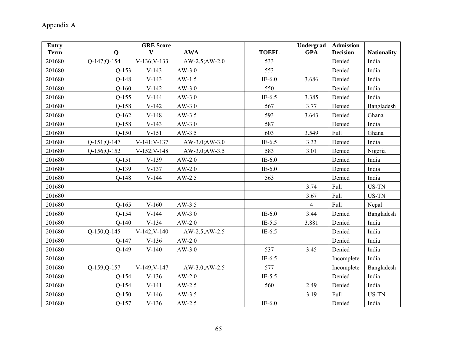| <b>Entry</b> | <b>GRE</b> Score                                   |              | <b>Undergrad</b> | <b>Admission</b> |                    |
|--------------|----------------------------------------------------|--------------|------------------|------------------|--------------------|
| <b>Term</b>  | $\mathbf{V}$<br><b>AWA</b><br>$\mathbf{Q}$         | <b>TOEFL</b> | <b>GPA</b>       | <b>Decision</b>  | <b>Nationality</b> |
| 201680       | $Q-147; Q-154$<br>$V-136; V-133$<br>AW-2.5; AW-2.0 | 533          |                  | Denied           | India              |
| 201680       | $Q-153$<br>$V-143$<br>$AW-3.0$                     | 553          |                  | Denied           | India              |
| 201680       | $V-143$<br>$Q-148$<br>$AW-1.5$                     | $IE-6.0$     | 3.686            | Denied           | India              |
| 201680       | $Q-160$<br>$V-142$<br>$AW-3.0$                     | 550          |                  | Denied           | India              |
| 201680       | $Q-155$<br>$V-144$<br>$AW-3.0$                     | IE- $6.5$    | 3.385            | Denied           | India              |
| 201680       | $Q-158$<br>$V-142$<br>$AW-3.0$                     | 567          | 3.77             | Denied           | Bangladesh         |
| 201680       | $Q-162$<br>$V-148$<br>$AW-3.5$                     | 593          | 3.643            | Denied           | Ghana              |
| 201680       | $Q-158$<br>$V-143$<br>$AW-3.0$                     | 587          |                  | Denied           | India              |
| 201680       | $Q-150$<br>$V-151$<br>$AW-3.5$                     | 603          | 3.549            | Full             | Ghana              |
| 201680       | Q-151;Q-147<br>$V-141; V-137$<br>AW-3.0; AW-3.0    | IE- $6.5$    | 3.33             | Denied           | India              |
| 201680       | Q-156;Q-152<br>V-152; V-148<br>$AW-3.0;AW-3.5$     | 583          | 3.01             | Denied           | Nigeria            |
| 201680       | $Q-151$<br>$V-139$<br>$AW-2.0$                     | $IE-6.0$     |                  | Denied           | India              |
| 201680       | $Q-139$<br>$V-137$<br>$AW-2.0$                     | $IE-6.0$     |                  | Denied           | India              |
| 201680       | $V-144$<br>$Q-148$<br>$AW-2.5$                     | 563          |                  | Denied           | India              |
| 201680       |                                                    |              | 3.74             | <b>Full</b>      | US-TN              |
| 201680       |                                                    |              | 3.67             | Full             | US-TN              |
| 201680       | $Q-165$<br>$V-160$<br>$AW-3.5$                     |              | $\overline{4}$   | Full             | Nepal              |
| 201680       | $Q-154$<br>$V-144$<br>$AW-3.0$                     | $IE-6.0$     | 3.44             | Denied           | Bangladesh         |
| 201680       | $Q-140$<br>$V-134$<br>$AW-2.0$                     | $IE-5.5$     | 3.881            | Denied           | India              |
| 201680       | Q-150;Q-145<br>$V-142; V-140$<br>AW-2.5; AW-2.5    | IE- $6.5$    |                  | Denied           | India              |
| 201680       | $V-136$<br>$Q-147$<br>$AW-2.0$                     |              |                  | Denied           | India              |
| 201680       | $V-140$<br>$AW-3.0$<br>$Q-149$                     | 537          | 3.45             | Denied           | India              |
| 201680       |                                                    | $IE-6.5$     |                  | Incomplete       | India              |
| 201680       | V-149; V-147<br>$Q-159; Q-157$<br>AW-3.0; AW-2.5   | 577          |                  | Incomplete       | Bangladesh         |
| 201680       | $Q-154$<br>$V-136$<br>$AW-2.0$                     | $IE-5.5$     |                  | Denied           | India              |
| 201680       | $Q-154$<br>$V-141$<br>$AW-2.5$                     | 560          | 2.49             | Denied           | India              |
| 201680       | $Q-150$<br>$V-146$<br>$AW-3.5$                     |              | 3.19             | Full             | US-TN              |
| 201680       | $Q-157$<br>$V-136$<br>$AW-2.5$                     | $IE-6.0$     |                  | Denied           | India              |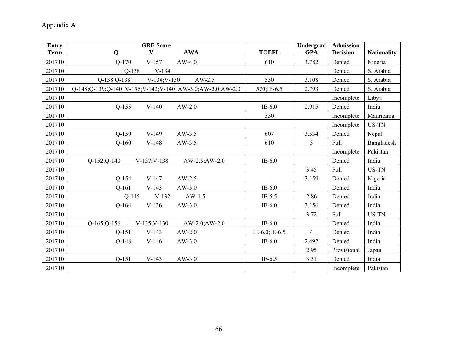| <b>Entry</b> | <b>GRE</b> Score                                         |                | Undergrad      | <b>Admission</b> |                    |
|--------------|----------------------------------------------------------|----------------|----------------|------------------|--------------------|
| <b>Term</b>  | $\mathbf{V}$<br><b>AWA</b><br>$\mathbf 0$                | <b>TOEFL</b>   | <b>GPA</b>     | <b>Decision</b>  | <b>Nationality</b> |
| 201710       | $AW-4.0$<br>$Q-170$<br>$V-157$                           | 610            | 3.782          | Denied           | Nigeria            |
| 201710       | $V-134$<br>$Q-138$                                       |                |                | Denied           | S. Arabia          |
| 201710       | $AW-2.5$<br>$Q-138; Q-138$<br>$V-134; V-130$             | 530            | 3.108          | Denied           | S. Arabia          |
| 201710       | Q-148;Q-139;Q-140 V-156;V-142;V-140 AW-3.0;AW-2.0;AW-2.0 | 570; IE-6.5    | 2.793          | Denied           | S. Arabia          |
| 201710       |                                                          |                |                | Incomplete       | Libya              |
| 201710       | $Q-155$<br>$V-140$<br>$AW-2.0$                           | $IE-6.0$       | 2.915          | Denied           | India              |
| 201710       |                                                          | 530            |                | Incomplete       | Mauritania         |
| 201710       |                                                          |                |                | Incomplete       | US-TN              |
| 201710       | $Q-159$<br>$V-149$<br>$AW-3.5$                           | 607            | 3.534          | Denied           | Nepal              |
| 201710       | $Q-160$<br>$V-148$<br>$AW-3.5$                           | 610            | $\overline{3}$ | Full             | Bangladesh         |
| 201710       |                                                          |                |                | Incomplete       | Pakistan           |
| 201710       | $Q-152$ ; $Q-140$<br>$V-137; V-138$<br>$AW-2.5;AW-2.0$   | $IE-6.0$       |                | Denied           | India              |
| 201710       |                                                          |                | 3.45           | Full             | US-TN              |
| 201710       | $Q-154$<br>$V-147$<br>$AW-2.5$                           |                | 3.159          | Denied           | Nigeria            |
| 201710       | $Q-161$<br>$AW-3.0$<br>$V-143$                           | $IE-6.0$       |                | Denied           | India              |
| 201710       | $Q-145$<br>$V-132$<br>$AW-1.5$                           | $IE-5.5$       | 2.86           | Denied           | India              |
| 201710       | $Q-164$<br>$V-136$<br>$AW-3.0$                           | $IE-6.0$       | 3.156          | Denied           | India              |
| 201710       |                                                          |                | 3.72           | Full             | US-TN              |
| 201710       | $V-135; V-130$<br>$Q-165$ ; $Q-156$<br>$AW-2.0;AW-2.0$   | $IE-6.0$       |                | Denied           | India              |
| 201710       | $AW-2.0$<br>$Q-151$<br>$V-143$                           | IE-6.0; IE-6.5 | $\overline{4}$ | Denied           | India              |
| 201710       | $Q-148$<br>$V-146$<br>$AW-3.0$                           | $IE-6.0$       | 2.492          | Denied           | India              |
| 201710       |                                                          |                | 2.95           | Provisional      | Japan              |
| 201710       | $V-143$<br>$AW-3.0$<br>$Q-151$                           | $IE-6.5$       | 3.51           | Denied           | India              |
| 201710       |                                                          |                |                | Incomplete       | Pakistan           |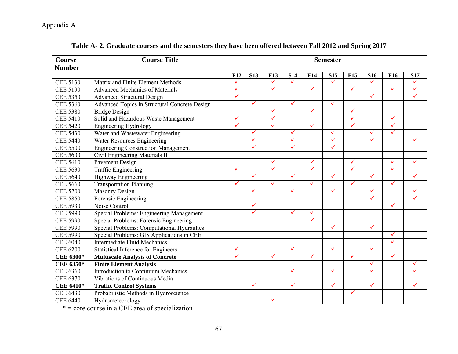| <b>Course</b>    | <b>Course Title</b>                           | <b>Semester</b> |              |              |              |              |              |              |              |              |              |
|------------------|-----------------------------------------------|-----------------|--------------|--------------|--------------|--------------|--------------|--------------|--------------|--------------|--------------|
| <b>Number</b>    |                                               |                 |              |              |              |              |              |              |              |              |              |
|                  |                                               | <b>F12</b>      | <b>S13</b>   | <b>F13</b>   | <b>S14</b>   | F14          | <b>S15</b>   | <b>F15</b>   | <b>S16</b>   | <b>F16</b>   | <b>S17</b>   |
| <b>CEE 5130</b>  | Matrix and Finite Element Methods             | ✓               |              | ✓            | $\checkmark$ |              | $\checkmark$ |              | $\checkmark$ |              | ✓            |
| <b>CEE 5190</b>  | <b>Advanced Mechanics of Materials</b>        | $\checkmark$    |              | $\checkmark$ |              | $\checkmark$ |              | $\checkmark$ |              | $\checkmark$ | $\checkmark$ |
| <b>CEE 5350</b>  | <b>Advanced Structural Design</b>             | $\checkmark$    |              |              |              |              |              |              | $\checkmark$ |              | $\checkmark$ |
| <b>CEE 5360</b>  | Advanced Topics in Structural Concrete Design |                 | $\checkmark$ |              | $\checkmark$ |              | $\checkmark$ |              |              |              |              |
| <b>CEE 5380</b>  | <b>Bridge Design</b>                          |                 |              | $\checkmark$ |              | ✓            |              | ✓            |              |              |              |
| <b>CEE 5410</b>  | Solid and Hazardous Waste Management          | ✓               |              | $\checkmark$ |              |              |              | ✓            |              | ✓            |              |
| <b>CEE 5420</b>  | <b>Engineering Hydrology</b>                  | $\checkmark$    |              | $\checkmark$ |              | ✓            |              | ✓            |              | ✓            |              |
| <b>CEE 5430</b>  | Water and Wastewater Engineering              |                 | ✓            |              | $\checkmark$ |              | $\checkmark$ |              | ✓            | $\checkmark$ |              |
| <b>CEE 5440</b>  | <b>Water Resources Engineering</b>            |                 | $\checkmark$ |              | $\checkmark$ |              | $\checkmark$ |              | $\checkmark$ |              | ✓            |
| <b>CEE 5500</b>  | <b>Engineering Construction Management</b>    |                 | ✓            |              | $\checkmark$ |              | ✓            |              |              |              |              |
| <b>CEE 5600</b>  | Civil Engineering Materials II                |                 |              |              |              |              |              |              |              |              |              |
| <b>CEE 5610</b>  | Pavement Design                               |                 |              | $\checkmark$ |              | ✓            |              | ✓            |              | ✓            | ✓            |
| <b>CEE 5630</b>  | Traffic Engineering                           | $\checkmark$    |              | $\checkmark$ |              | ✓            |              | ✓            |              | ✓            |              |
| <b>CEE 5640</b>  | Highway Engineering                           |                 | $\checkmark$ |              | $\checkmark$ |              | $\checkmark$ |              | $\checkmark$ |              | ✓            |
| <b>CEE 5660</b>  | <b>Transportation Planning</b>                | ✓               |              | $\checkmark$ |              | ✓            |              | ✓            |              | ✓            |              |
| <b>CEE 5700</b>  | Masonry Design                                |                 | ✓            |              | $\checkmark$ |              | $\checkmark$ |              | $\checkmark$ |              | $\checkmark$ |
| <b>CEE 5850</b>  | Forensic Engineering                          |                 |              |              |              |              |              |              | ✓            |              | ✓            |
| <b>CEE 5930</b>  | Noise Control                                 |                 | ✓            |              |              |              |              |              |              | ✓            |              |
| <b>CEE 5990</b>  | Special Problems: Engineering Management      |                 | ✓            |              | $\checkmark$ | ✓            |              |              |              |              |              |
| <b>CEE 5990</b>  | Special Problems: Forensic Engineering        |                 |              |              |              | $\checkmark$ |              |              |              |              |              |
| <b>CEE 5990</b>  | Special Problems: Computational Hydraulics    |                 |              |              |              |              | $\checkmark$ |              | $\checkmark$ |              |              |
| <b>CEE 5990</b>  | Special Problems: GIS Applications in CEE     |                 |              |              |              |              |              |              |              | ✓            |              |
| <b>CEE 6040</b>  | <b>Intermediate Fluid Mechanics</b>           |                 |              |              |              |              |              |              |              | ✓            |              |
| <b>CEE 6200</b>  | <b>Statistical Inference for Engineers</b>    | $\checkmark$    |              |              | $\checkmark$ |              | $\checkmark$ |              | $\checkmark$ |              |              |
| <b>CEE 6300*</b> | <b>Multiscale Analysis of Concrete</b>        | $\checkmark$    |              | $\checkmark$ |              | $\checkmark$ |              | $\checkmark$ |              | $\checkmark$ |              |
| CEE 6350*        | <b>Finite Element Analysis</b>                |                 |              |              |              |              |              |              | $\checkmark$ |              | ✓            |
| <b>CEE 6360</b>  | <b>Introduction to Continuum Mechanics</b>    |                 |              |              | $\checkmark$ |              | ✓            |              | ✓            |              | ✓            |
| CEE 6370         | Vibrations of Continuous Media                |                 |              |              |              |              |              |              |              |              |              |
| <b>CEE 6410*</b> | <b>Traffic Control Systems</b>                |                 | ✓            |              | $\checkmark$ |              | ✓            |              | ✓            |              | ✓            |
| <b>CEE 6430</b>  | Probabilistic Methods in Hydroscience         |                 |              |              |              |              |              | ✓            |              |              |              |
| <b>CEE 6440</b>  | Hydrometeorology                              |                 |              | $\checkmark$ |              |              |              |              |              |              |              |

**Table A- 2. Graduate courses and the semesters they have been offered between Fall 2012 and Spring 2017** 

\* = core course in a CEE area of specialization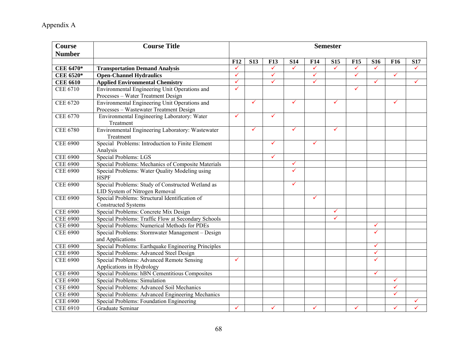| <b>Course</b><br><b>Number</b> | <b>Course Title</b>                                           | <b>Semester</b>                                      |              |              |              |              |              |              |              |              |   |
|--------------------------------|---------------------------------------------------------------|------------------------------------------------------|--------------|--------------|--------------|--------------|--------------|--------------|--------------|--------------|---|
|                                |                                                               | <b>F12</b><br><b>S13</b><br><b>F13</b><br><b>S14</b> |              |              | <b>F14</b>   | <b>S15</b>   | <b>F15</b>   | <b>S16</b>   | <b>F16</b>   | <b>S17</b>   |   |
| <b>CEE 6470*</b>               | <b>Transportation Demand Analysis</b>                         | $\checkmark$                                         |              | $\checkmark$ | $\checkmark$ | $\checkmark$ | $\checkmark$ | $\checkmark$ | $\checkmark$ |              | ✓ |
| CEE 6520*                      | <b>Open-Channel Hydraulics</b>                                | $\checkmark$                                         |              | $\checkmark$ |              | $\checkmark$ |              | $\checkmark$ |              | $\checkmark$ |   |
| <b>CEE 6610</b>                | <b>Applied Environmental Chemistry</b>                        | $\checkmark$                                         |              | ✓            |              | $\checkmark$ |              |              | $\checkmark$ |              | ✓ |
| <b>CEE 6710</b>                | Environmental Engineering Unit Operations and                 | ✓                                                    |              |              |              |              |              | $\checkmark$ |              |              |   |
|                                | Processes - Water Treatment Design                            |                                                      |              |              |              |              |              |              |              |              |   |
| <b>CEE 6720</b>                | Environmental Engineering Unit Operations and                 |                                                      | $\checkmark$ |              | $\checkmark$ |              | ✓            |              |              | $\checkmark$ |   |
|                                | Processes - Wastewater Treatment Design                       |                                                      |              |              |              |              |              |              |              |              |   |
| CEE 6770                       | Environmental Engineering Laboratory: Water                   | ✓                                                    |              | $\checkmark$ |              |              |              |              |              |              |   |
|                                | Treatment                                                     |                                                      |              |              |              |              |              |              |              |              |   |
| <b>CEE 6780</b>                | Environmental Engineering Laboratory: Wastewater              |                                                      | $\checkmark$ |              | $\checkmark$ |              | ✓            |              |              |              |   |
|                                | Treatment                                                     |                                                      |              |              |              |              |              |              |              |              |   |
| <b>CEE 6900</b>                | Special Problems: Introduction to Finite Element              |                                                      |              | $\checkmark$ |              | $\checkmark$ |              |              |              |              |   |
|                                | Analysis                                                      |                                                      |              |              |              |              |              |              |              |              |   |
| <b>CEE 6900</b>                | Special Problems: LGS                                         |                                                      |              | $\checkmark$ |              |              |              |              |              |              |   |
| <b>CEE 6900</b>                | Special Problems: Mechanics of Composite Materials            |                                                      |              |              | $\checkmark$ |              |              |              |              |              |   |
| <b>CEE 6900</b>                | Special Problems: Water Quality Modeling using<br><b>HSPF</b> |                                                      |              |              | $\checkmark$ |              |              |              |              |              |   |
| <b>CEE 6900</b>                | Special Problems: Study of Constructed Wetland as             |                                                      |              |              | $\checkmark$ |              |              |              |              |              |   |
|                                | LID System of Nitrogen Removal                                |                                                      |              |              |              |              |              |              |              |              |   |
| <b>CEE 6900</b>                | Special Problems: Structural Identification of                |                                                      |              |              |              | $\checkmark$ |              |              |              |              |   |
|                                | <b>Constructed Systems</b>                                    |                                                      |              |              |              |              |              |              |              |              |   |
| <b>CEE 6900</b>                | Special Problems: Concrete Mix Design                         |                                                      |              |              |              |              | $\checkmark$ |              |              |              |   |
| <b>CEE 6900</b>                | Special Problems: Traffic Flow at Secondary Schools           |                                                      |              |              |              |              | $\checkmark$ |              |              |              |   |
| <b>CEE 6900</b>                | Special Problems: Numerical Methods for PDEs                  |                                                      |              |              |              |              |              |              | $\checkmark$ |              |   |
| <b>CEE 6900</b>                | Special Problems: Stormwater Management - Design              |                                                      |              |              |              |              |              |              | ✓            |              |   |
|                                | and Applications                                              |                                                      |              |              |              |              |              |              |              |              |   |
| <b>CEE 6900</b>                | Special Problems: Earthquake Engineering Principles           |                                                      |              |              |              |              |              |              | $\checkmark$ |              |   |
| <b>CEE 6900</b>                | Special Problems: Advanced Steel Design                       |                                                      |              |              |              |              |              |              | $\checkmark$ |              |   |
| <b>CEE 6900</b>                | <b>Special Problems: Advanced Remote Sensing</b>              | $\checkmark$                                         |              |              |              |              |              |              | ✓            |              |   |
|                                | Applications in Hydrology                                     |                                                      |              |              |              |              |              |              |              |              |   |
| <b>CEE 6900</b>                | Special Problems: hBN Cementitious Composites                 |                                                      |              |              |              |              |              |              | $\checkmark$ |              |   |
| <b>CEE 6900</b>                | <b>Special Problems: Simulation</b>                           |                                                      |              |              |              |              |              |              |              | $\checkmark$ |   |
| <b>CEE 6900</b>                | Special Problems: Advanced Soil Mechanics                     |                                                      |              |              |              |              |              |              |              | ✓            |   |
| <b>CEE 6900</b>                | Special Problems: Advanced Engineering Mechanics              |                                                      |              |              |              |              |              |              |              | $\checkmark$ |   |
| <b>CEE 6900</b>                | Special Problems: Foundation Engineering                      |                                                      |              |              |              |              |              |              |              |              |   |
| <b>CEE 6910</b>                | Graduate Seminar                                              | ✓                                                    |              | ✓            |              | $\checkmark$ |              | ✓            |              | ✓            |   |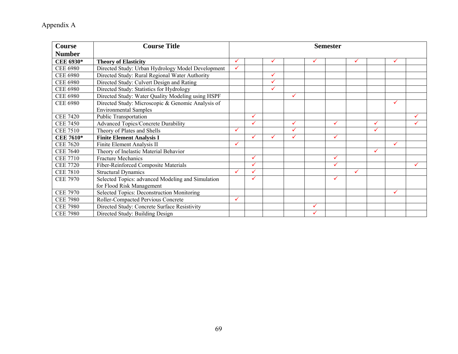| <b>Course</b>    | <b>Course Title</b>                               | <b>Semester</b> |   |   |   |              |              |              |   |              |   |
|------------------|---------------------------------------------------|-----------------|---|---|---|--------------|--------------|--------------|---|--------------|---|
| <b>Number</b>    |                                                   |                 |   |   |   |              |              |              |   |              |   |
| CEE 6930*        | <b>Theory of Elasticity</b>                       | ✓               |   | ✓ |   | ✓            |              | ✓            |   | ✓            |   |
| <b>CEE 6980</b>  | Directed Study: Urban Hydrology Model Development | ✓               |   |   |   |              |              |              |   |              |   |
| <b>CEE 6980</b>  | Directed Study: Rural Regional Water Authority    |                 |   | ✓ |   |              |              |              |   |              |   |
| <b>CEE 6980</b>  | Directed Study: Culvert Design and Rating         |                 |   | ✓ |   |              |              |              |   |              |   |
| <b>CEE 6980</b>  | Directed Study: Statistics for Hydrology          |                 |   | ✓ |   |              |              |              |   |              |   |
| <b>CEE 6980</b>  | Directed Study: Water Quality Modeling using HSPF |                 |   |   | ✓ |              |              |              |   |              |   |
| <b>CEE 6980</b>  | Directed Study: Microscopic & Genomic Analysis of |                 |   |   |   |              |              |              |   | ✓            |   |
|                  | <b>Environmental Samples</b>                      |                 |   |   |   |              |              |              |   |              |   |
| <b>CEE 7420</b>  | <b>Public Transportation</b>                      |                 | ✓ |   |   |              |              |              |   |              |   |
| <b>CEE 7450</b>  | <b>Advanced Topics/Concrete Durability</b>        |                 | ✓ |   | ✓ |              | ✓            |              | ✓ |              |   |
| <b>CEE 7510</b>  | Theory of Plates and Shells                       | ✓               |   |   | ✓ |              |              |              | ✓ |              |   |
| <b>CEE 7610*</b> | <b>Finite Element Analysis I</b>                  |                 | ✓ | ✓ | ✓ |              | ✓            |              |   |              |   |
| <b>CEE 7620</b>  | Finite Element Analysis II                        | ✓               |   |   |   |              |              |              |   | $\checkmark$ |   |
| <b>CEE 7640</b>  | Theory of Inelastic Material Behavior             |                 |   |   |   |              |              |              | ✓ |              |   |
| <b>CEE 7710</b>  | <b>Fracture Mechanics</b>                         |                 | ✓ |   |   |              | ✓            |              |   |              |   |
| <b>CEE 7720</b>  | Fiber-Reinforced Composite Materials              |                 | ✓ |   |   |              | $\checkmark$ |              |   |              | ✓ |
| <b>CEE 7810</b>  | <b>Structural Dynamics</b>                        | $\checkmark$    | ✓ |   |   |              |              | $\checkmark$ |   |              |   |
| <b>CEE 7970</b>  | Selected Topics: advanced Modeling and Simulation |                 | ✓ |   |   |              | ✓            |              |   |              |   |
|                  | for Flood Risk Management                         |                 |   |   |   |              |              |              |   |              |   |
| <b>CEE 7970</b>  | Selected Topics: Deconstruction Monitoring        |                 |   |   |   |              |              |              |   | ✓            |   |
| <b>CEE 7980</b>  | Roller-Compacted Pervious Concrete                | ✓               |   |   |   |              |              |              |   |              |   |
| <b>CEE 7980</b>  | Directed Study: Concrete Surface Resistivity      |                 |   |   |   | ✓            |              |              |   |              |   |
| <b>CEE 7980</b>  | Directed Study: Building Design                   |                 |   |   |   | $\checkmark$ |              |              |   |              |   |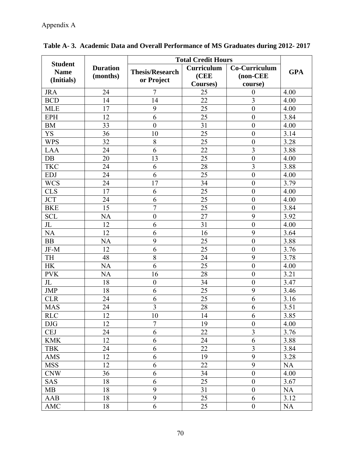|                |                 | <b>Total Credit Hours</b> |            |                  |            |
|----------------|-----------------|---------------------------|------------|------------------|------------|
| <b>Student</b> | <b>Duration</b> |                           | Curriculum | Co-Curriculum    |            |
| <b>Name</b>    | (months)        | <b>Thesis/Research</b>    | (CEE       | (non-CEE         | <b>GPA</b> |
| (Initials)     |                 | or Project                | Courses)   | course)          |            |
| <b>JRA</b>     | 24              | $\overline{7}$            | 25         | $\boldsymbol{0}$ | 4.00       |
| <b>BCD</b>     | 14              | 14                        | 22         | $\overline{3}$   | 4.00       |
| <b>MLE</b>     | 17              | 9                         | 25         | $\boldsymbol{0}$ | 4.00       |
| <b>EPH</b>     | 12              | 6                         | 25         | $\boldsymbol{0}$ | 3.84       |
| <b>BM</b>      | 33              | $\boldsymbol{0}$          | 31         | $\boldsymbol{0}$ | 4.00       |
| <b>YS</b>      | 36              | 10                        | 25         | $\boldsymbol{0}$ | 3.14       |
| <b>WPS</b>     | 32              | 8                         | 25         | $\boldsymbol{0}$ | 3.28       |
| <b>LAA</b>     | 24              | 6                         | 22         | $\overline{3}$   | 3.88       |
| DB             | 20              | 13                        | 25         | $\boldsymbol{0}$ | 4.00       |
| <b>TKC</b>     | 24              | 6                         | 28         | $\overline{3}$   | 3.88       |
| <b>EDJ</b>     | 24              | 6                         | 25         | $\boldsymbol{0}$ | 4.00       |
| <b>WCS</b>     | 24              | 17                        | 34         | $\boldsymbol{0}$ | 3.79       |
| <b>CLS</b>     | 17              | 6                         | 25         | $\boldsymbol{0}$ | 4.00       |
| <b>JCT</b>     | 24              | 6                         | 25         | $\boldsymbol{0}$ | 4.00       |
| <b>BKE</b>     | 15              | $\overline{7}$            | 25         | $\boldsymbol{0}$ | 3.84       |
| <b>SCL</b>     | NA              | $\boldsymbol{0}$          | 27         | 9                | 3.92       |
| $J_{L}$        | 12              | 6                         | 31         | $\boldsymbol{0}$ | 4.00       |
| <b>NA</b>      | 12              | 6                         | 16         | 9                | 3.64       |
| BB             | <b>NA</b>       | 9                         | 25         | $\boldsymbol{0}$ | 3.88       |
| JF-M           | 12              | 6                         | 25         | $\boldsymbol{0}$ | 3.76       |
| TH             | 48              | 8                         | 24         | 9                | 3.78       |
| <b>HK</b>      | <b>NA</b>       | 6                         | 25         | $\boldsymbol{0}$ | 4.00       |
| <b>PVK</b>     | <b>NA</b>       | 16                        | 28         | $\boldsymbol{0}$ | 3.21       |
| $J_{L}$        | 18              | $\boldsymbol{0}$          | 34         | $\boldsymbol{0}$ | 3.47       |
| <b>JMP</b>     | 18              | 6                         | 25         | 9                | 3.46       |
| <b>CLR</b>     | 24              | 6                         | 25         | 6                | 3.16       |
| <b>MAS</b>     | 24              | $\overline{3}$            | 28         | 6                | 3.51       |
| RLC            | $\overline{12}$ | $\overline{10}$           | 14         | 6                | 3.85       |
| <b>DJG</b>     | 12              | $\overline{7}$            | 19         | $\boldsymbol{0}$ | 4.00       |
| <b>CEJ</b>     | 24              | 6                         | 22         | 3                | 3.76       |
| <b>KMK</b>     | 12              | 6                         | 24         | 6                | 3.88       |
| <b>TBK</b>     | 24              | 6                         | 22         | $\overline{3}$   | 3.84       |
| AMS            | 12              | 6                         | 19         | 9                | 3.28       |
| <b>MSS</b>     | 12              | 6                         | 22         | 9                | <b>NA</b>  |
| <b>CNW</b>     | 36              | 6                         | 34         | $\boldsymbol{0}$ | 4.00       |
| <b>SAS</b>     | 18              | 6                         | 25         | $\boldsymbol{0}$ | 3.67       |
| MB             | 18              | 9                         | 31         | $\boldsymbol{0}$ | <b>NA</b>  |
| AAB            | 18              | 9                         | 25         | 6                | 3.12       |
| <b>AMC</b>     | 18              | $\overline{6}$            | 25         | $\boldsymbol{0}$ | <b>NA</b>  |

# **Table A- 3. Academic Data and Overall Performance of MS Graduates during 2012- 2017**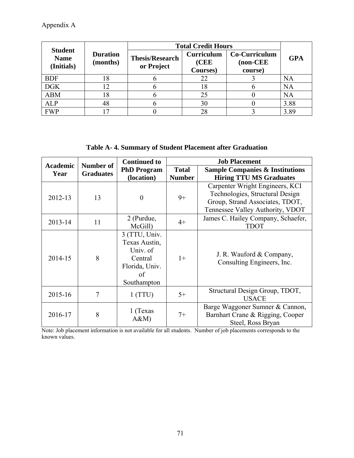| <b>Student</b>            |                             | <b>Total Credit Hours</b>            |                                       |                                       |            |
|---------------------------|-----------------------------|--------------------------------------|---------------------------------------|---------------------------------------|------------|
| <b>Name</b><br>(Initials) | <b>Duration</b><br>(months) | <b>Thesis/Research</b><br>or Project | <b>Curriculum</b><br>(CEE<br>Courses) | Co-Curriculum<br>$non-CEE$<br>course) | <b>GPA</b> |
| <b>BDF</b>                | 18                          |                                      | 22                                    |                                       | NA         |
| <b>DGK</b>                | 12                          |                                      | 18                                    |                                       | NA         |
| <b>ABM</b>                | 18                          |                                      | 25                                    |                                       | NA         |
| <b>ALP</b>                | 48                          |                                      | 30                                    |                                       | 3.88       |
| <b>FWP</b>                | 7                           |                                      |                                       |                                       | 3.89       |

**Table A- 4. Summary of Student Placement after Graduation** 

| <b>Academic</b> | Number of        | <b>Continued to</b>                                                                          | <b>Job Placement</b>          |                                                                                                                                           |  |
|-----------------|------------------|----------------------------------------------------------------------------------------------|-------------------------------|-------------------------------------------------------------------------------------------------------------------------------------------|--|
| Year            | <b>Graduates</b> | <b>PhD Program</b><br>(location)                                                             | <b>Total</b><br><b>Number</b> | <b>Sample Companies &amp; Institutions</b><br><b>Hiring TTU MS Graduates</b>                                                              |  |
| 2012-13         | 13               | $\theta$                                                                                     | $9+$                          | Carpenter Wright Engineers, KCI<br>Technologies, Structural Design<br>Group, Strand Associates, TDOT,<br>Tennessee Valley Authority, VDOT |  |
| 2013-14         | 11               | 2 (Purdue,<br>McGill)                                                                        | $4+$                          | James C. Hailey Company, Schaefer,<br><b>TDOT</b>                                                                                         |  |
| 2014-15         | 8                | 3 (TTU, Univ.<br>Texas Austin,<br>Univ. of<br>Central<br>Florida, Univ.<br>of<br>Southampton | $1+$                          | J. R. Wauford & Company,<br>Consulting Engineers, Inc.                                                                                    |  |
| 2015-16         | 7                | 1(TTU)                                                                                       | $5+$                          | Structural Design Group, TDOT,<br><b>USACE</b>                                                                                            |  |
| 2016-17         | 8                | 1 (Texas<br>A&M                                                                              | $7+$                          | Barge Waggoner Sumner & Cannon,<br>Barnhart Crane & Rigging, Cooper<br>Steel, Ross Bryan                                                  |  |

Note: Job placement information is not available for all students. Number of job placements corresponds to the known values.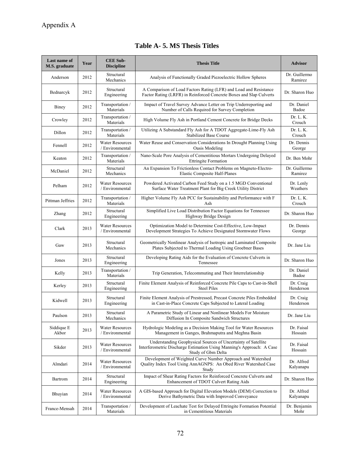|  |  | Table A - 5. MS Thesis Titles |  |
|--|--|-------------------------------|--|
|  |  |                               |  |

| Last name of<br>M.S. graduate | Year | <b>CEE Sub-</b><br><b>Discipline</b>      | <b>Thesis Title</b>                                                                                                                                          | <b>Advisor</b>           |
|-------------------------------|------|-------------------------------------------|--------------------------------------------------------------------------------------------------------------------------------------------------------------|--------------------------|
| Anderson                      | 2012 | Structural<br>Mechanics                   | Analysis of Functionally Graded Piezoelectric Hollow Spheres                                                                                                 | Dr. Guillermo<br>Ramirez |
| Bednarcyk                     | 2012 | Structural<br>Engineering                 | A Comparison of Load Factors Rating (LFR) and Load and Resistance<br>Factor Rating (LRFR) in Reinforced Concrete Boxes and Slap Culverts                     | Dr. Sharon Huo           |
| Biney                         | 2012 | Transportation /<br>Materials             | Impact of Travel Survey Advance Letter on Trip Underreporting and<br>Number of Calls Required for Survey Completion                                          | Dr. Daniel<br>Badoe      |
| Crowley                       | 2012 | Transportation /<br>Materials             | High Volume Fly Ash in Portland Cement Concrete for Bridge Decks                                                                                             | Dr. L. K.<br>Crouch      |
| Dillon                        | 2012 | Transportation /<br>Materials             | Utilizing A Substandard Fly Ash for A TDOT Aggregate-Lime-Fly Ash<br><b>Stabilized Base Course</b>                                                           | Dr. L. K.<br>Crouch      |
| Fennell                       | 2012 | <b>Water Resources</b><br>/ Environmental | Water Reuse and Conservation Considerations In Drought Planning Using<br>Oasis Modeling                                                                      | Dr. Dennis<br>George     |
| Keaton                        | 2012 | Transportation /<br>Materials             | Nano-Scale Pore Analysis of Cementitious Mortars Undergoing Delayed<br><b>Ettringite Formation</b>                                                           | Dr. Ben Mohr             |
| McDaniel                      | 2012 | Structural<br>Mechanics                   | An Expansion To Frictionless Contact Problems on Magneto-Electro-<br><b>Elastic Composite Half-Planes</b>                                                    | Dr. Guillermo<br>Ramirez |
| Pelham                        | 2012 | <b>Water Resources</b><br>/ Environmental | Powdered Activated Carbon Feed Study on a 1.5 MGD Conventional<br>Surface Water Treatment Plant for Big Creek Utility District                               | Dr. Lenly<br>Weathers    |
| Pittman Jeffries              | 2012 | Transportation /<br>Materials             | Higher Volume Fly Ash PCC for Sustainability and Performance with F<br>Ash                                                                                   | Dr. L. K.<br>Crouch      |
| Zhang                         | 2012 | Structural<br>Engineering                 | Simplified Live Load Distribution Factor Equations for Tennessee<br>Highway Bridge Design                                                                    | Dr. Sharon Huo           |
| Clark                         | 2013 | <b>Water Resources</b><br>/ Environmental | Optimization Model to Determine Cost-Effective, Low-Impact<br>Development Strategies To Achieve Designated Stormwater Flows                                  | Dr. Dennis<br>George     |
| Gaw                           | 2013 | Structural<br>Mechanics                   | Geometrically Nonlinear Analysis of Isotropic and Laminated Composite<br>Plates Subjected to Thermal Loading Using Groebner Bases                            | Dr. Jane Liu             |
| Jones                         | 2013 | Structural<br>Engineering                 | Developing Rating Aids for the Evaluation of Concrete Culverts in<br>Tennessee                                                                               | Dr. Sharon Huo           |
| Kelly                         | 2013 | Transportation /<br>Materials             | Trip Generation, Telecommuting and Their Interrelationship                                                                                                   | Dr. Daniel<br>Badoe      |
| Kerley                        | 2013 | Structural<br>Engineering                 | Finite Element Analysis of Reinforced Concrete Pile Caps to Cast-in-Shell<br><b>Steel Piles</b>                                                              | Dr. Craig<br>Henderson   |
| Kidwell                       | 2013 | Structural<br>Engineering                 | Finite Element Analysis of Prestressed, Precast Concrete Piles Embedded<br>in Cast-in-Place Concrete Caps Subjected to Lateral Loading                       | Dr. Craig<br>Henderson   |
| Paulson                       | 2013 | Structural<br>Mechanics                   | A Parametric Study of Linear and Nonlinear Models For Moisture<br>Diffusion In Composite Sandwich Structures                                                 | Dr. Jane Liu             |
| Siddique E<br>Akbor           | 2013 | <b>Water Resources</b><br>/ Environmental | Hydrologic Modeling as a Decision Making Tool for Water Resources<br>Management in Ganges, Brahmaputra and Meghna Basin                                      | Dr. Faisal<br>Hossain    |
| Sikder                        | 2013 | <b>Water Resources</b><br>/ Environmental | Understanding Geophysical Sources of Uncertainty of Satellite<br>Interferometric Discharge Estimation Using Manning's Approach: A Case<br>Study of Gbm Delta | Dr. Faisal<br>Hossain    |
| Almdari                       | 2014 | <b>Water Resources</b><br>/ Environmental | Development of Weighted Curve Number Approach and Watershed<br>Quality Index Tool Using AnnAGNPS: An Obed River Watershed Case<br>Study                      | Dr. Alfred<br>Kalyanapu  |
| Bartrom                       | 2014 | Structural<br>Engineering                 | Impact of Shear Rating Factors for Reinforced Concrete Culverts and<br>Enhancement of TDOT Culvert Rating Aids                                               | Dr. Sharon Huo           |
| Bhuyian                       | 2014 | <b>Water Resources</b><br>/ Environmental | A GIS-based Approach for Digital Elevation Models (DEM) Correction to<br>Derive Bathymetric Data with Improved Conveyance                                    | Dr. Alfred<br>Kalyanapu  |
| France-Mensah                 | 2014 | Transportation /<br>Materials             | Development of Leachate Test for Delayed Ettringite Formation Potential<br>in Cementitious Materials                                                         | Dr. Benjamin<br>Mohr     |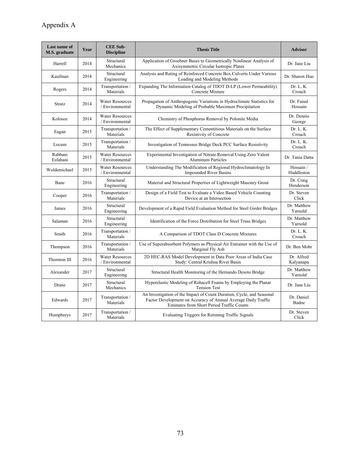| Last name of<br>M.S. graduate | Year | <b>CEE Sub-</b><br><b>Discipline</b>      | <b>Thesis Title</b>                                                                                                                                                                   | <b>Advisor</b>          |
|-------------------------------|------|-------------------------------------------|---------------------------------------------------------------------------------------------------------------------------------------------------------------------------------------|-------------------------|
| Harrell                       | 2014 | Structural<br>Mechanics                   | Application of Groebner Bases to Geometrically Nonlinear Analysis of<br>Axisymmetric Circular Isotropic Plates                                                                        | Dr. Jane Liu            |
| Kaufman                       | 2014 | Structural<br>Engineering                 | Analysis and Rating of Reinforced Concrete Box Culverts Under Various<br>Loading and Modeling Methods                                                                                 | Dr. Sharon Huo          |
| Rogers                        | 2014 | Transportation /<br>Materials             | Expanding The Information Catalog of TDOT D-LP (Lower Permeability)<br>Concrete Mixture                                                                                               | Dr. L. K.<br>Crouch     |
| Stratz                        | 2014 | <b>Water Resources</b><br>/ Environmental | Propagation of Anthropogenic Variations in Hydroclimate Statistics for<br>Dynamic Modeling of Probable Maximum Precipitation                                                          | Dr. Faisal<br>Hossain   |
| Kolosoz                       | 2014 | <b>Water Resources</b><br>/ Environmental | Chemistry of Phosphorus Removal by Polonite Media                                                                                                                                     | Dr. Dennis<br>George    |
| Eagan                         | 2015 | Transportation /<br>Materials             | The Effect of Supplementary Cementitious Materials on the Surface<br>Resistivity of Concrete                                                                                          | Dr. L. K.<br>Crouch     |
| Locum                         | 2015 | Transportation /<br>Materials             | Investigation of Tennessee Bridge Deck PCC Surface Resistivity                                                                                                                        | Dr. L. K.<br>Crouch     |
| Rabbani<br>Esfahani           | 2015 | <b>Water Resources</b><br>/ Environmental | Experimental Investigation of Nitrate Removal Using Zero Valent<br><b>Aluminum Particles</b>                                                                                          | Dr. Tania Datta         |
| Woldemichael                  | 2015 | <b>Water Resources</b><br>/ Environmental | Understanding The Modification of Regional Hydroclimatology In<br><b>Impounded River Basins</b>                                                                                       | Hossain /<br>Huddleston |
| Bane                          | 2016 | Structural<br>Engineering                 | Material and Structural Properties of Lightweight Masonry Grout                                                                                                                       | Dr. Craig<br>Henderson  |
| Cooper                        | 2016 | Transportation /<br>Materials             | Design of a Field Test to Evaluate a Video Based Vehicle Counting<br>Device at an Intersection                                                                                        | Dr. Steven<br>Click     |
| James                         | 2016 | Structural<br>Engineering                 | Development of a Rapid Field Evaluation Method for Steel Girder Bridges                                                                                                               | Dr. Matthew<br>Yarnold  |
| Salaman                       | 2016 | Structural<br>Engineering                 | Identification of the Force Distribution for Steel Truss Bridges                                                                                                                      | Dr. Matthew<br>Yarnold  |
| Smith                         | 2016 | Transportation /<br>Materials             | A Comparison of TDOT Class D Concrete Mixtures                                                                                                                                        | Dr. L. K.<br>Crouch     |
| Thompson                      | 2016 | Transportation /<br>Materials             | Use of Superabsorbent Polymers as Physical Air Entrainer with the Use of<br>Marginal Fly Ash                                                                                          | Dr. Ben Mohr            |
| Thornton III                  | 2016 | <b>Water Resources</b><br>/ Environmental | 2D HEC-RAS Model Development in Data Poor Areas of India Case<br>Study: Central Krishna River Basin                                                                                   | Dr. Alfred<br>Kalyanapu |
| Alexander                     | 2017 | Structural<br>Engineering                 | Structural Health Monitoring of the Hernando Desoto Bridge                                                                                                                            | Dr. Matthew<br>Yarnold  |
| Drane                         | 2017 | Structural<br>Mechanics                   | Hyperelastic Modeling of Rohacell Foams by Employing the Planar<br><b>Tension Test</b>                                                                                                | Dr. Jane Liu            |
| Edwards                       | 2017 | Transportation /<br>Materials             | An Investigation of the Impact of Count Duration, Cycle, and Seasonal<br>Factor Development on Accuracy of Annual Average Daily Traffic<br>Estimates from Short Period Traffic Counts | Dr. Daniel<br>Badoe     |
| Humphreys                     | 2017 | Transportation /<br>Materials             | Evaluating Triggers for Retiming Traffic Signals                                                                                                                                      | Dr. Steven<br>Click     |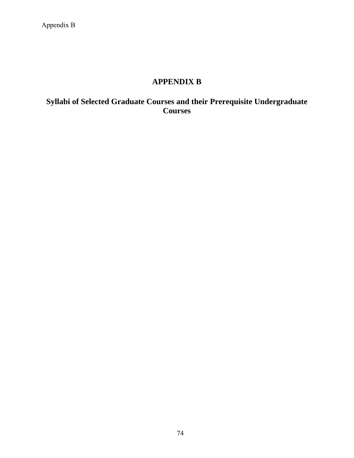# **APPENDIX B**

# **Syllabi of Selected Graduate Courses and their Prerequisite Undergraduate Courses**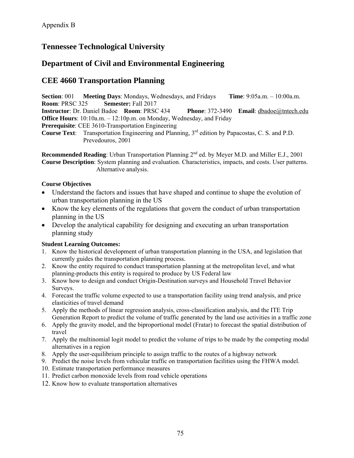# **Tennessee Technological University**

# **Department of Civil and Environmental Engineering**

# **CEE 4660 Transportation Planning**

**Section**: 001 **Meeting Days**: Mondays, Wednesdays, and Fridays **Time**: 9:05a.m. – 10:00a.m. **Room**: PRSC 325 **Semester:** Fall 2017

**Instructor**: Dr. Daniel Badoe **Room**: PRSC 434 **Phone**: 372-3490 **Email**: dbadoe@tntech.edu **Office Hours**: 10:10a.m. – 12:10p.m. on Monday, Wednesday, and Friday

**Prerequisite:** CEE 3610-Transportation Engineering

**Course Text**: Transportation Engineering and Planning, 3rd edition by Papacostas, C. S. and P.D. Prevedouros, 2001

**Recommended Reading**: Urban Transportation Planning 2<sup>nd</sup> ed. by Meyer M.D. and Miller E.J., 2001 **Course Description**: System planning and evaluation. Characteristics, impacts, and costs. User patterns. Alternative analysis.

## **Course Objectives**

- Understand the factors and issues that have shaped and continue to shape the evolution of urban transportation planning in the US
- Know the key elements of the regulations that govern the conduct of urban transportation planning in the US
- Develop the analytical capability for designing and executing an urban transportation planning study

# **Student Learning Outcomes:**

- 1. Know the historical development of urban transportation planning in the USA, and legislation that currently guides the transportation planning process.
- 2. Know the entity required to conduct transportation planning at the metropolitan level, and what planning-products this entity is required to produce by US Federal law
- 3. Know how to design and conduct Origin-Destination surveys and Household Travel Behavior Surveys.
- 4. Forecast the traffic volume expected to use a transportation facility using trend analysis, and price elasticities of travel demand
- 5. Apply the methods of linear regression analysis, cross-classification analysis, and the ITE Trip Generation Report to predict the volume of traffic generated by the land use activities in a traffic zone
- 6. Apply the gravity model, and the biproportional model (Fratar) to forecast the spatial distribution of travel
- 7. Apply the multinomial logit model to predict the volume of trips to be made by the competing modal alternatives in a region
- 8. Apply the user-equilibrium principle to assign traffic to the routes of a highway network
- 9. Predict the noise levels from vehicular traffic on transportation facilities using the FHWA model.
- 10. Estimate transportation performance measures
- 11. Predict carbon monoxide levels from road vehicle operations
- 12. Know how to evaluate transportation alternatives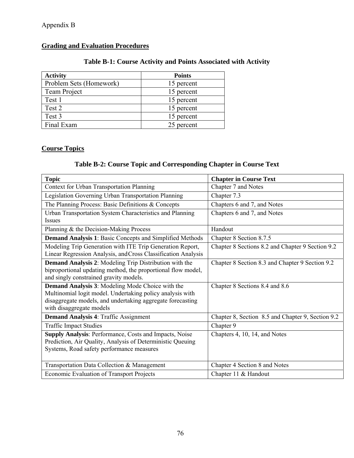# **Grading and Evaluation Procedures**

# **Table B-1: Course Activity and Points Associated with Activity**

| <b>Activity</b>         | <b>Points</b> |
|-------------------------|---------------|
| Problem Sets (Homework) | 15 percent    |
| Team Project            | 15 percent    |
| Test 1                  | 15 percent    |
| Test 2                  | 15 percent    |
| Test 3                  | 15 percent    |
| Final Exam              | 25 percent    |

# **Course Topics**

# **Table B-2: Course Topic and Corresponding Chapter in Course Text**

| <b>Topic</b>                                                                                                         | <b>Chapter in Course Text</b>                     |
|----------------------------------------------------------------------------------------------------------------------|---------------------------------------------------|
| Context for Urban Transportation Planning                                                                            | Chapter 7 and Notes                               |
| Legislation Governing Urban Transportation Planning                                                                  | Chapter 7.3                                       |
| The Planning Process: Basic Definitions & Concepts                                                                   | Chapters 6 and 7, and Notes                       |
| Urban Transportation System Characteristics and Planning                                                             | Chapters 6 and 7, and Notes                       |
| <b>Issues</b>                                                                                                        |                                                   |
| Planning & the Decision-Making Process                                                                               | Handout                                           |
| <b>Demand Analysis 1:</b> Basic Concepts and Simplified Methods                                                      | Chapter 8 Section 8.7.5                           |
| Modeling Trip Generation with ITE Trip Generation Report,                                                            | Chapter 8 Sections 8.2 and Chapter 9 Section 9.2  |
| Linear Regression Analysis, and Cross Classification Analysis                                                        |                                                   |
| <b>Demand Analysis 2:</b> Modeling Trip Distribution with the                                                        | Chapter 8 Section 8.3 and Chapter 9 Section 9.2   |
| biproportional updating method, the proportional flow model,<br>and singly constrained gravity models.               |                                                   |
|                                                                                                                      |                                                   |
| <b>Demand Analysis 3: Modeling Mode Choice with the</b><br>Multinomial logit model. Undertaking policy analysis with | Chapter 8 Sections 8.4 and 8.6                    |
| disaggregate models, and undertaking aggregate forecasting                                                           |                                                   |
| with disaggregate models                                                                                             |                                                   |
| <b>Demand Analysis 4: Traffic Assignment</b>                                                                         | Chapter 8, Section 8.5 and Chapter 9, Section 9.2 |
| <b>Traffic Impact Studies</b>                                                                                        | Chapter 9                                         |
| Supply Analysis: Performance, Costs and Impacts, Noise                                                               | Chapters 4, 10, 14, and Notes                     |
| Prediction, Air Quality, Analysis of Deterministic Queuing                                                           |                                                   |
| Systems, Road safety performance measures                                                                            |                                                   |
|                                                                                                                      |                                                   |
| Transportation Data Collection & Management                                                                          | Chapter 4 Section 8 and Notes                     |
| Economic Evaluation of Transport Projects                                                                            | Chapter 11 & Handout                              |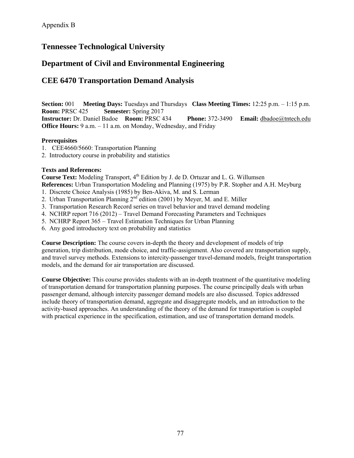# **Tennessee Technological University**

# **Department of Civil and Environmental Engineering**

# **CEE 6470 Transportation Demand Analysis**

**Section:** 001 **Meeting Days:** Tuesdays and Thursdays **Class Meeting Times:** 12:25 p.m. – 1:15 p.m. **Room:** PRSC 425 **Semester:** Spring 2017 **Instructor:** Dr. Daniel Badoe **Room:** PRSC 434 **Phone:** 372-3490 **Email:** dbadoe@tntech.edu **Office Hours:** 9 a.m. – 11 a.m. on Monday, Wednesday, and Friday

### **Prerequisites**

- 1. CEE4660/5660: Transportation Planning
- 2. Introductory course in probability and statistics

## **Texts and References:**

**Course Text:** Modeling Transport, 4<sup>th</sup> Edition by J. de D. Ortuzar and L. G. Willumsen **References:** Urban Transportation Modeling and Planning (1975) by P.R. Stopher and A.H. Meyburg

- 1. Discrete Choice Analysis (1985) by Ben-Akiva, M. and S. Lerman
- 2. Urban Transportation Planning  $2<sup>nd</sup>$  edition (2001) by Meyer, M. and E. Miller
- 3. Transportation Research Record series on travel behavior and travel demand modeling
- 4. NCHRP report 716 (2012) Travel Demand Forecasting Parameters and Techniques
- 5. NCHRP Report 365 Travel Estimation Techniques for Urban Planning
- 6. Any good introductory text on probability and statistics

**Course Description:** The course covers in-depth the theory and development of models of trip generation, trip distribution, mode choice, and traffic-assignment. Also covered are transportation supply, and travel survey methods. Extensions to intercity-passenger travel-demand models, freight transportation models, and the demand for air transportation are discussed.

**Course Objective:** This course provides students with an in-depth treatment of the quantitative modeling of transportation demand for transportation planning purposes. The course principally deals with urban passenger demand, although intercity passenger demand models are also discussed. Topics addressed include theory of transportation demand, aggregate and disaggregate models, and an introduction to the activity-based approaches. An understanding of the theory of the demand for transportation is coupled with practical experience in the specification, estimation, and use of transportation demand models.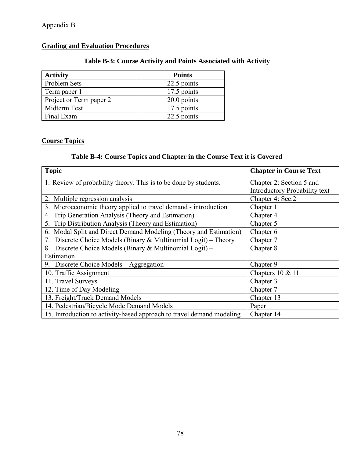# **Grading and Evaluation Procedures**

# **Table B-3: Course Activity and Points Associated with Activity**

| <b>Activity</b>         | <b>Points</b> |
|-------------------------|---------------|
| Problem Sets            | 22.5 points   |
| Term paper 1            | 17.5 points   |
| Project or Term paper 2 | $20.0$ points |
| Midterm Test            | 17.5 points   |
| Final Exam              | 22.5 points   |

# **Course Topics**

# **Table B-4: Course Topics and Chapter in the Course Text it is Covered**

| <b>Topic</b>                                                          | <b>Chapter in Course Text</b> |
|-----------------------------------------------------------------------|-------------------------------|
| 1. Review of probability theory. This is to be done by students.      | Chapter 2: Section 5 and      |
|                                                                       | Introductory Probability text |
| 2. Multiple regression analysis                                       | Chapter 4: Sec.2              |
| 3. Microeconomic theory applied to travel demand - introduction       | Chapter 1                     |
| 4. Trip Generation Analysis (Theory and Estimation)                   | Chapter 4                     |
| 5. Trip Distribution Analysis (Theory and Estimation)                 | Chapter 5                     |
| 6. Modal Split and Direct Demand Modeling (Theory and Estimation)     | Chapter 6                     |
| Discrete Choice Models (Binary & Multinomial Logit) – Theory<br>7.    | Chapter 7                     |
| 8. Discrete Choice Models (Binary & Multinomial Logit) -              | Chapter 8                     |
| Estimation                                                            |                               |
| 9. Discrete Choice Models - Aggregation                               | Chapter 9                     |
| 10. Traffic Assignment                                                | Chapters $10 \& 11$           |
| 11. Travel Surveys                                                    | Chapter 3                     |
| 12. Time of Day Modeling                                              | Chapter 7                     |
| 13. Freight/Truck Demand Models                                       | Chapter 13                    |
| 14. Pedestrian/Bicycle Mode Demand Models                             | Paper                         |
| 15. Introduction to activity-based approach to travel demand modeling | Chapter 14                    |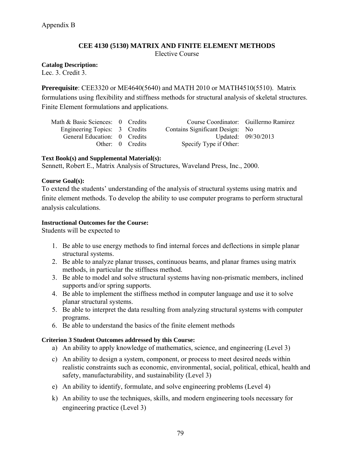# **CEE 4130 (5130) MATRIX AND FINITE ELEMENT METHODS**

Elective Course

**Catalog Description:** 

Lec. 3. Credit 3.

**Prerequisite**: CEE3320 or ME4640(5640) and MATH 2010 or MATH4510(5510). Matrix formulations using flexibility and stiffness methods for structural analysis of skeletal structures. Finite Element formulations and applications.

| Math & Basic Sciences: 0 Credits |                  | Course Coordinator: Guillermo Ramirez |                     |
|----------------------------------|------------------|---------------------------------------|---------------------|
| Engineering Topics: 3 Credits    |                  | Contains Significant Design: No       |                     |
| General Education: 0 Credits     |                  |                                       | Updated: 09/30/2013 |
|                                  | Other: 0 Credits | Specify Type if Other:                |                     |

### **Text Book(s) and Supplemental Material(s):**

Sennett, Robert E., Matrix Analysis of Structures, Waveland Press, Inc., 2000.

### **Course Goal(s):**

To extend the students' understanding of the analysis of structural systems using matrix and finite element methods. To develop the ability to use computer programs to perform structural analysis calculations.

### **Instructional Outcomes for the Course:**

Students will be expected to

- 1. Be able to use energy methods to find internal forces and deflections in simple planar structural systems.
- 2. Be able to analyze planar trusses, continuous beams, and planar frames using matrix methods, in particular the stiffness method.
- 3. Be able to model and solve structural systems having non-prismatic members, inclined supports and/or spring supports.
- 4. Be able to implement the stiffness method in computer language and use it to solve planar structural systems.
- 5. Be able to interpret the data resulting from analyzing structural systems with computer programs.
- 6. Be able to understand the basics of the finite element methods

### **Criterion 3 Student Outcomes addressed by this Course:**

- a) An ability to apply knowledge of mathematics, science, and engineering (Level 3)
- c) An ability to design a system, component, or process to meet desired needs within realistic constraints such as economic, environmental, social, political, ethical, health and safety, manufacturability, and sustainability (Level 3)
- e) An ability to identify, formulate, and solve engineering problems (Level 4)
- k) An ability to use the techniques, skills, and modern engineering tools necessary for engineering practice (Level 3)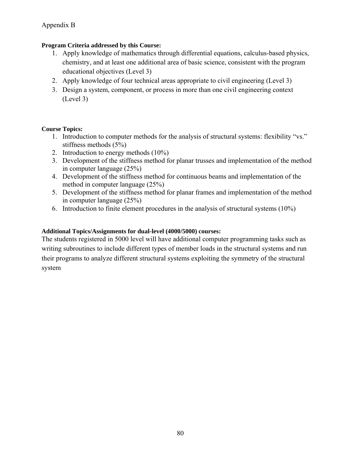# **Program Criteria addressed by this Course:**

- 1. Apply knowledge of mathematics through differential equations, calculus-based physics, chemistry, and at least one additional area of basic science, consistent with the program educational objectives (Level 3)
- 2. Apply knowledge of four technical areas appropriate to civil engineering (Level 3)
- 3. Design a system, component, or process in more than one civil engineering context (Level 3)

# **Course Topics:**

- 1. Introduction to computer methods for the analysis of structural systems: flexibility "vs." stiffness methods (5%)
- 2. Introduction to energy methods (10%)
- 3. Development of the stiffness method for planar trusses and implementation of the method in computer language (25%)
- 4. Development of the stiffness method for continuous beams and implementation of the method in computer language (25%)
- 5. Development of the stiffness method for planar frames and implementation of the method in computer language (25%)
- 6. Introduction to finite element procedures in the analysis of structural systems (10%)

# **Additional Topics/Assignments for dual-level (4000/5000) courses:**

The students registered in 5000 level will have additional computer programming tasks such as writing subroutines to include different types of member loads in the structural systems and run their programs to analyze different structural systems exploiting the symmetry of the structural system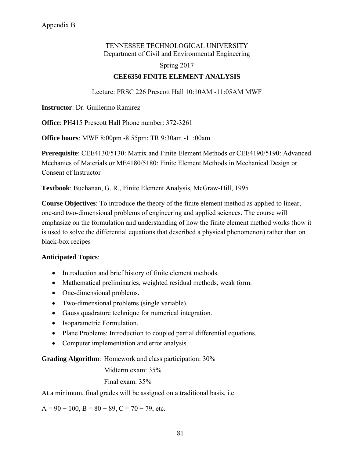# TENNESSEE TECHNOLOGICAL UNIVERSITY Department of Civil and Environmental Engineering

Spring 2017

# **CEE6350 FINITE ELEMENT ANALYSIS**

Lecture: PRSC 226 Prescott Hall 10:10AM -11:05AM MWF

**Instructor**: Dr. Guillermo Ramirez

**Office**: PH415 Prescott Hall Phone number: 372-3261

**Office hours**: MWF 8:00pm -8:55pm; TR 9:30am -11:00am

**Prerequisite**: CEE4130/5130: Matrix and Finite Element Methods or CEE4190/5190: Advanced Mechanics of Materials or ME4180/5180: Finite Element Methods in Mechanical Design or Consent of Instructor

**Textbook**: Buchanan, G. R., Finite Element Analysis, McGraw-Hill, 1995

**Course Objectives**: To introduce the theory of the finite element method as applied to linear, one-and two-dimensional problems of engineering and applied sciences. The course will emphasize on the formulation and understanding of how the finite element method works (how it is used to solve the differential equations that described a physical phenomenon) rather than on black-box recipes

# **Anticipated Topics**:

- Introduction and brief history of finite element methods.
- Mathematical preliminaries, weighted residual methods, weak form.
- One-dimensional problems.
- Two-dimensional problems (single variable).
- Gauss quadrature technique for numerical integration.
- Isoparametric Formulation.
- Plane Problems: Introduction to coupled partial differential equations.
- Computer implementation and error analysis.

**Grading Algorithm**: Homework and class participation: 30%

Midterm exam: 35% Final exam: 35%

At a minimum, final grades will be assigned on a traditional basis, i.e.

 $A = 90 - 100$ ,  $B = 80 - 89$ ,  $C = 70 - 79$ , etc.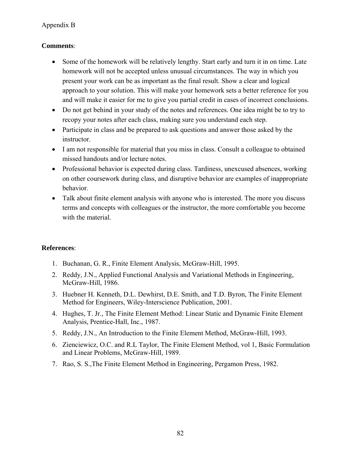# **Comments**:

- Some of the homework will be relatively lengthy. Start early and turn it in on time. Late homework will not be accepted unless unusual circumstances. The way in which you present your work can be as important as the final result. Show a clear and logical approach to your solution. This will make your homework sets a better reference for you and will make it easier for me to give you partial credit in cases of incorrect conclusions.
- Do not get behind in your study of the notes and references. One idea might be to try to recopy your notes after each class, making sure you understand each step.
- Participate in class and be prepared to ask questions and answer those asked by the instructor.
- I am not responsible for material that you miss in class. Consult a colleague to obtained missed handouts and/or lecture notes.
- Professional behavior is expected during class. Tardiness, unexcused absences, working on other coursework during class, and disruptive behavior are examples of inappropriate behavior.
- Talk about finite element analysis with anyone who is interested. The more you discuss terms and concepts with colleagues or the instructor, the more comfortable you become with the material.

# **References**:

- 1. Buchanan, G. R., Finite Element Analysis, McGraw-Hill, 1995.
- 2. Reddy, J.N., Applied Functional Analysis and Variational Methods in Engineering, McGraw-Hill, 1986.
- 3. Huebner H. Kenneth, D.L. Dewhirst, D.E. Smith, and T.D. Byron, The Finite Element Method for Engineers, Wiley-Interscience Publication, 2001.
- 4. Hughes, T. Jr., The Finite Element Method: Linear Static and Dynamic Finite Element Analysis, Prentice-Hall, Inc., 1987.
- 5. Reddy, J.N., An Introduction to the Finite Element Method, McGraw-Hill, 1993.
- 6. Zienciewicz, O.C. and R.L Taylor, The Finite Element Method, vol 1, Basic Formulation and Linear Problems, McGraw-Hill, 1989.
- 7. Rao, S. S.,The Finite Element Method in Engineering, Pergamon Press, 1982.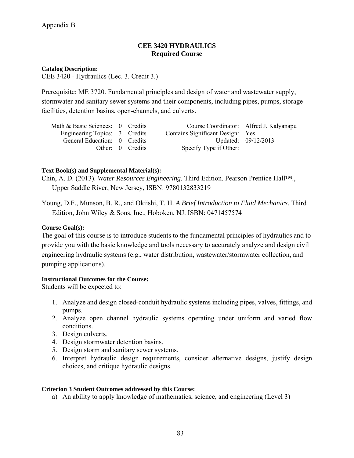## **CEE 3420 HYDRAULICS Required Course**

#### **Catalog Description:**

CEE 3420 - Hydraulics (Lec. 3. Credit 3.)

Prerequisite: ME 3720. Fundamental principles and design of water and wastewater supply, stormwater and sanitary sewer systems and their components, including pipes, pumps, storage facilities, detention basins, open-channels, and culverts.

| Math & Basic Sciences: 0 Credits |                  | Course Coordinator: Alfred J. Kalyanapu |                     |
|----------------------------------|------------------|-----------------------------------------|---------------------|
| Engineering Topics: 3 Credits    |                  | Contains Significant Design: Yes        |                     |
| General Education: 0 Credits     |                  |                                         | Updated: 09/12/2013 |
|                                  | Other: 0 Credits | Specify Type if Other:                  |                     |

### **Text Book(s) and Supplemental Material(s):**

Chin, A. D. (2013). *Water Resources Engineering*. Third Edition. Pearson Prentice Hall™., Upper Saddle River, New Jersey, ISBN: 9780132833219

Young, D.F., Munson, B. R., and Okiishi, T. H. *A Brief Introduction to Fluid Mechanics*. Third Edition, John Wiley & Sons, Inc., Hoboken, NJ. ISBN: 0471457574

### **Course Goal(s):**

The goal of this course is to introduce students to the fundamental principles of hydraulics and to provide you with the basic knowledge and tools necessary to accurately analyze and design civil engineering hydraulic systems (e.g., water distribution, wastewater/stormwater collection, and pumping applications).

### **Instructional Outcomes for the Course:**

Students will be expected to:

- 1. Analyze and design closed-conduit hydraulic systems including pipes, valves, fittings, and pumps.
- 2. Analyze open channel hydraulic systems operating under uniform and varied flow conditions.
- 3. Design culverts.
- 4. Design stormwater detention basins.
- 5. Design storm and sanitary sewer systems.
- 6. Interpret hydraulic design requirements, consider alternative designs, justify design choices, and critique hydraulic designs.

### **Criterion 3 Student Outcomes addressed by this Course:**

a) An ability to apply knowledge of mathematics, science, and engineering (Level 3)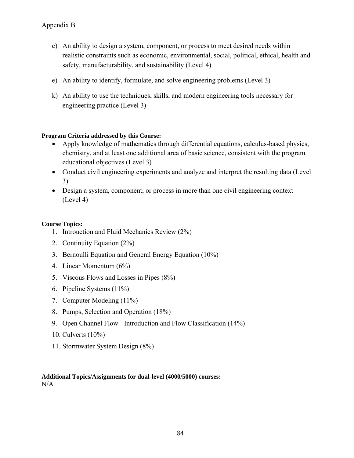- c) An ability to design a system, component, or process to meet desired needs within realistic constraints such as economic, environmental, social, political, ethical, health and safety, manufacturability, and sustainability (Level 4)
- e) An ability to identify, formulate, and solve engineering problems (Level 3)
- k) An ability to use the techniques, skills, and modern engineering tools necessary for engineering practice (Level 3)

# **Program Criteria addressed by this Course:**

- Apply knowledge of mathematics through differential equations, calculus-based physics, chemistry, and at least one additional area of basic science, consistent with the program educational objectives (Level 3)
- Conduct civil engineering experiments and analyze and interpret the resulting data (Level 3)
- Design a system, component, or process in more than one civil engineering context (Level 4)

## **Course Topics:**

- 1. Introuction and Fluid Mechanics Review (2%)
- 2. Continuity Equation (2%)
- 3. Bernoulli Equation and General Energy Equation (10%)
- 4. Linear Momentum (6%)
- 5. Viscous Flows and Losses in Pipes (8%)
- 6. Pipeline Systems (11%)
- 7. Computer Modeling (11%)
- 8. Pumps, Selection and Operation (18%)
- 9. Open Channel Flow Introduction and Flow Classification (14%)
- 10. Culverts (10%)
- 11. Stormwater System Design (8%)

#### **Additional Topics/Assignments for dual-level (4000/5000) courses:**  N/A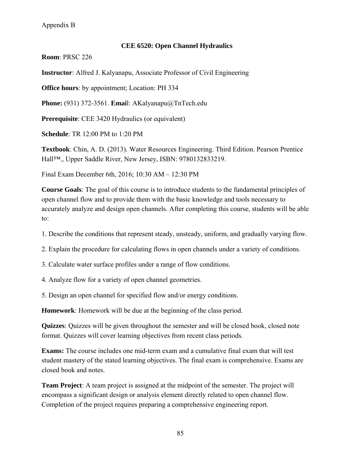### **CEE 6520: Open Channel Hydraulics**

**Room**: PRSC 226

**Instructor**: Alfred J. Kalyanapu, Associate Professor of Civil Engineering

**Office hours**: by appointment; Location: PH 334

**Phone:** (931) 372-3561. **Emai**l: AKalyanapu@TnTech.edu

**Prerequisite**: CEE 3420 Hydraulics (or equivalent)

**Schedule**: TR 12:00 PM to 1:20 PM

**Textbook**: Chin, A. D. (2013). Water Resources Engineering. Third Edition. Pearson Prentice Hall™., Upper Saddle River, New Jersey, ISBN: 9780132833219.

Final Exam December 6th, 2016; 10:30 AM – 12:30 PM

**Course Goals**: The goal of this course is to introduce students to the fundamental principles of open channel flow and to provide them with the basic knowledge and tools necessary to accurately analyze and design open channels. After completing this course, students will be able to:

1. Describe the conditions that represent steady, unsteady, uniform, and gradually varying flow.

2. Explain the procedure for calculating flows in open channels under a variety of conditions.

3. Calculate water surface profiles under a range of flow conditions.

4. Analyze flow for a variety of open channel geometries.

5. Design an open channel for specified flow and/or energy conditions.

**Homework**: Homework will be due at the beginning of the class period.

**Quizzes**: Quizzes will be given throughout the semester and will be closed book, closed note format. Quizzes will cover learning objectives from recent class periods.

**Exams:** The course includes one mid-term exam and a cumulative final exam that will test student mastery of the stated learning objectives. The final exam is comprehensive. Exams are closed book and notes.

**Team Project**: A team project is assigned at the midpoint of the semester. The project will encompass a significant design or analysis element directly related to open channel flow. Completion of the project requires preparing a comprehensive engineering report.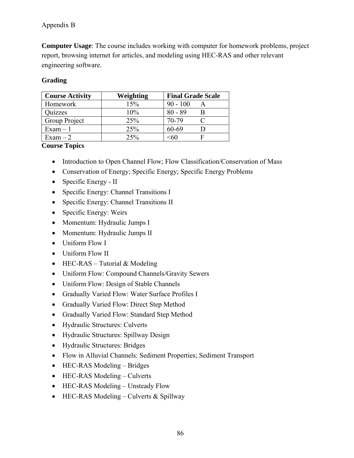# Appendix B

**Computer Usage**: The course includes working with computer for homework problems, project report, browsing internet for articles, and modeling using HEC-RAS and other relevant engineering software.

# **Grading**

| <b>Course Activity</b> | Weighting | <b>Final Grade Scale</b> |
|------------------------|-----------|--------------------------|
| Homework               | 15%       | $90 - 100$               |
| Quizzes                | 10%       | $80 - 89$                |
| Group Project          | 25%       | 70-79                    |
| $Exam - 1$             | 25%       | 60-69                    |
| $Exam - 2$             | 25%       | <60                      |

# **Course Topics**

- Introduction to Open Channel Flow; Flow Classification/Conservation of Mass
- Conservation of Energy; Specific Energy; Specific Energy Problems
- Specific Energy II
- Specific Energy: Channel Transitions I
- Specific Energy: Channel Transitions II
- Specific Energy: Weirs
- Momentum: Hydraulic Jumps I
- Momentum: Hydraulic Jumps II
- Uniform Flow I
- Uniform Flow II
- $\bullet$  HEC-RAS Tutorial & Modeling
- Uniform Flow: Compound Channels/Gravity Sewers
- Uniform Flow: Design of Stable Channels
- Gradually Varied Flow: Water Surface Profiles I
- Gradually Varied Flow: Direct Step Method
- Gradually Varied Flow: Standard Step Method
- Hydraulic Structures: Culverts
- Hydraulic Structures: Spillway Design
- Hydraulic Structures: Bridges
- Flow in Alluvial Channels: Sediment Properties; Sediment Transport
- HEC-RAS Modeling Bridges
- HEC-RAS Modeling Culverts
- HEC-RAS Modeling Unsteady Flow
- $\bullet$  HEC-RAS Modeling Culverts & Spillway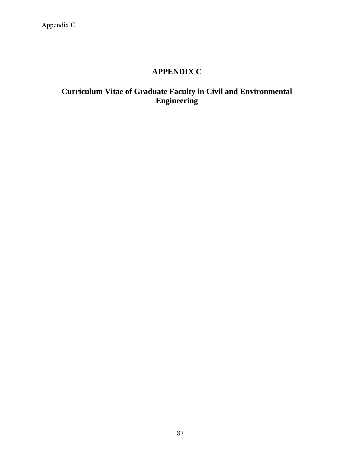# **APPENDIX C**

# **Curriculum Vitae of Graduate Faculty in Civil and Environmental Engineering**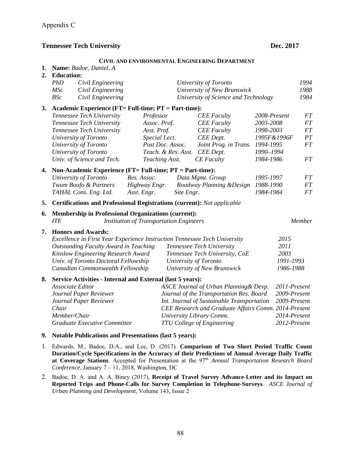#### **CIVIL AND ENVIRONMENTAL ENGINEERING DEPARTMENT**

| 1.<br>2. | Name: Badoe, Daniel, A<br><b>Education:</b>                                    |                                                |                                                      |              |           |
|----------|--------------------------------------------------------------------------------|------------------------------------------------|------------------------------------------------------|--------------|-----------|
|          | PhD<br>Civil Engineering                                                       |                                                | University of Toronto                                |              | 1994      |
|          | Civil Engineering<br><b>MSc</b>                                                |                                                | University of New Brunswick                          |              | 1988      |
|          | BSc<br>Civil Engineering                                                       |                                                | University of Science and Technology                 |              | 1984      |
| 3.       | Academic Experience (FT= Full-time; PT = Part-time):                           |                                                |                                                      |              |           |
|          | Tennessee Tech University                                                      | Professor                                      | <b>CEE</b> Faculty                                   | 2008-Present | $\cal FT$ |
|          | Tennessee Tech University                                                      | Assoc. Prof.                                   | <b>CEE</b> Faculty                                   | 2003-2008    | FT        |
|          | Tennessee Tech University                                                      | Asst. Prof.                                    | <b>CEE</b> Faculty                                   | 1998-2003    | FT        |
|          | University of Toronto                                                          | Special Lect.                                  | <b>CEE</b> Dept.                                     | 1995F&1996F  | PT        |
|          | University of Toronto                                                          | Post Doc. Assoc.                               | Joint Prog. in Trans.                                | 1994-1995    | <b>FT</b> |
|          | University of Toronto                                                          | Teach. & Res. Asst.                            | <b>CEE</b> Dept.                                     | 1990-1994    |           |
|          | Univ. of Science and Tech.                                                     | Teaching Asst.                                 | <b>CE</b> Faculty                                    | 1984-1986    | FT        |
| 4.       | Non-Academic Experience (FT= Full-time; PT = Part-time):                       |                                                |                                                      |              |           |
|          | University of Toronto                                                          | Res. Assoc.                                    | Data Mgmt. Group                                     | 1995-1997    | FT        |
|          | Twum Boafo & Partners                                                          | Highway Engr.                                  | Roadway Planning & Design                            | 1988-1990    | $\cal FT$ |
|          | TAHAL Cons. Eng. Ltd.                                                          | Asst. Engr.<br>Site Engr.                      |                                                      | 1984-1984    | FT        |
| 5.       | <b>Certifications and Professional Registrations (current):</b> Not applicable |                                                |                                                      |              |           |
| 6.       | <b>Membership in Professional Organizations (current):</b>                     |                                                |                                                      |              |           |
|          | <b>ITE</b>                                                                     | <b>Institution of Transportation Engineers</b> |                                                      |              | Member    |
| 7.       | <b>Honors and Awards:</b>                                                      |                                                |                                                      |              |           |
|          | Excellence in First Year Experience Instruction Tennessee Tech University      |                                                |                                                      | 2015         |           |
|          | <b>Outstanding Faculty Award in Teaching</b>                                   |                                                | Tennessee Tech University                            | 2011         |           |
|          | Kinslow Engineering Research Award                                             |                                                | Tennessee Tech University, CoE                       | 2003         |           |
|          | Univ. of Toronto Doctoral Fellowship                                           |                                                | University of Toronto                                | 1991-1993    |           |
|          | Canadian Commonwealth Fellowship                                               |                                                | University of New Brunswick                          | 1986-1988    |           |
| 8.       | Service Activities - Internal and External (last 5 years):                     |                                                |                                                      |              |           |
|          | Associate Editor                                                               |                                                | ASCE Journal of Urban Planning & Devp.               | 2011-Present |           |
|          | Journal Paper Reviewer                                                         |                                                | Journal of the Transportation Res. Board             | 2009-Present |           |
|          | Journal Paper Reviewer                                                         |                                                | Int. Journal of Sustainable Transportation           | 2009-Present |           |
|          | Chair                                                                          |                                                | CEE Research and Graduate Affairs Comm. 2014-Present |              |           |
|          | Member/Chair                                                                   |                                                | University Library Comm.                             | 2014-Present |           |
|          | Graduate Executive Committee                                                   |                                                | <b>TTU College of Engineering</b>                    | 2012-Present |           |
| 9.       | <b>Notable Publications and Presentations (last 5 years):</b>                  |                                                |                                                      |              |           |

- 1. Edwards, M., Badoe, D.A., and Lee, D. (2017). **Comparison of Two Short Period Traffic Count Duration/Cycle Specifications in the Accuracy of their Predictions of Annual Average Daily Traffic**  at Coverage Stations. Accepted for Presentation at the 97<sup>th</sup> *Annual Transportation Research Board Conference*, January 7 – 11, 2018, Washington, DC
- 2. Badoe, D. A. and A. A. Biney (2017), **Receipt of Travel Survey Advance-Letter and its Impact on Reported Trips and Phone-Calls for Survey Completion in Telephone-Surveys**. *ASCE Journal of Urban Planning and Development*, Volume 143, Issue 2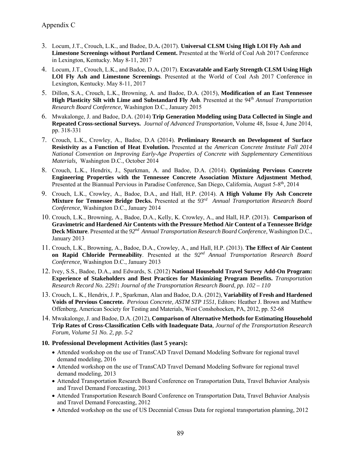- 3. Locum, J.T., Crouch, L.K., and Badoe, D.A**.** (2017). **Universal CLSM Using High LOI Fly Ash and Limestone Screenings without Portland Cement.** Presented at the World of Coal Ash 2017 Conference in Lexington, Kentucky. May 8-11, 2017
- 4. Locum, J.T., Crouch, L.K., and Badoe, D.A**.** (2017). **Excavatable and Early Strength CLSM Using High LOI Fly Ash and Limestone Screenings**. Presented at the World of Coal Ash 2017 Conference in Lexington, Kentucky. May 8-11, 2017
- 5. Dillon, S.A., Crouch, L.K., Browning, A. and Badoe, D.A. (2015), **Modification of an East Tennessee High Plasticity Silt with Lime and Substandard Fly Ash**. Presented at the 94<sup>th</sup> *Annual Transportation Research Board Conference,* Washington D.C., January 2015
- 6. Mwakalonge, J. and Badoe, D.A. (2014) **Trip Generation Modeling using Data Collected in Single and Repeated Cross-sectional Surveys.** *Journal of Advanced Transportation*, Volume 48, Issue 4, June 2014, pp. 318-331
- 7. Crouch, L.K., Crowley, A., Badoe, D.A (2014). **Preliminary Research on Development of Surface Resistivity as a Function of Heat Evolution.** Presented at the *American Concrete Institute Fall 2014 National Convention on Improving Early-Age Properties of Concrete with Supplementary Cementitious Materials,* Washington D.C., October 2014
- 8. Crouch, L.K., Hendrix, J., Sparkman, A. and Badoe, D.A. (2014). **Optimizing Pervious Concrete Engineering Properties with the Tennessee Concrete Association Mixture Adjustment Method**, Presented at the Biannual Pervious in Paradise Conference, San Diego, California, August 5-8<sup>th</sup>, 2014
- 9. Crouch, L.K., Crowley, A., Badoe, D.A., and Hall, H.P. (2014). **A High Volume Fly Ash Concrete Mixture for Tennessee Bridge Decks.** Presented at the *93rd Annual Transportation Research Board Conference,* Washington D.C., January 2014
- 10. Crouch, L.K., Browning, A., Badoe, D.A., Kelly, K. Crowley, A., and Hall, H.P. (2013). **Comparison of Gravimetric and Hardened Air Contents with the Pressure Method Air Content of a Tennessee Bridge Deck Mixture**. Presented at the *92nd Annual Transportation Research Board Conference,* Washington D.C., January 2013
- 11. Crouch, L.K., Browning, A., Badoe, D.A., Crowley, A., and Hall, H.P. (2013). **The Effect of Air Content on Rapid Chloride Permeability**. Presented at the *92nd Annual Transportation Research Board Conference,* Washington D.C., January 2013
- 12. Ivey, S.S., Badoe, D.A., and Edwards, S. (2012) **National Household Travel Survey Add-On Program: Experience of Stakeholders and Best Practices for Maximizing Program Benefits.** *Transportation Research Record No. 2291***:** *Journal of the Transportation Research Board*, *pp. 102 – 110*
- 13. Crouch, L. K., Hendrix, J. P., Sparkman, Alan and Badoe, D.A. (2012), **Variability of Fresh and Hardened Voids of Pervious Concrete.** *Pervious Concrete, ASTM STP 1551*, Editors: Heather J. Brown and Matthew Offenberg, American Society for Testing and Materials, West Conshohocken, PA, 2012, pp. 52-68
- 14. Mwakalonge, J. and Badoe, D.A. (2012), **Comparison of Alternative Methods for Estimating Household Trip Rates of Cross-Classification Cells with Inadequate Data***, Journal of the Transportation Research Forum, Volume 51 No. 2, pp. 5-2*
- **10. Professional Development Activities (last 5 years):**
	- Attended workshop on the use of TransCAD Travel Demand Modeling Software for regional travel demand modeling, 2016
	- Attended workshop on the use of TransCAD Travel Demand Modeling Software for regional travel demand modeling, 2013
	- Attended Transportation Research Board Conference on Transportation Data, Travel Behavior Analysis and Travel Demand Forecasting, 2013
	- Attended Transportation Research Board Conference on Transportation Data, Travel Behavior Analysis and Travel Demand Forecasting, 2012
	- Attended workshop on the use of US Decennial Census Data for regional transportation planning, 2012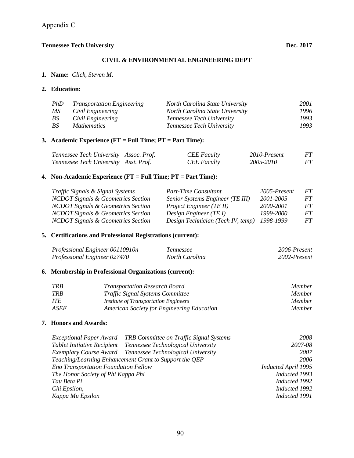#### **CIVIL & ENVIRONMENTAL ENGINEERING DEPT**

**1. Name:** *Click, Steven M*.

#### **2. Education:**

| PhD | <b>Transportation Engineering</b> | North Carolina State University  | 2001 |
|-----|-----------------------------------|----------------------------------|------|
| MS  | Civil Engineering                 | North Carolina State University  | 1996 |
| BS. | Civil Engineering                 | <i>Tennessee Tech University</i> | 1993 |
| BS  | <i>Mathematics</i>                | <i>Tennessee Tech University</i> | 1993 |

# **3. Academic Experience (FT = Full Time; PT = Part Time):**

| Tennessee Tech University Assoc. Prof. | <b>CEE</b> Faculty | 2010-Present | FT. |
|----------------------------------------|--------------------|--------------|-----|
| Tennessee Tech University Asst. Prof.  | <b>CEE</b> Faculty | 2005-2010    | FT  |

# **4. Non-Academic Experience (FT = Full Time; PT = Part Time):**

| Traffic Signals & Signal Systems              | Part-Time Consultant              | 2005-Present | FT. |
|-----------------------------------------------|-----------------------------------|--------------|-----|
| <b>NCDOT Signals &amp; Geometrics Section</b> | Senior Systems Engineer (TE III)  | 2001-2005    | FT. |
| <b>NCDOT Signals &amp; Geometrics Section</b> | Project Engineer (TE II)          | 2000-2001    | FT. |
| <b>NCDOT Signals &amp; Geometrics Section</b> | Design Engineer (TE I)            | 1999-2000    | FT. |
| <b>NCDOT Signals &amp; Geometrics Section</b> | Design Technician (Tech IV, temp) | 1998-1999    | FT. |

# **5. Certifications and Professional Registrations (current):**

| Professional Engineer 00110910n | Tennessee      | 2006-Present |
|---------------------------------|----------------|--------------|
| Professional Engineer 027470    | North Carolina | 2002-Present |

# **6. Membership in Professional Organizations (current):**

| TRB  | <b>Transportation Research Board</b>         | <i>Member</i> |
|------|----------------------------------------------|---------------|
| TRB  | <i>Traffic Signal Systems Committee</i>      | <i>Member</i> |
| ITE  | <i>Institute of Transportation Engineers</i> | <i>Member</i> |
| ASEE | American Society for Engineering Education   | <i>Member</i> |

### **7. Honors and Awards:**

|                                             | Exceptional Paper Award TRB Committee on Traffic Signal Systems | 2008                |
|---------------------------------------------|-----------------------------------------------------------------|---------------------|
| <b>Tablet Initiative Recipient</b>          | Tennessee Technological University                              | 2007-08             |
|                                             | Exemplary Course Award Tennessee Technological University       | 2007                |
|                                             | Teaching/Learning Enhancement Grant to Support the QEP          | 2006                |
| <b>Eno Transportation Foundation Fellow</b> |                                                                 | Inducted April 1995 |
| The Honor Society of Phi Kappa Phi          |                                                                 | Inducted 1993       |
| Tau Beta Pi                                 |                                                                 | Inducted 1992       |
| Chi Epsilon,                                |                                                                 | Inducted 1992       |
| Kappa Mu Epsilon                            |                                                                 | Inducted 1991       |
|                                             |                                                                 |                     |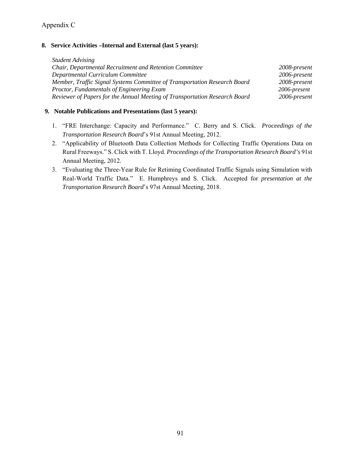# Appendix C

#### **8. Service Activities –Internal and External (last 5 years):**

*Student Advising Chair, Departmental Recruitment and Retention Committee 2008-present Departmental Curriculum Committee 2006-present Member, Traffic Signal Systems Committee of Transportation Research Board 2008-present Proctor, Fundamentals of Engineering Exam 2006-present Reviewer of Papers for the Annual Meeting of Transportation Research Board 2006-present* 

### **9. Notable Publications and Presentations (last 5 years):**

- 1. "FRE Interchange: Capacity and Performance." C. Berry and S. Click. *Proceedings of the Transportation Research Board*'s 91st Annual Meeting, 2012.
- 2. "Applicability of Bluetooth Data Collection Methods for Collecting Traffic Operations Data on Rural Freeways." S. Click with T. Lloyd. *Proceedings of the Transportation Research Board's* 91st Annual Meeting, 2012.
- 3. "Evaluating the Three-Year Rule for Retiming Coordinated Traffic Signals using Simulation with Real-World Traffic Data." E. Humphreys and S. Click. Accepted for *presentation at the Transportation Research Board*'s 97st Annual Meeting, 2018.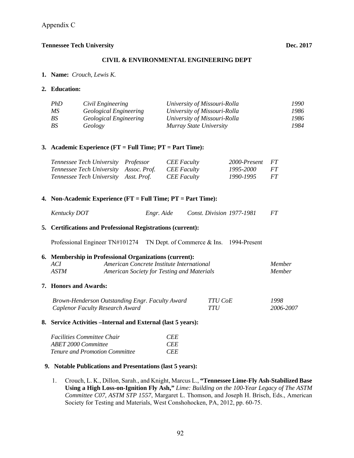#### **CIVIL & ENVIRONMENTAL ENGINEERING DEPT**

**1. Name:** *Crouch, Lewis K.*

#### **2. Education:**

| PhD | Civil Engineering      | University of Missouri-Rolla | 1990- |
|-----|------------------------|------------------------------|-------|
| МS  | Geological Engineering | University of Missouri-Rolla | 1986  |
| BS  | Geological Engineering | University of Missouri-Rolla | 1986  |
| BS  | Geology                | Murray State University      | 1984  |

#### **3. Academic Experience (FT = Full Time; PT = Part Time):**

| Tennessee Tech University Professor    | <b>CEE</b> Faculty | 2000-Present FT |      |
|----------------------------------------|--------------------|-----------------|------|
| Tennessee Tech University Assoc. Prof. | <b>CEE</b> Faculty | 1995-2000       | - FT |
| Tennessee Tech University Asst. Prof.  | <b>CEE</b> Faculty | 1990-1995       | FT.  |

#### **4. Non-Academic Experience (FT = Full Time; PT = Part Time):**

| Kentucky DOT | Engr. Aide | Const. Division 1977-1981 | FT |
|--------------|------------|---------------------------|----|

#### **5. Certifications and Professional Registrations (current):**

Professional Engineer TN#101274 TN Dept. of Commerce & Ins. 1994-Present

#### **6. Membership in Professional Organizations (current):**  *ACI American Concrete Institute International Member*

| $A \cup I$ | American Concrete Institute International         | <i>Memper</i> |
|------------|---------------------------------------------------|---------------|
| ASTM       | <b>American Society for Testing and Materials</b> | <i>Member</i> |

#### **7. Honors and Awards:**

| Brown-Henderson Outstanding Engr. Faculty Award | TTU CoE | 1998      |
|-------------------------------------------------|---------|-----------|
| Caplenor Faculty Research Award                 | TTU     | 2006-2007 |

#### **8. Service Activities –Internal and External (last 5 years):**

| <i>Facilities Committee Chair</i>     | <b>CEE</b> |
|---------------------------------------|------------|
| ABET 2000 Committee                   | <b>CEE</b> |
| <b>Tenure and Promotion Committee</b> | <b>CEE</b> |

#### **9. Notable Publications and Presentations (last 5 years):**

1. Crouch, L. K., Dillon, Sarah., and Knight, Marcus L., **"Tennessee Lime-Fly Ash-Stabilized Base Using a High Loss-on-Ignition Fly Ash,"** *Lime: Building on the 100-Year Legacy of The ASTM Committee C07, ASTM STP 1557*, Margaret L. Thomson, and Joseph H. Brisch, Eds., American Society for Testing and Materials, West Conshohocken, PA, 2012, pp. 60-75.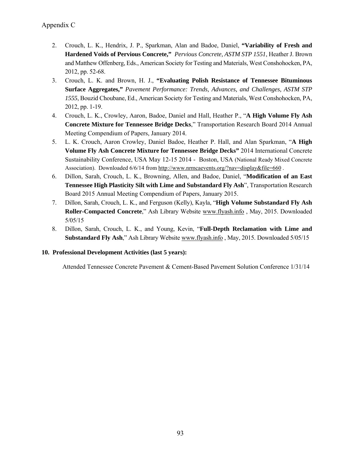- 2. Crouch, L. K., Hendrix, J. P., Sparkman, Alan and Badoe, Daniel, **"Variability of Fresh and Hardened Voids of Pervious Concrete,"** *Pervious Concrete, ASTM STP 1551*, Heather J. Brown and Matthew Offenberg, Eds., American Society for Testing and Materials, West Conshohocken, PA, 2012, pp. 52-68.
- 3. Crouch, L. K. and Brown, H. J., **"Evaluating Polish Resistance of Tennessee Bituminous Surface Aggregates,"** *Pavement Performance: Trends, Advances, and Challenges, ASTM STP 1555*, Bouzid Choubane, Ed., American Society for Testing and Materials, West Conshohocken, PA, 2012, pp. 1-19.
- 4. Crouch, L. K., Crowley, Aaron, Badoe, Daniel and Hall, Heather P., "**A High Volume Fly Ash Concrete Mixture for Tennessee Bridge Decks**," Transportation Research Board 2014 Annual Meeting Compendium of Papers, January 2014.
- 5. L. K. Crouch, Aaron Crowley, Daniel Badoe, Heather P. Hall, and Alan Sparkman, "**A High Volume Fly Ash Concrete Mixture for Tennessee Bridge Decks"** 2014 International Concrete Sustainability Conference, USA May 12-15 2014 - Boston, USA (National Ready Mixed Concrete Association). Downloaded 6/6/14 from http://www.nrmcaevents.org/?nav=display&file=660.
- 6. Dillon, Sarah, Crouch, L. K., Browning, Allen, and Badoe, Daniel, "**Modification of an East Tennessee High Plasticity Silt with Lime and Substandard Fly Ash**", Transportation Research Board 2015 Annual Meeting Compendium of Papers, January 2015.
- 7. Dillon, Sarah, Crouch, L. K., and Ferguson (Kelly), Kayla, "**High Volume Substandard Fly Ash Roller-Compacted Concrete**," Ash Library Website www.flyash.info , May, 2015. Downloaded 5/05/15
- 8. Dillon, Sarah, Crouch, L. K., and Young, Kevin, "**Full-Depth Reclamation with Lime and Substandard Fly Ash**," Ash Library Website www.flyash.info , May, 2015. Downloaded 5/05/15

# **10. Professional Development Activities (last 5 years):**

Attended Tennessee Concrete Pavement & Cement-Based Pavement Solution Conference 1/31/14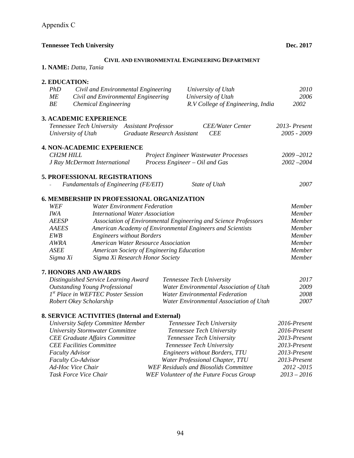#### **CIVIL AND ENVIRONMENTAL ENGINEERING DEPARTMENT**

**1. NAME:** *Datta, Tania*

#### **2. EDUCATION:**

| PhD                    | Civil and Environmental Engineering           |                                            |                                | University of Utah                                              | 2010          |
|------------------------|-----------------------------------------------|--------------------------------------------|--------------------------------|-----------------------------------------------------------------|---------------|
| ME                     | Civil and Environmental Engineering           |                                            |                                | University of Utah                                              | 2006          |
| BE                     | <b>Chemical Engineering</b>                   |                                            |                                | R.V College of Engineering, India                               | 2002          |
|                        | <b>3. ACADEMIC EXPERIENCE</b>                 |                                            |                                |                                                                 |               |
|                        | Tennessee Tech University                     | <b>Assistant Professor</b>                 |                                | <b>CEE/Water Center</b>                                         | 2013- Present |
|                        | University of Utah                            | Graduate Research Assistant                |                                | <b>CEE</b>                                                      | 2005 - 2009   |
|                        | <b>4. NON-ACADEMIC EXPERIENCE</b>             |                                            |                                |                                                                 |               |
| <b>CH2M HILL</b>       |                                               |                                            |                                | Project Engineer Wastewater Processes                           | $2009 - 2012$ |
|                        | J Ray McDermott International                 |                                            | Process Engineer - Oil and Gas |                                                                 | $2002 - 2004$ |
|                        | <b>5. PROFESSIONAL REGISTRATIONS</b>          |                                            |                                |                                                                 |               |
|                        | Fundamentals of Engineering (FE/EIT)          |                                            |                                | State of Utah                                                   | 2007          |
|                        | 6. MEMBERSHIP IN PROFESSIONAL ORGANIZATION    |                                            |                                |                                                                 |               |
| WEF                    |                                               | <b>Water Environment Federation</b>        |                                |                                                                 | Member        |
| <b>IWA</b>             |                                               | <b>International Water Association</b>     |                                |                                                                 | Member        |
| <b>AEESP</b>           |                                               |                                            |                                | Association of Environmental Engineering and Science Professors | Member        |
| <b>AAEES</b>           |                                               |                                            |                                | American Academy of Environmental Engineers and Scientists      | Member        |
| <b>EWB</b>             |                                               | <b>Engineers without Borders</b>           |                                |                                                                 | Member        |
| <b>AWRA</b>            |                                               | <b>American Water Resource Association</b> |                                |                                                                 | Member        |
| <b>ASEE</b>            |                                               | American Society of Engineering Education  |                                |                                                                 | <b>Member</b> |
| Sigma Xi               |                                               | Sigma Xi Research Honor Society            |                                |                                                                 | Member        |
|                        | <b>7. HONORS AND AWARDS</b>                   |                                            |                                |                                                                 |               |
|                        | Distinguished Service Learning Award          |                                            | Tennessee Tech University      |                                                                 | 2017          |
|                        | <b>Outstanding Young Professional</b>         |                                            |                                | Water Environmental Association of Utah                         | 2009          |
|                        | 1st Place in WEFTEC Poster Session            |                                            |                                | <b>Water Environmental Federation</b>                           | 2008          |
|                        | Robert Okey Scholarship                       |                                            |                                | Water Environmental Association of Utah                         | 2007          |
|                        | 8. SERVICE ACTIVITIES (Internal and External) |                                            |                                |                                                                 |               |
|                        | University Safety Committee Member            |                                            |                                | Tennessee Tech University                                       | 2016-Present  |
|                        | <b>University Stormwater Committee</b>        |                                            |                                | Tennessee Tech University                                       | 2016-Present  |
|                        | <b>CEE Graduate Affairs Committee</b>         |                                            |                                | Tennessee Tech University                                       | 2013-Present  |
|                        | <b>CEE Facilities Committee</b>               |                                            | Tennessee Tech University      |                                                                 | 2013-Present  |
| <b>Faculty Advisor</b> |                                               |                                            |                                | <b>Engineers without Borders, TTU</b>                           | 2013-Present  |
|                        | Faculty Co-Advisor                            |                                            |                                | Water Professional Chapter, TTU                                 | 2013-Present  |
|                        | Ad-Hoc Vice Chair                             |                                            |                                | <b>WEF Residuals and Biosolids Committee</b>                    | 2012 - 2015   |
|                        | Task Force Vice Chair                         |                                            |                                | WEF Volunteer of the Future Focus Group                         | $2013 - 2016$ |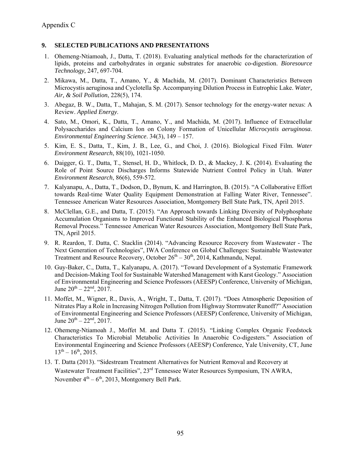#### **9. SELECTED PUBLICATIONS AND PRESENTATIONS**

- 1. Ohemeng-Ntiamoah, J., Datta, T. (2018). Evaluating analytical methods for the characterization of lipids, proteins and carbohydrates in organic substrates for anaerobic co-digestion. *Bioresource Technology*, 247, 697-704.
- 2. Mikawa, M., Datta, T., Amano, Y., & Machida, M. (2017). Dominant Characteristics Between Microcystis aeruginosa and Cyclotella Sp. Accompanying Dilution Process in Eutrophic Lake. *Water, Air, & Soil Pollution*, 228(5), 174.
- 3. Abegaz, B. W., Datta, T., Mahajan, S. M. (2017). Sensor technology for the energy-water nexus: A Review. *Applied Energy*.
- 4. Sato, M., Omori, K., Datta, T., Amano, Y., and Machida, M. (2017). Influence of Extracellular Polysaccharides and Calcium Ion on Colony Formation of Unicellular *Microcystis aeruginosa*. *Environmental Engineering Science*. 34(3), 149 – 157.
- 5. Kim, E. S., Datta, T., Kim, J. B., Lee, G., and Choi, J. (2016). Biological Fixed Film. *Water Environment Research*, 88(10), 1021-1050.
- 6. Daigger, G. T., Datta, T., Stensel, H. D., Whitlock, D. D., & Mackey, J. K. (2014). Evaluating the Role of Point Source Discharges Informs Statewide Nutrient Control Policy in Utah. *Water Environment Research*, 86(6), 559-572.
- 7. Kalyanapu, A., Datta, T., Dodson, D., Bynum, K. and Harrington, B. (2015). "A Collaborative Effort towards Real-time Water Quality Equipment Demonstration at Falling Water River, Tennessee". Tennessee American Water Resources Association, Montgomery Bell State Park, TN, April 2015.
- 8. McClellan, G.E., and Datta, T. (2015). "An Approach towards Linking Diversity of Polyphosphate Accumulation Organisms to Improved Functional Stability of the Enhanced Biological Phosphorus Removal Process." Tennessee American Water Resources Association, Montgomery Bell State Park, TN, April 2015.
- 9. R. Reardon, T. Datta, C. Stacklin (2014). "Advancing Resource Recovery from Wastewater The Next Generation of Technologies", IWA Conference on Global Challenges: Sustainable Wastewater Treatment and Resource Recovery, October  $26<sup>th</sup> - 30<sup>th</sup>$ , 2014, Kathmandu, Nepal.
- 10. Guy-Baker, C., Datta, T., Kalyanapu, A. (2017). "Toward Development of a Systematic Framework and Decision-Making Tool for Sustainable Watershed Management with Karst Geology." Association of Environmental Engineering and Science Professors (AEESP) Conference, University of Michigan, June  $20^{th} - 22^{nd}$ ,  $2017$ .
- 11. Moffet, M., Wigner, R., Davis, A., Wright, T., Datta, T. (2017). "Does Atmospheric Deposition of Nitrates Play a Role in Increasing Nitrogen Pollution from Highway Stormwater Runoff?" Association of Environmental Engineering and Science Professors (AEESP) Conference, University of Michigan, June  $20^{th} - 22^{nd}$ ,  $2017$ .
- 12. Ohemeng-Ntiamoah J., Moffet M. and Datta T. (2015). "Linking Complex Organic Feedstock Characteristics To Microbial Metabolic Activities In Anaerobic Co-digesters." Association of Environmental Engineering and Science Professors (AEESP) Conference, Yale University, CT, June  $13^{th} - 16^{th}$ , 2015.
- 13. T. Datta (2013). "Sidestream Treatment Alternatives for Nutrient Removal and Recovery at Wastewater Treatment Facilities", 23<sup>rd</sup> Tennessee Water Resources Symposium, TN AWRA, November  $4<sup>th</sup> - 6<sup>th</sup>$ , 2013, Montgomery Bell Park.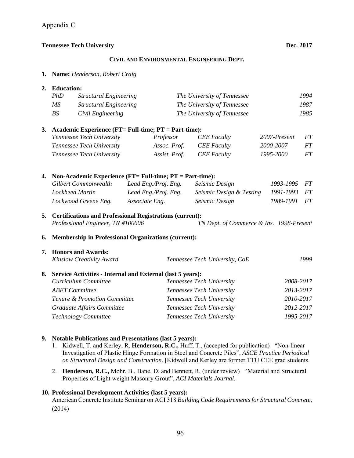#### **CIVIL AND ENVIRONMENTAL ENGINEERING DEPT.**

**1. Name:** *Henderson, Robert Craig*

#### **2. Education:**

| PhD | <b>Structural Engineering</b> | The University of Tennessee | 1994 |
|-----|-------------------------------|-----------------------------|------|
| МS  | <i>Structural Engineering</i> | The University of Tennessee | 1987 |
| BS  | Civil Engineering             | The University of Tennessee | 1985 |

#### **3. Academic Experience (FT= Full-time; PT = Part-time):**

| Tennessee Tech University | Professor     | <b>CEE</b> Faculty | 2007-Present | <i>FT</i> |
|---------------------------|---------------|--------------------|--------------|-----------|
| Tennessee Tech University | Assoc. Prof.  | CEE Faculty        | 2000-2007    | FT        |
| Tennessee Tech University | Assist. Prof. | <b>CEE</b> Faculty | 1995-2000    | FT        |

#### **4. Non-Academic Experience (FT= Full-time; PT = Part-time):**

| Gilbert Commonwealth | Lead Eng./Proj. Eng. | <i>Seismic Design</i>    | 1993-1995 FT |  |
|----------------------|----------------------|--------------------------|--------------|--|
| Lockheed Martin      | Lead Eng./Proj. Eng. | Seismic Design & Testing | 1991-1993 FT |  |
| Lockwood Greene Eng. | Associate Eng.       | Seismic Design           | 1989-1991 FT |  |

### **5. Certifications and Professional Registrations (current):**   *Professional Engineer, TN #100606 TN Dept. of Commerce & Ins. 1998-Present*

#### **6. Membership in Professional Organizations (current):**

| 7. Honors and Awards:                                         |                                |           |  |
|---------------------------------------------------------------|--------------------------------|-----------|--|
| Kinslow Creativity Award                                      | Tennessee Tech University, CoE | 1999      |  |
| 8. Service Activities - Internal and External (last 5 years): |                                |           |  |
| Curriculum Committee                                          | Tennessee Tech University      | 2008-2017 |  |
| <b>ABET</b> Committee                                         | Tennessee Tech University      | 2013-2017 |  |
| Tenure & Promotion Committee                                  | Tennessee Tech University      | 2010-2017 |  |
| Graduate Affairs Committee                                    | Tennessee Tech University      | 2012-2017 |  |
| Technology Committee                                          | Tennessee Tech University      | 1995-2017 |  |
|                                                               |                                |           |  |

#### **9. Notable Publications and Presentations (last 5 years):**

- 1. Kidwell, T. and Kerley, R, **Henderson, R.C.,** Huff, T., (accepted for publication) "Non-linear Investigation of Plastic Hinge Formation in Steel and Concrete Piles", *ASCE Practice Periodical on Structural Design and Construction*. [Kidwell and Kerley are former TTU CEE grad students.
- 2. **Henderson, R.C.,** Mohr, B., Bane, D. and Bennett, R, (under review) "Material and Structural Properties of Light weight Masonry Grout", *ACI Materials Journal*.

#### **10. Professional Development Activities (last 5 years):**

American Concrete Institute Seminar on ACI 318 *Building Code Requirements for Structural Concrete,*  (2014)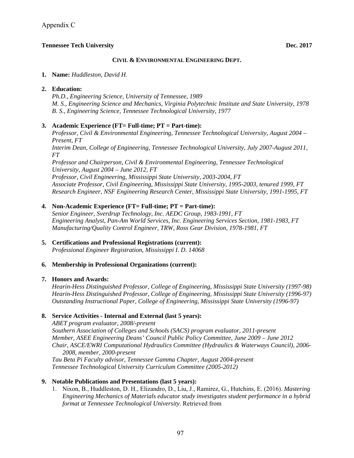#### **CIVIL & ENVIRONMENTAL ENGINEERING DEPT.**

#### **1. Name:** *Huddleston, David H*.

#### **2. Education:**

*Ph.D., Engineering Science, University of Tennessee, 1989 M. S., Engineering Science and Mechanics, Virginia Polytechnic Institute and State University, 1978 B. S., Engineering Science, Tennessee Technological University, 1977* 

#### **3. Academic Experience (FT= Full-time; PT = Part-time):**

*Professor, Civil & Environmental Engineering, Tennessee Technological University, August 2004 – Present, FT Interim Dean, College of Engineering, Tennessee Technological University, July 2007-August 2011, FT Professor and Chairperson, Civil & Environmental Engineering, Tennessee Technological University, August 2004 – June 2012, FT Professor, Civil Engineering, Mississippi State University, 2003-2004, FT Associate Professor, Civil Engineering, Mississippi State University, 1995-2003, tenured 1999, FT Research Engineer, NSF Engineering Research Center, Mississippi State University, 1991-1995, FT* 

#### **4. Non-Academic Experience (FT= Full-time; PT = Part-time):**

*Senior Engineer, Sverdrup Technology, Inc. AEDC Group, 1983-1991, FT Engineering Analyst, Pan-Am World Services, Inc. Engineering Services Section, 1981-1983, FT Manufacturing/Quality Control Engineer, TRW, Ross Gear Division, 1978-1981, FT* 

#### **5. Certifications and Professional Registrations (current):**  *Professional Engineer Registration, Mississippi I. D. 14068*

### **6. Membership in Professional Organizations (current):**

#### **7. Honors and Awards:**

*Hearin-Hess Distinguished Professor, College of Engineering, Mississippi State University (1997-98) Hearin-Hess Distinguished Professor, College of Engineering, Mississippi State University (1996-97) Outstanding Instructional Paper, College of Engineering, Mississippi State University (1996-97)* 

### **8. Service Activities - Internal and External (last 5 years):**

*ABET program evaluator, 2008/-present Southern Association of Colleges and Schools (SACS) program evaluator, 2011-present Member, ASEE Engineering Deans' Council Public Policy Committee, June 2009 – June 2012 Chair, ASCE/EWRI Computational Hydraulics Committee (Hydraulics & Waterways Council), 2006- 2008, member, 2000-present Tau Beta Pi Faculty advisor, Tennessee Gamma Chapter, August 2004-present Tennessee Technological University Curriculum Committee (2005-2012)* 

### **9. Notable Publications and Presentations (last 5 years):**

1. Nixon, B., Huddleston, D. H., Elizandro, D., Liu, J., Ramirez, G., Hutchins, E. (2016). *Mastering Engineering Mechanics of Materials educator study investigates student performance in a hybrid format at Tennessee Technological University*. Retrieved from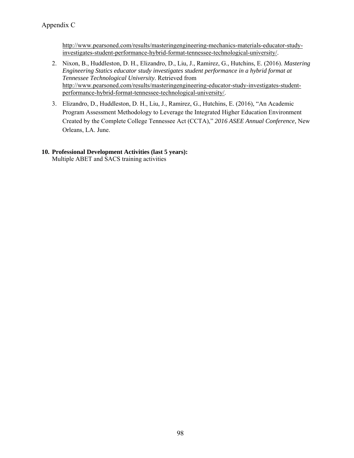http://www.pearsoned.com/results/masteringengineering-mechanics-materials-educator-studyinvestigates-student-performance-hybrid-format-tennessee-technological-university/.

- 2. Nixon, B., Huddleston, D. H., Elizandro, D., Liu, J., Ramirez, G., Hutchins, E. (2016). *Mastering Engineering Statics educator study investigates student performance in a hybrid format at Tennessee Technological University*. Retrieved from http://www.pearsoned.com/results/masteringengineering-educator-study-investigates-studentperformance-hybrid-format-tennessee-technological-university/.
- 3. Elizandro, D., Huddleston, D. H., Liu, J., Ramirez, G., Hutchins, E. (2016), "An Academic Program Assessment Methodology to Leverage the Integrated Higher Education Environment Created by the Complete College Tennessee Act (CCTA)," *2016 ASEE Annual Conference,* New Orleans, LA. June.

# **10. Professional Development Activities (last 5 years):**

Multiple ABET and SACS training activities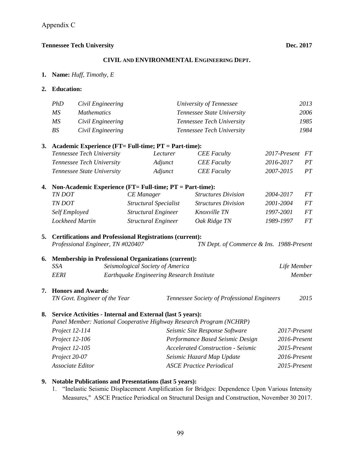#### **CIVIL AND ENVIRONMENTAL ENGINEERING DEPT.**

**1. Name:** *Huff, Timothy, E*

#### **2. Education:**

| PhD | Civil Engineering  | University of Tennessee          | 2013 |
|-----|--------------------|----------------------------------|------|
| MS. | <i>Mathematics</i> | Tennessee State University       | 2006 |
| MS  | Civil Engineering  | Tennessee Tech University        | 1985 |
| BS  | Civil Engineering  | <i>Tennessee Tech University</i> | 1984 |

#### **3. Academic Experience (FT= Full-time; PT = Part-time):**

| Tennessee Tech University  | Lecturer | <b>CEE</b> Faculty | 2017-Present FT |    |
|----------------------------|----------|--------------------|-----------------|----|
| Tennessee Tech University  | Adjunct  | <b>CEE</b> Faculty | 2016-2017       | PT |
| Tennessee State University | Adjunct  | <b>CEE</b> Faculty | 2007-2015       | PT |

| 4. | Non-Academic Experience (FT= Full-time; PT = Part-time): |                            |                            |           |    |  |
|----|----------------------------------------------------------|----------------------------|----------------------------|-----------|----|--|
|    | TN DOT                                                   | CE Manager                 | <b>Structures Division</b> | 2004-2017 | FT |  |
|    | <b>TN DOT</b>                                            | Structural Specialist      | <b>Structures Division</b> | 2001-2004 | FT |  |
|    | Self Employed                                            | <b>Structural Engineer</b> | Knoxville TN               | 1997-2001 | FT |  |
|    | Lockheed Martin                                          | <b>Structural Engineer</b> | Oak Ridge TN               | 1989-1997 | FT |  |

#### **5. Certifications and Professional Registrations (current):**   *Professional Engineer, TN #020407 TN Dept. of Commerce & Ins. 1988-Present*

## **6. Membership in Professional Organizations (current):**   *SSA Seismological Society of America Life Member*

# *EERI Earthquake Engineering Research Institute Member*

#### **7. Honors and Awards:**

 *TN Govt. Engineer of the Year Tennessee Society of Professional Engineers 2015* 

#### **8. Service Activities - Internal and External (last 5 years):**

 *Panel Member: National Cooperative Highway Research Program (NCHRP) Project 12-114 Seismic Site Response Software 2017-Present Project 12-106 Performance Based Seismic Design 2016-Present Project 12-105 Accelerated Construction - Seismic 2015-Present Project 20-07 Seismic Hazard Map Update 2016-Present Associate Editor ASCE Practice Periodical 2015-Present* 

#### **9. Notable Publications and Presentations (last 5 years):**

1. "Inelastic Seismic Displacement Amplification for Bridges: Dependence Upon Various Intensity Measures," ASCE Practice Periodical on Structural Design and Construction, November 30 2017.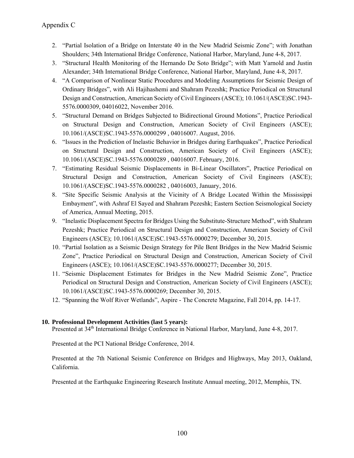- 2. "Partial Isolation of a Bridge on Interstate 40 in the New Madrid Seismic Zone"; with Jonathan Shoulders; 34th International Bridge Conference, National Harbor, Maryland, June 4-8, 2017.
- 3. "Structural Health Monitoring of the Hernando De Soto Bridge"; with Matt Yarnold and Justin Alexander; 34th International Bridge Conference, National Harbor, Maryland, June 4-8, 2017.
- 4. "A Comparison of Nonlinear Static Procedures and Modeling Assumptions for Seismic Design of Ordinary Bridges", with Ali Hajihashemi and Shahram Pezeshk; Practice Periodical on Structural Design and Construction, American Society of Civil Engineers (ASCE); 10.1061/(ASCE)SC.1943- 5576.0000309, 04016022, November 2016.
- 5. "Structural Demand on Bridges Subjected to Bidirectional Ground Motions", Practice Periodical on Structural Design and Construction, American Society of Civil Engineers (ASCE); 10.1061/(ASCE)SC.1943-5576.0000299 , 04016007. August, 2016.
- 6. "Issues in the Prediction of Inelastic Behavior in Bridges during Earthquakes", Practice Periodical on Structural Design and Construction, American Society of Civil Engineers (ASCE); 10.1061/(ASCE)SC.1943-5576.0000289 , 04016007. February, 2016.
- 7. "Estimating Residual Seismic Displacements in Bi-Linear Oscillators", Practice Periodical on Structural Design and Construction, American Society of Civil Engineers (ASCE); 10.1061/(ASCE)SC.1943-5576.0000282 , 04016003, January, 2016.
- 8. "Site Specific Seismic Analysis at the Vicinity of A Bridge Located Within the Mississippi Embayment", with Ashraf El Sayed and Shahram Pezeshk; Eastern Section Seismological Society of America, Annual Meeting, 2015.
- 9. "Inelastic Displacement Spectra for Bridges Using the Substitute-Structure Method", with Shahram Pezeshk; Practice Periodical on Structural Design and Construction, American Society of Civil Engineers (ASCE); 10.1061/(ASCE)SC.1943-5576.0000279; December 30, 2015.
- 10. "Partial Isolation as a Seismic Design Strategy for Pile Bent Bridges in the New Madrid Seismic Zone", Practice Periodical on Structural Design and Construction, American Society of Civil Engineers (ASCE); 10.1061/(ASCE)SC.1943-5576.0000277; December 30, 2015.
- 11. "Seismic Displacement Estimates for Bridges in the New Madrid Seismic Zone", Practice Periodical on Structural Design and Construction, American Society of Civil Engineers (ASCE); 10.1061/(ASCE)SC.1943-5576.0000269; December 30, 2015.
- 12. "Spanning the Wolf River Wetlands", Aspire The Concrete Magazine, Fall 2014, pp. 14-17.

### **10. Professional Development Activities (last 5 years):**

Presented at 34<sup>th</sup> International Bridge Conference in National Harbor, Maryland, June 4-8, 2017.

Presented at the PCI National Bridge Conference, 2014.

Presented at the 7th National Seismic Conference on Bridges and Highways, May 2013, Oakland, California.

Presented at the Earthquake Engineering Research Institute Annual meeting, 2012, Memphis, TN.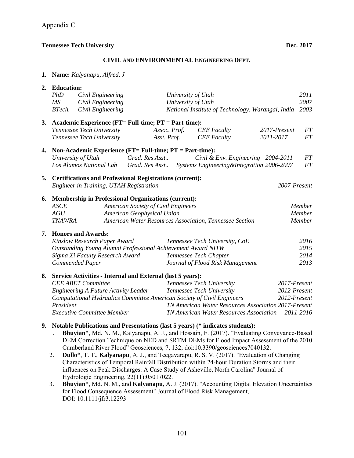#### **CIVIL AND ENVIRONMENTAL ENGINEERING DEPT.**

|  |  | 1. Name: Kalyanapu, Alfred, J |  |  |
|--|--|-------------------------------|--|--|
|--|--|-------------------------------|--|--|

|    | 2. Education:                                                            |                                                                                             |                |                                                |                                  |                                                                                       |      |  |  |
|----|--------------------------------------------------------------------------|---------------------------------------------------------------------------------------------|----------------|------------------------------------------------|----------------------------------|---------------------------------------------------------------------------------------|------|--|--|
|    | PhD<br>Civil Engineering<br>University of Utah                           |                                                                                             |                |                                                | 2011                             |                                                                                       |      |  |  |
|    | MS                                                                       | Civil Engineering                                                                           |                | University of Utah                             |                                  |                                                                                       | 2007 |  |  |
|    | BTech.                                                                   | Civil Engineering<br>National Institute of Technology, Warangal, India                      |                |                                                |                                  | 2003                                                                                  |      |  |  |
| 3. |                                                                          | Academic Experience (FT= Full-time; PT = Part-time):                                        |                |                                                |                                  |                                                                                       |      |  |  |
|    |                                                                          | Tennessee Tech University                                                                   | Assoc. Prof.   |                                                | <b>CEE</b> Faculty               | 2017-Present                                                                          | FT   |  |  |
|    | Tennessee Tech University                                                |                                                                                             | Asst. Prof.    |                                                | <b>CEE</b> Faculty               | 2011-2017                                                                             | FT   |  |  |
| 4. |                                                                          | Non-Academic Experience (FT= Full-time; PT = Part-time):                                    |                |                                                |                                  |                                                                                       |      |  |  |
|    |                                                                          | University of Utah                                                                          | Grad. Res Asst |                                                |                                  | Civil & Env. Engineering 2004-2011                                                    | FT   |  |  |
|    |                                                                          | Los Alamos National Lab                                                                     | Grad. Res Asst |                                                |                                  | Systems Engineering&Integration 2006-2007                                             | FT   |  |  |
| 5. |                                                                          | <b>Certifications and Professional Registrations (current):</b>                             |                |                                                |                                  |                                                                                       |      |  |  |
|    | Engineer in Training, UTAH Registration                                  |                                                                                             |                | 2007-Present                                   |                                  |                                                                                       |      |  |  |
| 6. | <b>Membership in Professional Organizations (current):</b>               |                                                                                             |                |                                                |                                  |                                                                                       |      |  |  |
|    | <b>ASCE</b><br>American Society of Civil Engineers                       |                                                                                             |                |                                                |                                  | Member                                                                                |      |  |  |
|    | AGU<br>American Geophysical Union                                        |                                                                                             |                |                                                |                                  | Member                                                                                |      |  |  |
|    | American Water Resources Association, Tennessee Section<br><b>TNAWRA</b> |                                                                                             |                |                                                | Member                           |                                                                                       |      |  |  |
| 7. |                                                                          | <b>Honors and Awards:</b>                                                                   |                |                                                |                                  |                                                                                       |      |  |  |
|    | Kinslow Research Paper Award<br>Tennessee Tech University, CoE           |                                                                                             |                |                                                |                                  | 2016                                                                                  |      |  |  |
|    |                                                                          | Outstanding Young Alumni Professional Achievement Award NITW                                |                |                                                |                                  |                                                                                       | 2015 |  |  |
|    | Sigma Xi Faculty Research Award                                          |                                                                                             |                | Tennessee Tech Chapter                         |                                  |                                                                                       | 2014 |  |  |
|    | Commended Paper                                                          |                                                                                             |                |                                                | Journal of Flood Risk Management |                                                                                       | 2013 |  |  |
| 8. | Service Activities - Internal and External (last 5 years):               |                                                                                             |                |                                                |                                  |                                                                                       |      |  |  |
|    |                                                                          | <b>CEE ABET Committee</b>                                                                   |                |                                                | Tennessee Tech University        | 2017-Present                                                                          |      |  |  |
|    | <b>Engineering A Future Activity Leader</b>                              |                                                                                             |                |                                                | Tennessee Tech University        | 2012-Present                                                                          |      |  |  |
|    | Computational Hydraulics Committee American Society of Civil Engineers   |                                                                                             |                | 2012-Present                                   |                                  |                                                                                       |      |  |  |
|    | President<br>TN American Water Resources Association 2017-Present        |                                                                                             |                |                                                |                                  |                                                                                       |      |  |  |
|    | <b>Executive Committee Member</b>                                        |                                                                                             |                | <b>TN American Water Resources Association</b> |                                  | 2011-2016                                                                             |      |  |  |
|    |                                                                          | 9. Notable Publications and Presentations (last 5 years) (* indicates students):            |                |                                                |                                  |                                                                                       |      |  |  |
|    | 1.                                                                       | Bhuyian*, Md. N. M., Kalyanapu, A. J., and Hossain, F. (2017). "Evaluating Conveyance-Based |                |                                                |                                  |                                                                                       |      |  |  |
|    |                                                                          |                                                                                             |                |                                                |                                  | DEM Correction Technique on NED and SRTM DEMs for Flood Impact Assessment of the 2010 |      |  |  |
|    |                                                                          | Cumberland River Flood" Geosciences, 7, 132; doi:10.3390/geosciences7040132.                |                |                                                |                                  |                                                                                       |      |  |  |

- 2. **Dullo**\*, T. T., **Kalyanapu**, A. J., and Teegavarapu, R. S. V. (2017). "Evaluation of Changing Characteristics of Temporal Rainfall Distribution within 24-hour Duration Storms and their influences on Peak Discharges: A Case Study of Asheville, North Carolina" Journal of Hydrologic Engineering, 22(11):05017022.
- 3. **Bhuyian\***, Md. N. M., and **Kalyanapu**, A. J. (2017). "Accounting Digital Elevation Uncertainties for Flood Consequence Assessment" Journal of Flood Risk Management, DOI: 10.1111/jfr3.12293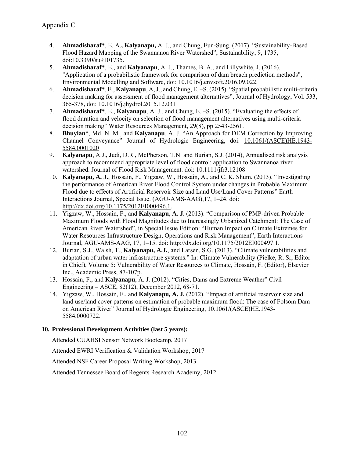- 4. **Ahmadisharaf\***, E. A.**, Kalyanapu,** A. J., and Chung, Eun-Sung. (2017). "Sustainability-Based Flood Hazard Mapping of the Swannanoa River Watershed", Sustainability, 9, 1735, doi:10.3390/su9101735.
- 5. **Ahmadisharaf\***, E., and **Kalyanapu**, A. J., Thames, B. A., and Lillywhite, J. (2016). "Application of a probabilistic framework for comparison of dam breach prediction methods", Environmental Modelling and Software, doi: 10.1016/j.envsoft.2016.09.022.
- 6. **Ahmadisharaf\***, E., **Kalyanapu**, A, J., and Chung, E. –S. (2015). "Spatial probabilistic multi-criteria decision making for assessment of flood management alternatives", Journal of Hydrology, Vol. 533, 365-378, doi: 10.1016/j.jhydrol.2015.12.031
- 7. **Ahmadisharaf\***, E., **Kalyanapu**, A. J., and Chung, E. –S. (2015). "Evaluating the effects of flood duration and velocity on selection of flood management alternatives using multi-criteria decision making" Water Resources Management, 29(8), pp 2543-2561.
- 8. **Bhuyian**\*, Md. N. M., and **Kalyanapu**, A. J. "An Approach for DEM Correction by Improving Channel Conveyance" Journal of Hydrologic Engineering, doi: 10.1061/(ASCE)HE.1943- 5584.0001020
- 9. **Kalyanapu**, A.J., Judi, D.R., McPherson, T.N. and Burian, S.J. (2014), Annualised risk analysis approach to recommend appropriate level of flood control: application to Swannanoa river watershed. Journal of Flood Risk Management. doi: 10.1111/jfr3.12108
- 10. **Kalyanapu, A. J.**, Hossain, F., Yigzaw, W., Hossain, A., and C. K. Shum. (2013). "Investigating the performance of American River Flood Control System under changes in Probable Maximum Flood due to effects of Artificial Reservoir Size and Land Use/Land Cover Patterns" Earth Interactions Journal, Special Issue. (AGU-AMS-AAG),17, 1–24. doi: http://dx.doi.org/10.1175/2012EI000496.1.
- 11. Yigzaw, W., Hossain, F., and **Kalyanapu, A. J.** (2013). "Comparison of PMP-driven Probable Maximum Floods with Flood Magnitudes due to Increasingly Urbanized Catchment: The Case of American River Watershed", in Special Issue Edition: "Human Impact on Climate Extremes for Water Resources Infrastructure Design, Operations and Risk Management", Earth Interactions Journal, AGU-AMS-AAG, 17, 1–15. doi: http://dx.doi.org/10.1175/2012EI000497.1.
- 12. Burian, S.J., Walsh, T., **Kalyanapu, A.J.**, and Larsen, S.G. (2013). "Climate vulnerabilities and adaptation of urban water infrastructure systems." In: Climate Vulnerability (Pielke, R. Sr, Editor in Chief), Volume 5: Vulnerability of Water Resources to Climate, Hossain, F. (Editor), Elsevier Inc., Academic Press, 87-107p.
- 13. Hossain, F., and **Kalyanapu**, A. J. (2012). "Cities, Dams and Extreme Weather" Civil Engineering – ASCE, 82(12), December 2012, 68-71.
- 14. Yigzaw, W., Hossain, F., and **Kalyanapu, A. J.** (2012). "Impact of artificial reservoir size and land use/land cover patterns on estimation of probable maximum flood: The case of Folsom Dam on American River" Journal of Hydrologic Engineering, 10.1061/(ASCE)HE.1943- 5584.0000722.

# **10. Professional Development Activities (last 5 years):**

Attended CUAHSI Sensor Network Bootcamp, 2017

Attended EWRI Verification & Validation Workshop, 2017

Attended NSF Career Proposal Writing Workshop, 2013

Attended Tennessee Board of Regents Research Academy, 2012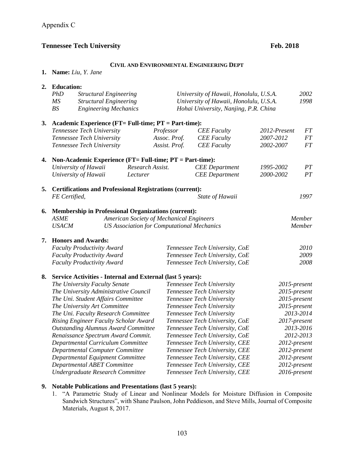#### **CIVIL AND ENVIRONMENTAL ENGINEERING DEPT**

**1. Name:** *Liu, Y. Jane*

|    | 2. Education:                                                     |                                       |                  |                                                |                                |              |              |  |
|----|-------------------------------------------------------------------|---------------------------------------|------------------|------------------------------------------------|--------------------------------|--------------|--------------|--|
|    | PhD<br><b>Structural Engineering</b>                              |                                       |                  | 2002<br>University of Hawaii, Honolulu, U.S.A. |                                |              |              |  |
|    | MS<br><b>Structural Engineering</b>                               |                                       |                  | University of Hawaii, Honolulu, U.S.A.         |                                | 1998         |              |  |
|    | BS<br><b>Engineering Mechanics</b>                                |                                       |                  | Hohai University, Nanjing, P.R. China          |                                |              |              |  |
| 3. | Academic Experience (FT= Full-time; PT = Part-time):              |                                       |                  |                                                |                                |              |              |  |
|    |                                                                   | Tennessee Tech University             |                  | Professor                                      | <b>CEE</b> Faculty             | 2012-Present | $\cal FT$    |  |
|    |                                                                   | Tennessee Tech University             |                  | Assoc. Prof.                                   | <b>CEE</b> Faculty             | 2007-2012    | $\cal FT$    |  |
|    |                                                                   | Tennessee Tech University             |                  | Assist. Prof.                                  | <b>CEE</b> Faculty             | 2002-2007    | FT           |  |
| 4. | Non-Academic Experience ( $FT = Full-time$ ; $PT = Part-time$ ):  |                                       |                  |                                                |                                |              |              |  |
|    |                                                                   | University of Hawaii                  | Research Assist. |                                                | <b>CEE</b> Department          | 1995-2002    | PT           |  |
|    |                                                                   | University of Hawaii                  | Lecturer         |                                                | <b>CEE</b> Department          | 2000-2002    | PT           |  |
| 5. | <b>Certifications and Professional Registrations (current):</b>   |                                       |                  |                                                |                                |              |              |  |
|    | FE Certified,                                                     |                                       |                  |                                                | State of Hawaii                |              | 1997         |  |
| 6. | Membership in Professional Organizations (current):               |                                       |                  |                                                |                                |              |              |  |
|    | <b>ASME</b><br>American Society of Mechanical Engineers           |                                       |                  |                                                | Member                         |              |              |  |
|    | <b>USACM</b><br><b>US Association for Computational Mechanics</b> |                                       |                  |                                                | Member                         |              |              |  |
| 7. | <b>Honors and Awards:</b>                                         |                                       |                  |                                                |                                |              |              |  |
|    |                                                                   | <b>Faculty Productivity Award</b>     |                  |                                                | Tennessee Tech University, CoE |              | 2010         |  |
|    | <b>Faculty Productivity Award</b>                                 |                                       |                  |                                                | Tennessee Tech University, CoE |              | 2009         |  |
|    |                                                                   | <b>Faculty Productivity Award</b>     |                  |                                                | Tennessee Tech University, CoE |              | 2008         |  |
| 8. | Service Activities - Internal and External (last 5 years):        |                                       |                  |                                                |                                |              |              |  |
|    |                                                                   | The University Faculty Senate         |                  |                                                | Tennessee Tech University      |              | 2015-present |  |
|    | The University Administrative Council                             |                                       |                  | Tennessee Tech University                      |                                | 2015-present |              |  |
|    | The Uni. Student Affairs Committee                                |                                       |                  | Tennessee Tech University                      | 2015-present                   |              |              |  |
|    | The University Art Committee                                      |                                       |                  | Tennessee Tech University                      |                                | 2015-present |              |  |
|    |                                                                   | The Uni. Faculty Research Committee   |                  |                                                | Tennessee Tech University      |              | 2013-2014    |  |
|    |                                                                   | Rising Engineer Faculty Scholar Award |                  |                                                | Tennessee Tech University, CoE |              | 2017-present |  |
|    | <b>Outstanding Alumnus Award Committee</b>                        |                                       |                  | Tennessee Tech University, CoE                 | 2013-2016                      |              |              |  |
|    | Renaissance Spectrum Award Commit.                                |                                       |                  | Tennessee Tech University, CoE                 |                                | 2012-2013    |              |  |
|    | Departmental Curriculum Committee                                 |                                       |                  | Tennessee Tech University, CEE                 | 2012-present                   |              |              |  |
|    | Departmental Computer Committee                                   |                                       |                  | Tennessee Tech University, CEE                 | 2012-present                   |              |              |  |
|    | Departmental Equipment Committee                                  |                                       |                  | Tennessee Tech University, CEE                 |                                | 2012-present |              |  |
|    | Departmental ABET Committee                                       |                                       |                  | Tennessee Tech University, CEE                 |                                | 2012-present |              |  |
|    | Undergraduate Research Committee                                  |                                       |                  | Tennessee Tech University, CEE                 |                                | 2016-present |              |  |

# **9. Notable Publications and Presentations (last 5 years):**

1. "A Parametric Study of Linear and Nonlinear Models for Moisture Diffusion in Composite Sandwich Structures", with Shane Paulson, John Peddieson, and Steve Mills, Journal of Composite Materials, August 8, 2017.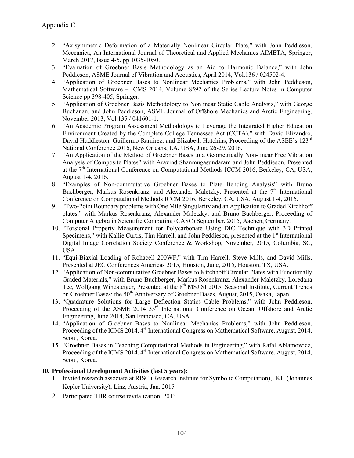- 2. "Axisymmetric Deformation of a Materially Nonlinear Circular Plate," with John Peddieson, Meccanica, An International Journal of Theoretical and Applied Mechanics AIMETA, Springer, March 2017, Issue 4-5, pp 1035-1050.
- 3. "Evaluation of Groebner Basis Methodology as an Aid to Harmonic Balance," with John Peddieson, ASME Journal of Vibration and Acoustics, April 2014, Vol.136 / 024502-4.
- 4. "Application of Groebner Bases to Nonlinear Mechanics Problems," with John Peddieson, Mathematical Software – ICMS 2014, Volume 8592 of the Series Lecture Notes in Computer Science pp 398-405, Springer.
- 5. "Application of Groebner Basis Methodology to Nonlinear Static Cable Analysis," with George Buchanan, and John Peddieson, ASME Journal of Offshore Mechanics and Arctic Engineering, November 2013, Vol,135 / 041601-1.
- 6. "An Academic Program Assessment Methodology to Leverage the Integrated Higher Education Environment Created by the Complete College Tennessee Act (CCTA)," with David Elizandro, David Huddleston, Guillermo Ramirez, and Elizabeth Hutchins, Proceeding of the ASEE's 123<sup>rd</sup> National Conference 2016, New Orleans, LA, USA, June 26-29, 2016.
- 7. "An Application of the Method of Groebner Bases to a Geometrically Non-linear Free Vibration Analysis of Composite Plates" with Aravind Shanmugasundaram and John Peddieson, Presented at the 7<sup>th</sup> International Conference on Computational Methods ICCM 2016, Berkeley, CA, USA, August 1-4, 2016.
- 8. "Examples of Non-commutative Groebner Bases to Plate Bending Analysis" with Bruno Buchberger, Markus Rosenkranz, and Alexander Maletzky, Presented at the  $7<sup>th</sup>$  International Conference on Computational Methods ICCM 2016, Berkeley, CA, USA, August 1-4, 2016.
- 9. "Two-Point Boundary problems with One Mile Singularity and an Application to Graded Kirchhoff plates," with Markus Rosenkranz, Alexander Maletzky, and Bruno Buchberger, Proceeding of Computer Algebra in Scientific Computing (CASC) September, 2015, Aachen, Germany.
- 10. "Torsional Property Measurement for Polycarbonate Using DIC Technique with 3D Printed Specimens," with Kallie Curtis, Tim Harrell, and John Peddieson, presented at the  $1<sup>st</sup>$  International Digital Image Correlation Society Conference & Workshop, November, 2015, Columbia, SC, USA.
- 11. "Equi-Biaxial Loading of Rohacell 200WF," with Tim Harrell, Steve Mills, and David Mills, Presented at JEC Conferences Americas 2015, Houston, June, 2015**,** Houston, TX, USA.
- 12. "Application of Non-commutative Groebner Bases to Kirchhoff Circular Plates with Functionally Graded Materials," with Bruno Buchberger, Markus Rosenkranz, Alexander Maletzky, Loredana Tec, Wolfgang Windsteiger, Presented at the 8<sup>th</sup> MSJ SI 2015, Seasonal Institute, Current Trends on Groebner Bases: the 50<sup>th</sup> Anniversary of Groebner Bases, August, 2015, Osaka, Japan.
- 13. "Quadrature Solutions for Large Deflection Statics Cable Problems," with John Peddieson, Proceeding of the ASME 2014 33<sup>rd</sup> International Conference on Ocean, Offshore and Arctic Engineering, June 2014, San Francisco, CA, USA.
- 14. "Application of Groebner Bases to Nonlinear Mechanics Problems," with John Peddieson, Proceeding of the ICMS 2014, 4<sup>th</sup> International Congress on Mathematical Software, August, 2014, Seoul, Korea.
- 15. "Groebner Bases in Teaching Computational Methods in Engineering," with Rafal Ablamowicz, Proceeding of the ICMS 2014, 4<sup>th</sup> International Congress on Mathematical Software, August, 2014, Seoul, Korea.

### **10. Professional Development Activities (last 5 years):**

- 1. Invited research associate at RISC (Research Institute for Symbolic Computation), JKU (Johannes Kepler University), Linz, Austria, Jan. 2015
- 2. Participated TBR course revitalization, 2013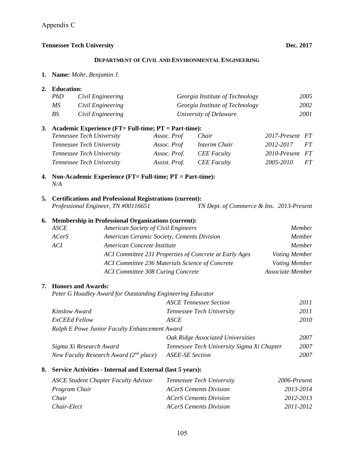### **DEPARTMENT OF CIVIL AND ENVIRONMENTAL ENGINEERING**

**1. Name:** *Mohr, Benjamin J.*

### **2. Education:**

| PhD | Civil Engineering | Georgia Institute of Technology | 2005 |
|-----|-------------------|---------------------------------|------|
| МS  | Civil Engineering | Georgia Institute of Technology | 2002 |
| BS  | Civil Engineering | University of Delaware          | 2001 |

### **3. Academic Experience (FT= Full-time; PT = Part-time):**

| Tennessee Tech University | Assoc. Prof   | Chair              | 2017-Present FT |           |
|---------------------------|---------------|--------------------|-----------------|-----------|
| Tennessee Tech University | Assoc. Prof   | Interim Chair      | 2012-2017       | <i>FT</i> |
| Tennessee Tech University | Assoc. Prof.  | <b>CEE</b> Faculty | 2010-Present FT |           |
| Tennessee Tech University | Assist. Prof. | <b>CEE</b> Faculty | 2005-2010       | FT        |

### **4. Non-Academic Experience (FT= Full-time; PT = Part-time):**  *N/A*

### **5. Certifications and Professional Registrations (current):**

 *Professional Engineer, TN #00116651 TN Dept. of Commerce & Ins. 2013-Present* 

### **6. Membership in Professional Organizations (current):**

| ASCE  | American Society of Civil Engineers                    | <i>Member</i>        |
|-------|--------------------------------------------------------|----------------------|
| ACerS | American Ceramic Society, Cements Division             | Member               |
| ACI   | American Concrete Institute                            | <i>Member</i>        |
|       | ACI Committee 231 Properties of Concrete at Early Ages | <i>Voting Member</i> |
|       | ACI Committee 236 Materials Science of Concrete        | Voting Member        |
|       | <b>ACI Committee 308 Curing Concrete</b>               | Associate Member     |

### **7. Honors and Awards:**

 *Peter G Hoadley Award for Outstanding Engineering Educator* 

|                                               | <b>ASCE Tennessee Section</b>              | 2011 |
|-----------------------------------------------|--------------------------------------------|------|
| Kinslow Award                                 | Tennessee Tech University                  | 2011 |
| <b>ExCEEd Fellow</b>                          | ASCE                                       | 2010 |
| Ralph E Powe Junior Faculty Enhancement Award |                                            |      |
|                                               | Oak Ridge Associated Universities          | 2007 |
| Sigma Xi Research Award                       | Tennessee Tech University Sigma Xi Chapter | 2007 |
| New Faculty Research Award $(2^{nd}$ place)   | <b>ASEE-SE Section</b>                     | 2007 |

### **8. Service Activities - Internal and External (last 5 years):**

| 2006-Present<br>Tennessee Tech University  |
|--------------------------------------------|
| 2013-2014<br><b>ACerS Cements Division</b> |
| 2012-2013<br><b>ACerS Cements Division</b> |
| 2011-2012<br><b>ACerS Cements Division</b> |
|                                            |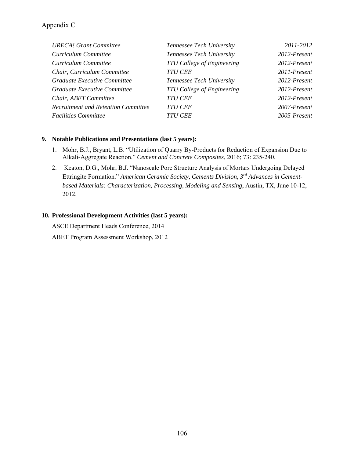| <b>URECA!</b> Grant Committee              | Tennessee Tech University         | 2011-2012       |
|--------------------------------------------|-----------------------------------|-----------------|
| Curriculum Committee                       | Tennessee Tech University         | $2012$ -Present |
| Curriculum Committee                       | <b>TTU College of Engineering</b> | $2012$ -Present |
| Chair, Curriculum Committee                | <b>TTU CEE</b>                    | 2011-Present    |
| Graduate Executive Committee               | Tennessee Tech University         | $2012$ -Present |
| Graduate Executive Committee               | <b>TTU College of Engineering</b> | $2012$ -Present |
| Chair, ABET Committee                      | <b>TTU CEE</b>                    | 2012-Present    |
| <b>Recruitment and Retention Committee</b> | <b>TTU CEE</b>                    | 2007-Present    |
| <b>Facilities Committee</b>                | <i>TTU CEE</i>                    | $2005$ -Present |

### **9. Notable Publications and Presentations (last 5 years):**

- 1. Mohr, B.J., Bryant, L.B. "Utilization of Quarry By-Products for Reduction of Expansion Due to Alkali-Aggregate Reaction." *Cement and Concrete Composites*, 2016; 73: 235-240.
- 2. Keaton, D.G., Mohr, B.J. "Nanoscale Pore Structure Analysis of Mortars Undergoing Delayed Ettringite Formation." *American Ceramic Society, Cements Division, 3rd Advances in Cementbased Materials: Characterization, Processing, Modeling and Sensing*, Austin, TX, June 10-12, 2012.

### **10. Professional Development Activities (last 5 years):**

ASCE Department Heads Conference, 2014 ABET Program Assessment Workshop, 2012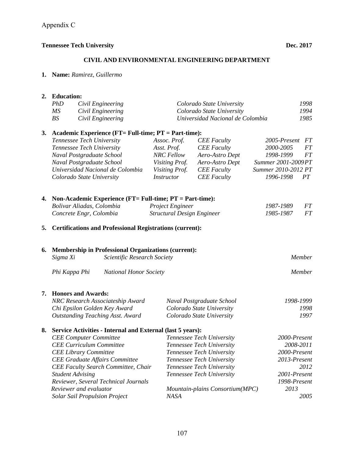#### **CIVIL AND ENVIRONMENTAL ENGINEERING DEPARTMENT**

**1. Name:** *Ramirez, Guillermo*

# **2. Education:**   *PhD Civil Engineering Colorado State University 1998 MS Civil Engineering Colorado State University 1994 BS Civil Engineering Universidad Nacional de Colombia 1985*  **3. Academic Experience (FT= Full-time; PT = Part-time):**   *Tennessee Tech University Assoc. Prof. CEE Faculty 2005-Present FT Tennessee Tech University Asst. Prof. CEE Faculty 2000-2005 FT Naval Postgraduate School NRC Fellow Aero-Astro Dept 1998-1999 FT Naval Postgraduate School Visiting Prof. Aero-Astro Dept Summer 2001-2009 PT Universidad Nacional de Colombia Visiting Prof. CEE Faculty Summer 2010-2012 PT Colorado State University Instructor CEE Faculty 1996-1998 PT*  **4. Non-Academic Experience (FT= Full-time; PT = Part-time):**  *Bolivar Aliadas, Colombia Project Engineer 1987-1989 FT Concrete Engr, Colombia Structural Design Engineer 1985-1987 FT*  **5. Certifications and Professional Registrations (current): 6. Membership in Professional Organizations (current):**   *Sigma Xi Scientific Research Society Member Phi Kappa Phi National Honor Society Member*  **7. Honors and Awards:**   *NRC Research Associateship Award Naval Postgraduate School 1998-1999 Chi Epsilon Golden Key Award Colorado State University 1998 Outstanding Teaching Asst. Award Colorado State University 1997*  **8. Service Activities - Internal and External (last 5 years):**   *CEE Computer Committee Tennessee Tech University 2000-Present CEE Curriculum Committee Tennessee Tech University 2008-2011 CEE Library Committee Tennessee Tech University 2000-Present CEE Graduate Affairs Committee Tennessee Tech University 2013-Present CEE Faculty Search Committee, Chair Tennessee Tech University 2012 Student Advising Tennessee Tech University 2001-Present Reviewer, Several Technical Journals 1998-Present Reviewer and evaluator Mountain-plains Consortium(MPC) 2013 Solar Sail Propulsion Project NASA 2005*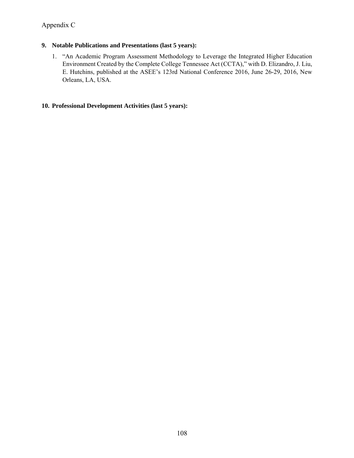## Appendix C

## **9. Notable Publications and Presentations (last 5 years):**

1. "An Academic Program Assessment Methodology to Leverage the Integrated Higher Education Environment Created by the Complete College Tennessee Act (CCTA)," with D. Elizandro, J. Liu, E. Hutchins, published at the ASEE's 123rd National Conference 2016, June 26-29, 2016, New Orleans, LA, USA.

## **10. Professional Development Activities (last 5 years):**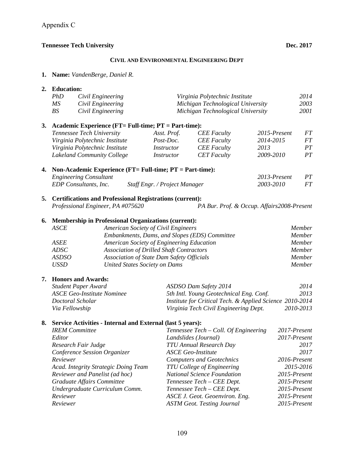#### **CIVIL AND ENVIRONMENTAL ENGINEERING DEPT**

**1. Name:** *VandenBerge, Daniel R.*

## **2. Education:**   *PhD Civil Engineering Virginia Polytechnic Institute 2014 MS Civil Engineering Michigan Technological University 2003 BS Civil Engineering Michigan Technological University 2001*  **3. Academic Experience (FT= Full-time; PT = Part-time):**   *Tennessee Tech University Asst. Prof. CEE Faculty 2015-Present FT Virginia Polytechnic Institute Post-Doc. CEE Faculty 2014-2015 FT Virginia Polytechnic Institute Instructor CEE Faculty 2013 PT Lakeland Community College Instructor CET Faculty 2009-2010 PT*  **4. Non-Academic Experience (FT= Full-time; PT = Part-time):**  *Engineering Consultant 2013-Present PT EDP Consultants, Inc. Staff Engr. / Project Manager 2003-2010 FT*  **5. Certifications and Professional Registrations (current):**   *Professional Engineer, PA #075620 PA Bur. Prof. & Occup. Affairs 2008-Present*  **6. Membership in Professional Organizations (current):**   *ASCE American Society of Civil Engineers Member Embankments, Dams, and Slopes (EDS) Committee Member ASEE American Society of Engineering Education Member ADSC Association of Drilled Shaft Contractors Member ASDSO Association of State Dam Safety Officials Member USSD United States Society on Dams Member*  **7. Honors and Awards:**   *Student Paper Award ASDSO Dam Safety 2014 2014 ASCE Geo-Institute Nominee 5th Intl. Young Geotechnical Eng. Conf. 2013 Doctoral Scholar Institute for Critical Tech. & Applied Science 2010-2014 Via Fellowship Virginia Tech Civil Engineering Dept. 2010-2013*  **8. Service Activities - Internal and External (last 5 years):**   *IREM Committee Tennessee Tech – Coll. Of Engineering 2017-Present Editor Landslides (Journal) 2017-Present Research Fair Judge TTU Annual Research Day 2017 Conference Session Organizer ASCE Geo-Institute 2017 Reviewer Computers and Geotechnics 2016-Present Acad. Integrity Strategic Doing Team TTU College of Engineering 2015-2016 Reviewer and Panelist (ad hoc) National Science Foundation 2015-Present Graduate Affairs Committee Tennessee Tech – CEE Dept. 2015-Present Undergraduate Curriculum Comm. Tennessee Tech – CEE Dept. 2015-Present Reviewer ASCE J. Geot. Geoenviron. Eng. 2015-Present Reviewer ASTM Geot. Testing Journal 2015-Present*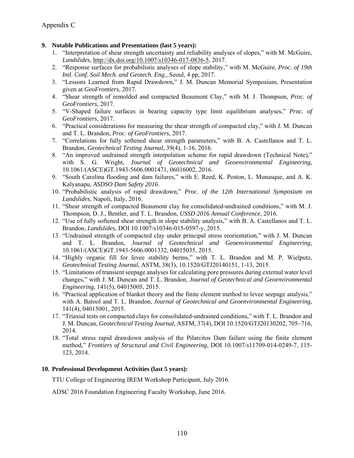### **9. Notable Publications and Presentations (last 5 years):**

- 1. "Interpretation of shear strength uncertainty and reliability analyses of slopes," with M. McGuire, *Landslides*, http://dx.doi.org/10.1007/s10346-017-0836-5, 2017.
- 2. "Response surfaces for probabilistic analyses of slope stability," with M. McGuire, *Proc. of 19th Intl. Conf. Soil Mech. and Geotech. Eng.*, Seoul, 4 pp, 2017.
- 3. "Lessons Learned from Rapid Drawdown," J. M. Duncan Memorial Symposium, Presentation given at *GeoFrontiers*, 2017.
- 4. "Shear strength of remolded and compacted Beaumont Clay," with M. J. Thompson, *Proc. of GeoFrontiers,* 2017.
- 5. "V-Shaped failure surfaces in bearing capacity type limit equilibrium analyses," *Proc. of GeoFrontiers,* 2017.
- 6. "Practical considerations for measuring the shear strength of compacted clay," with J. M. Duncan and T. L. Brandon, *Proc. of GeoFrontiers*, 2017.
- 7. "Correlations for fully softened shear strength parameters," with B. A. Castellanos and T. L. Brandon, *Geotechnical Testing Journal*, 39(4), 1-16, 2016.
- 8. "An improved undrained strength interpolation scheme for rapid drawdown (Technical Note)," with S. G. Wright, *Journal of Geotechnical and Geoenvironmental Engineering*, 10.1061/(ASCE)GT.1943-5606.0001471, 06016002, 2016.
- 9. "South Carolina flooding and dam failures," with E. Reed, K. Poston, L. Munasque, and A. K. Kalyanapu, *ASDSO Dam Safety 2016*.
- 10. "Probabilistic analysis of rapid drawdown," *Proc. of the 12th International Symposium on Landslides*, Napoli, Italy, 2016.
- 11. "Shear strength of compacted Beaumont clay for consolidated-undrained conditions," with M. J. Thompson, D. J., Bentler, and T. L. Brandon, *USSD 2016 Annual Conference*, 2016.
- 12. "Use of fully softened shear strength in slope stability analysis," with B. A. Castellanos and T. L. Brandon, *Landslides*, DOI 10.1007/s10346-015-0597-y, 2015.
- 13. "Undrained strength of compacted clay under principal stress reorientation," with J. M. Duncan and T. L. Brandon, *Journal of Geotechnical and Geoenvironmental Engineering*, 10.1061/(ASCE)GT.1943-5606.0001332, 04015035, 2015.
- 14. "Highly organic fill for levee stability berms," with T. L. Brandon and M. P. Wielputz, *Geotechnical Testing Journal*, ASTM, 38(3), 10.1520/GTJ20140151, 1-13, 2015.
- 15. "Limitations of transient seepage analyses for calculating pore pressures during external water level changes," with J. M. Duncan and T. L. Brandon, *Journal of Geotechnical and Geoenvironmental Engineering*, 141(5), 04015005, 2015.
- 16. "Practical application of blanket theory and the finite element method to levee seepage analysis," with A. Batool and T. L. Brandon, *Journal of Geotechnical and Geoenvironmental Engineering*, 141(4), 04015001, 2015.
- 17. "Triaxial tests on compacted clays for consolidated-undrained conditions," with T. L. Brandon and J. M. Duncan, *Geotechnical Testing Journal*, ASTM, 37(4), DOI 10.1520/GTJ20130202, 705–716, 2014.
- 18. "Total stress rapid drawdown analysis of the Pilarcitos Dam failure using the finite element method," *Frontiers of Structural and Civil Engineering*, DOI 10.1007/s11709-014-0249-7, 115- 123, 2014.

### **10. Professional Development Activities (last 5 years):**

TTU College of Engineering IREM Workshop Participant, July 2016.

ADSC 2016 Foundation Engineering Faculty Workshop, June 2016.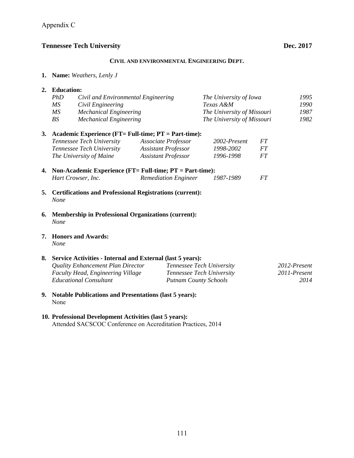#### **CIVIL AND ENVIRONMENTAL ENGINEERING DEPT.**

**1. Name:** *Weathers, Lenly J*

| 2. Education: |                                     |                                                         |                            |    |      |
|---------------|-------------------------------------|---------------------------------------------------------|----------------------------|----|------|
| PhD           | Civil and Environmental Engineering |                                                         | The University of Iowa     |    | 1995 |
| MS            | Civil Engineering                   |                                                         | Texas A&M                  |    | 1990 |
| MS            | <b>Mechanical Engineering</b>       |                                                         | The University of Missouri |    | 1987 |
| BS            | <b>Mechanical Engineering</b>       |                                                         | The University of Missouri |    | 1982 |
|               |                                     | 3. Academic Experience (FT= Full-time; PT = Part-time): |                            |    |      |
|               | Tennessee Tech University           | Associate Professor                                     | 2002-Present               | FТ |      |

| <i>Tennessee Tech University</i> | Associate Professor | 2002-Present | FT. |
|----------------------------------|---------------------|--------------|-----|
| <i>Tennessee Tech University</i> | Assistant Professor | 1998-2002    | FT. |
| The University of Maine          | Assistant Professor | 1996-1998    | FT. |

- **4. Non-Academic Experience (FT= Full-time; PT = Part-time):**  *Hart Crowser, Inc. Remediation Engineer 1987-1989 FT*
- **5. Certifications and Professional Registrations (current):**   *None*
- **6. Membership in Professional Organizations (current):**   *None*
- **7. Honors and Awards:**   *None*

### **8. Service Activities - Internal and External (last 5 years):**

| Quality Enhancement Plan Director        | Tennessee Tech University    | 2012-Present |
|------------------------------------------|------------------------------|--------------|
| <b>Faculty Head, Engineering Village</b> | Tennessee Tech University    | 2011-Present |
| Educational Consultant                   | <b>Putnam County Schools</b> | 2014         |

**9. Notable Publications and Presentations (last 5 years):**  None

# **10. Professional Development Activities (last 5 years):**

Attended SACSCOC Conference on Accreditation Practices, 2014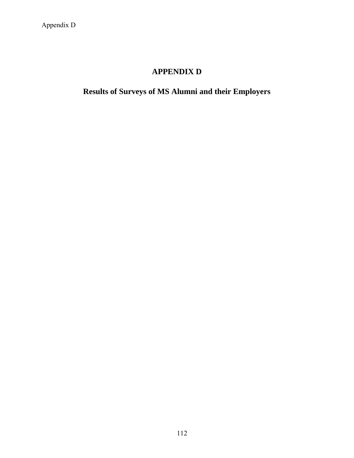# **APPENDIX D**

**Results of Surveys of MS Alumni and their Employers**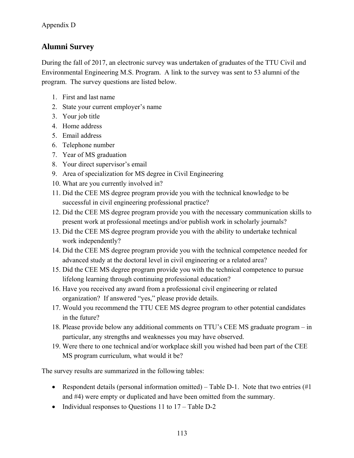# **Alumni Survey**

During the fall of 2017, an electronic survey was undertaken of graduates of the TTU Civil and Environmental Engineering M.S. Program. A link to the survey was sent to 53 alumni of the program. The survey questions are listed below.

- 1. First and last name
- 2. State your current employer's name
- 3. Your job title
- 4. Home address
- 5. Email address
- 6. Telephone number
- 7. Year of MS graduation
- 8. Your direct supervisor's email
- 9. Area of specialization for MS degree in Civil Engineering
- 10. What are you currently involved in?
- 11. Did the CEE MS degree program provide you with the technical knowledge to be successful in civil engineering professional practice?
- 12. Did the CEE MS degree program provide you with the necessary communication skills to present work at professional meetings and/or publish work in scholarly journals?
- 13. Did the CEE MS degree program provide you with the ability to undertake technical work independently?
- 14. Did the CEE MS degree program provide you with the technical competence needed for advanced study at the doctoral level in civil engineering or a related area?
- 15. Did the CEE MS degree program provide you with the technical competence to pursue lifelong learning through continuing professional education?
- 16. Have you received any award from a professional civil engineering or related organization? If answered "yes," please provide details.
- 17. Would you recommend the TTU CEE MS degree program to other potential candidates in the future?
- 18. Please provide below any additional comments on TTU's CEE MS graduate program in particular, any strengths and weaknesses you may have observed.
- 19. Were there to one technical and/or workplace skill you wished had been part of the CEE MS program curriculum, what would it be?

The survey results are summarized in the following tables:

- Respondent details (personal information omitted) Table D-1. Note that two entries  $(\#1)$ and #4) were empty or duplicated and have been omitted from the summary.
- Individual responses to Questions  $11$  to  $17 -$ Table D-2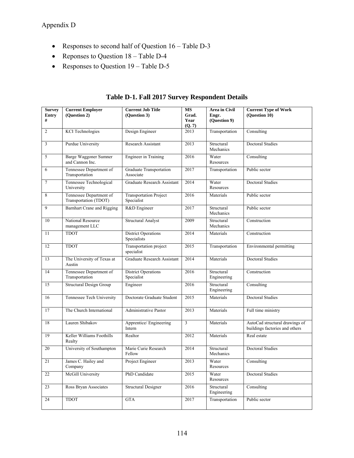- Responses to second half of Question  $16 \text{Table D-3}$
- Reponses to Question 18 Table D-4
- Responses to Question  $19 \text{Table D-5}$

| <b>Survey</b><br><b>Entry</b> | <b>Current Employer</b><br>(Question 2)          | <b>Current Job Title</b><br>(Question 3)    | <b>MS</b><br>Grad.      | Area in Civil<br>Engr.    | <b>Current Type of Work</b><br>(Question 10)                     |
|-------------------------------|--------------------------------------------------|---------------------------------------------|-------------------------|---------------------------|------------------------------------------------------------------|
| #                             |                                                  |                                             | <b>Year</b><br>(Q. 7)   | (Question 9)              |                                                                  |
| $\overline{2}$                | <b>KCI</b> Technologies                          | Design Engineer                             | 2013                    | Transportation            | Consulting                                                       |
| $\mathfrak{Z}$                | Purdue University                                | Research Assistant                          | 2013                    | Structural<br>Mechanics   | <b>Doctoral Studies</b>                                          |
| 5                             | <b>Barge Waggoner Sumner</b><br>and Cannon Inc.  | <b>Engineer</b> in Training                 | 2016                    | Water<br>Resources        | Consulting                                                       |
| 6                             | Tennessee Department of<br>Transportation        | Graduate Transportation<br>Associate        | 2017                    | Transportation            | Public sector                                                    |
| $\tau$                        | Tennessee Technological<br>University            | <b>Graduate Research Assistant</b>          | 2014                    | Water<br>Resources        | <b>Doctoral Studies</b>                                          |
| 8                             | Tennessee Department of<br>Transportation (TDOT) | <b>Transportation Project</b><br>Specialist | 2016                    | Materials                 | Public sector                                                    |
| 9                             | Barnhart Crane and Rigging                       | R&D Engineer                                | 2017                    | Structural<br>Mechanics   | Public sector                                                    |
| 10                            | National Resource<br>management LLC              | <b>Structural Analyst</b>                   | 2009                    | Structural<br>Mechanics   | Construction                                                     |
| 11                            | <b>TDOT</b>                                      | <b>District Operations</b><br>Specialists   | 2014                    | Materials                 | Construction                                                     |
| 12                            | <b>TDOT</b>                                      | Transportation project<br>specialist        | $\sqrt{2015}$           | Transportation            | Environmental permitting                                         |
| 13                            | The University of Texas at<br>Austin             | Graduate Research Assistant                 | 2014                    | Materials                 | <b>Doctoral Studies</b>                                          |
| 14                            | Tennessee Department of<br>Transportation        | <b>District Operations</b><br>Specialist    | 2016                    | Structural<br>Engineering | Construction                                                     |
| $\overline{15}$               | <b>Structural Design Group</b>                   | Engineer                                    | 2016                    | Structural<br>Engineering | Consulting                                                       |
| 16                            | Tennessee Tech University                        | Doctorate Graduate Student                  | 2015                    | Materials                 | <b>Doctoral Studies</b>                                          |
| 17                            | The Church International                         | Administrative Pastor                       | 2013                    | Materials                 | Full time ministry                                               |
| 18                            | Lauren Shibakov                                  | Apprentice/ Engineering<br>Intern           | $\overline{\mathbf{3}}$ | Materials                 | AutoCad structural drawings of<br>buildings factories and others |
| 19                            | Keller Williams Foothills<br>Realty              | Realtor                                     | 2012                    | Materials                 | Real estate                                                      |
| 20                            | University of Southampton                        | Marie Curie Research<br>Fellow              | 2014                    | Structural<br>Mechanics   | <b>Doctoral Studies</b>                                          |
| 21                            | James C. Hailey and<br>Company                   | Project Engineer                            | 2013                    | Water<br>Resources        | Consulting                                                       |
| 22                            | McGill University                                | PhD Candidate                               | 2015                    | Water<br>Resources        | Doctoral Studies                                                 |
| 23                            | Ross Bryan Associates                            | Structural Designer                         | 2016                    | Structural<br>Engineering | Consulting                                                       |
| 24                            | <b>TDOT</b>                                      | <b>GTA</b>                                  | 2017                    | Transportation            | Public sector                                                    |

**Table D-1. Fall 2017 Survey Respondent Details**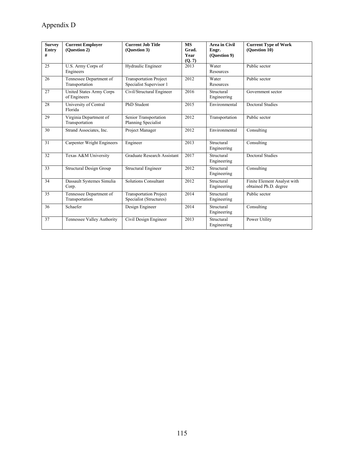# Appendix D

| <b>Survey</b><br>Entry<br># | <b>Current Employer</b><br>(Ouestion 2)   | <b>Current Job Title</b><br>(Question 3)                 | <b>MS</b><br>Grad.<br>Year<br>(Q, 7) | <b>Area</b> in Civil<br>Engr.<br>(Question 9) | <b>Current Type of Work</b><br>(Ouestion 10)         |
|-----------------------------|-------------------------------------------|----------------------------------------------------------|--------------------------------------|-----------------------------------------------|------------------------------------------------------|
| 25                          | U.S. Army Corps of<br>Engineers           | Hydraulic Engineer                                       | 2013                                 | Water<br>Resources                            | Public sector                                        |
| 26                          | Tennessee Department of<br>Transportation | <b>Transportation Project</b><br>Specialist Supervisor 1 | 2012                                 | Water<br>Resources                            | Public sector                                        |
| 27                          | United States Army Corps<br>of Engineers  | Civil/Structural Engineer                                | 2016                                 | Structural<br>Engineering                     | Government sector                                    |
| 28                          | University of Central<br>Florida          | PhD Student                                              | 2015                                 | Environmental                                 | <b>Doctoral Studies</b>                              |
| 29                          | Virginia Department of<br>Transportation  | Senior Transportation<br>Planning Specialist             | 2012                                 | Transportation                                | Public sector                                        |
| 30                          | Strand Associates, Inc.                   | Project Manager                                          | 2012                                 | Environmental                                 | Consulting                                           |
| 31                          | Carpenter Wright Engineers                | Engineer                                                 | 2013                                 | Structural<br>Engineering                     | Consulting                                           |
| 32                          | Texas A&M University                      | Graduate Research Assistant                              | 2017                                 | Structural<br>Engineering                     | <b>Doctoral Studies</b>                              |
| 33                          | <b>Structural Design Group</b>            | Structural Engineer                                      | 2012                                 | Structural<br>Engineering                     | Consulting                                           |
| 34                          | Dassault Systemes Simulia<br>Corp.        | <b>Solutions Consultant</b>                              | 2012                                 | Structural<br>Engineering                     | Finite Element Analyst with<br>obtained Ph.D. degree |
| 35                          | Tennessee Department of<br>Transportation | Transportation Project<br>Specialist (Structures)        | 2014                                 | Structural<br>Engineering                     | Public sector                                        |
| 36                          | Schaefer                                  | Design Engineer                                          | 2014                                 | Structural<br>Engineering                     | Consulting                                           |
| 37                          | Tennessee Valley Authority                | Civil Design Engineer                                    | 2013                                 | Structural<br>Engineering                     | Power Utility                                        |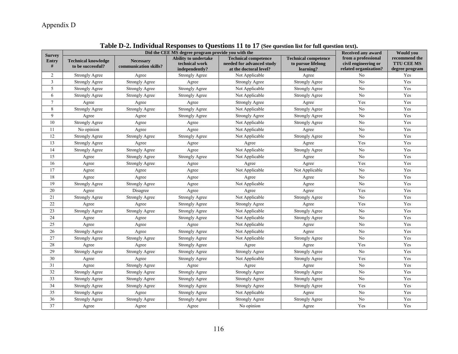# Appendix D

| <b>Survey</b>   |                                                 | Did the CEE MS degree program provide you with the |                                                          |                                                                                    |                                                                |                                                                      |                                                      |
|-----------------|-------------------------------------------------|----------------------------------------------------|----------------------------------------------------------|------------------------------------------------------------------------------------|----------------------------------------------------------------|----------------------------------------------------------------------|------------------------------------------------------|
| Entry<br>#      | <b>Technical knowledge</b><br>to be successful? | <b>Necessary</b><br>communication skills?          | Ability to undertake<br>technical work<br>independently? | <b>Technical competence</b><br>needed for advanced study<br>at the doctoral level? | <b>Technical competence</b><br>to pursue lifelong<br>learning? | from a professional<br>civil engineering or<br>related organization? | recommend the<br><b>TTU CEE MS</b><br>degree program |
| $\overline{c}$  | <b>Strongly Agree</b>                           | Agree                                              | <b>Strongly Agree</b>                                    | Not Applicable                                                                     | Agree                                                          | N <sub>0</sub>                                                       | Yes                                                  |
| 3               | <b>Strongly Agree</b>                           | <b>Strongly Agree</b>                              | Agree                                                    | <b>Strongly Agree</b>                                                              | <b>Strongly Agree</b>                                          | N <sub>0</sub>                                                       | Yes                                                  |
| 5               | <b>Strongly Agree</b>                           | <b>Strongly Agree</b>                              | <b>Strongly Agree</b>                                    | Not Applicable                                                                     | <b>Strongly Agree</b>                                          | No                                                                   | Yes                                                  |
| 6               | <b>Strongly Agree</b>                           | <b>Strongly Agree</b>                              | <b>Strongly Agree</b>                                    | Not Applicable                                                                     | <b>Strongly Agree</b>                                          | No                                                                   | Yes                                                  |
| $\overline{7}$  | Agree                                           | Agree                                              | Agree                                                    | <b>Strongly Agree</b>                                                              | Agree                                                          | Yes                                                                  | Yes                                                  |
| $\,8\,$         | <b>Strongly Agree</b>                           | <b>Strongly Agree</b>                              | <b>Strongly Agree</b>                                    | Not Applicable                                                                     | <b>Strongly Agree</b>                                          | No                                                                   | Yes                                                  |
| 9               | Agree                                           | Agree                                              | <b>Strongly Agree</b>                                    | <b>Strongly Agree</b>                                                              | <b>Strongly Agree</b>                                          | No                                                                   | Yes                                                  |
| 10              | <b>Strongly Agree</b>                           | Agree                                              | Agree                                                    | Not Applicable                                                                     | <b>Strongly Agree</b>                                          | N <sub>o</sub>                                                       | Yes                                                  |
| 11              | No opinion                                      | Agree                                              | Agree                                                    | Not Applicable                                                                     | Agree                                                          | N <sub>o</sub>                                                       | Yes                                                  |
| 12              | <b>Strongly Agree</b>                           | <b>Strongly Agree</b>                              | <b>Strongly Agree</b>                                    | Not Applicable                                                                     | <b>Strongly Agree</b>                                          | No                                                                   | Yes                                                  |
| 13              | <b>Strongly Agree</b>                           | Agree                                              | Agree                                                    | Agree                                                                              | Agree                                                          | Yes                                                                  | Yes                                                  |
| 14              | <b>Strongly Agree</b>                           | <b>Strongly Agree</b>                              | Agree                                                    | Not Applicable                                                                     | <b>Strongly Agree</b>                                          | No                                                                   | Yes                                                  |
| 15              | Agree                                           | <b>Strongly Agree</b>                              | <b>Strongly Agree</b>                                    | Not Applicable                                                                     | Agree                                                          | No                                                                   | Yes                                                  |
| 16              | Agree                                           | <b>Strongly Agree</b>                              | Agree                                                    | Agree                                                                              | Agree                                                          | Yes                                                                  | Yes                                                  |
| 17              | Agree                                           | Agree                                              | Agree                                                    | Not Applicable                                                                     | Not Applicable                                                 | N <sub>o</sub>                                                       | Yes                                                  |
| 18              | Agree                                           | Agree                                              | Agree                                                    | Agree                                                                              | Agree                                                          | No                                                                   | Yes                                                  |
| 19              | Strongly Agree                                  | <b>Strongly Agree</b>                              | Agree                                                    | Not Applicable                                                                     | Agree                                                          | No                                                                   | Yes                                                  |
| $20\,$          | Agree                                           | Disagree                                           | Agree                                                    | Agree                                                                              | Agree                                                          | Yes                                                                  | Yes                                                  |
| 21              | <b>Strongly Agree</b>                           | <b>Strongly Agree</b>                              | <b>Strongly Agree</b>                                    | Not Applicable                                                                     | <b>Strongly Agree</b>                                          | N <sub>o</sub>                                                       | Yes                                                  |
| $22\,$          | Agree                                           | Agree                                              | <b>Strongly Agree</b>                                    | <b>Strongly Agree</b>                                                              | Agree                                                          | Yes                                                                  | Yes                                                  |
| $\overline{23}$ | <b>Strongly Agree</b>                           | <b>Strongly Agree</b>                              | <b>Strongly Agree</b>                                    | Not Applicable                                                                     | <b>Strongly Agree</b>                                          | N <sub>o</sub>                                                       | Yes                                                  |
| 24              | Agree                                           | Agree                                              | <b>Strongly Agree</b>                                    | Not Applicable                                                                     | <b>Strongly Agree</b>                                          | No                                                                   | Yes                                                  |
| 25              | Agree                                           | Agree                                              | Agree                                                    | Not Applicable                                                                     | Agree                                                          | No                                                                   | Yes                                                  |
| 26              | <b>Strongly Agree</b>                           | Agree                                              | <b>Strongly Agree</b>                                    | Not Applicable                                                                     | Agree                                                          | No                                                                   | Yes                                                  |
| 27              | <b>Strongly Agree</b>                           | <b>Strongly Agree</b>                              | <b>Strongly Agree</b>                                    | Not Applicable                                                                     | <b>Strongly Agree</b>                                          | No                                                                   | Yes                                                  |
| 28              | Agree                                           | Agree                                              | <b>Strongly Agree</b>                                    | Agree                                                                              | Agree                                                          | Yes                                                                  | Yes                                                  |
| 29              | <b>Strongly Agree</b>                           | <b>Strongly Agree</b>                              | <b>Strongly Agree</b>                                    | <b>Strongly Agree</b>                                                              | Strongly Agree                                                 | N <sub>o</sub>                                                       | Yes                                                  |
| 30              | Agree                                           | Agree                                              | <b>Strongly Agree</b>                                    | Not Applicable                                                                     | <b>Strongly Agree</b>                                          | Yes                                                                  | Yes                                                  |
| 31              | Agree                                           | <b>Strongly Agree</b>                              | Agree                                                    | Agree                                                                              | Agree                                                          | N <sub>o</sub>                                                       | Yes                                                  |
| 32              | <b>Strongly Agree</b>                           | <b>Strongly Agree</b>                              | <b>Strongly Agree</b>                                    | <b>Strongly Agree</b>                                                              | <b>Strongly Agree</b>                                          | N <sub>o</sub>                                                       | Yes                                                  |
| 33              | <b>Strongly Agree</b>                           | <b>Strongly Agree</b>                              | <b>Strongly Agree</b>                                    | <b>Strongly Agree</b>                                                              | <b>Strongly Agree</b>                                          | No                                                                   | Yes                                                  |
| 34              | <b>Strongly Agree</b>                           | <b>Strongly Agree</b>                              | <b>Strongly Agree</b>                                    | <b>Strongly Agree</b>                                                              | <b>Strongly Agree</b>                                          | Yes                                                                  | Yes                                                  |
| 35              | <b>Strongly Agree</b>                           | Agree                                              | <b>Strongly Agree</b>                                    | Not Applicable                                                                     | Agree                                                          | No                                                                   | Yes                                                  |
| 36              | <b>Strongly Agree</b>                           | <b>Strongly Agree</b>                              | <b>Strongly Agree</b>                                    | <b>Strongly Agree</b>                                                              | <b>Strongly Agree</b>                                          | No                                                                   | Yes                                                  |
| 37              | Agree                                           | Agree                                              | Agree                                                    | No opinion                                                                         | Agree                                                          | Yes                                                                  | Yes                                                  |

# **Table D-2. Individual Responses to Questions 11 to 17 (See question list for full question text).**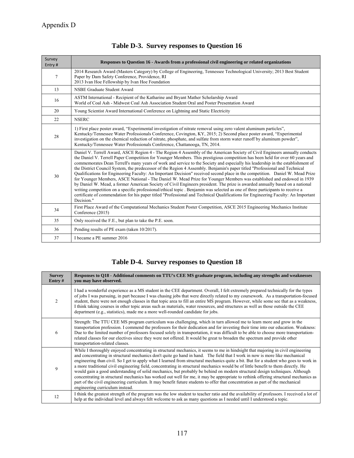| Survey<br>Entry# | Responses to Question 16 - Awards from a professional civil engineering or related organizations                                                                                                                                                                                                                                                                                                                                                                                                                                                                                                                                                                                                                                                                                                                                                                                                                                                                                                                                                                                                                                                                                                             |
|------------------|--------------------------------------------------------------------------------------------------------------------------------------------------------------------------------------------------------------------------------------------------------------------------------------------------------------------------------------------------------------------------------------------------------------------------------------------------------------------------------------------------------------------------------------------------------------------------------------------------------------------------------------------------------------------------------------------------------------------------------------------------------------------------------------------------------------------------------------------------------------------------------------------------------------------------------------------------------------------------------------------------------------------------------------------------------------------------------------------------------------------------------------------------------------------------------------------------------------|
| 7                | 2014 Research Award (Masters Category) by College of Engineering, Tennessee Technological University; 2013 Best Student<br>Paper by Dam Safety Conference, Providence, RI<br>2013 Ivan Hoe Fellowship by Ivan Hoe Foundation                                                                                                                                                                                                                                                                                                                                                                                                                                                                                                                                                                                                                                                                                                                                                                                                                                                                                                                                                                                 |
| 13               | NSBE Graduate Student Award                                                                                                                                                                                                                                                                                                                                                                                                                                                                                                                                                                                                                                                                                                                                                                                                                                                                                                                                                                                                                                                                                                                                                                                  |
| 16               | ASTM International - Recipient of the Katharine and Bryant Mather Scholarship Award<br>World of Coal Ash - Midwest Coal Ash Association Student Oral and Poster Presentation Award                                                                                                                                                                                                                                                                                                                                                                                                                                                                                                                                                                                                                                                                                                                                                                                                                                                                                                                                                                                                                           |
| 20               | Young Scientist Award International Conference on Lightning and Static Electricity                                                                                                                                                                                                                                                                                                                                                                                                                                                                                                                                                                                                                                                                                                                                                                                                                                                                                                                                                                                                                                                                                                                           |
| 22               | <b>NSERC</b>                                                                                                                                                                                                                                                                                                                                                                                                                                                                                                                                                                                                                                                                                                                                                                                                                                                                                                                                                                                                                                                                                                                                                                                                 |
| 28               | 1) First place poster award, "Experimental investigation of nitrate removal using zero valent aluminum particles",<br>Kentucky/Tennessee Water Professionals Conference, Covington, KY, 2015; 2) Second place poster award, "Experimental<br>investigation on the chemical reduction of nitrate, phosphate, and sulfate from storm water runoff by aluminum powder",<br>Kentucky/Tennessee Water Professionals Conference, Chattanooga, TN, 2014.                                                                                                                                                                                                                                                                                                                                                                                                                                                                                                                                                                                                                                                                                                                                                            |
| 30               | Daniel V. Terrell Award, ASCE Region 4 - The Region 4 Assembly of the American Society of Civil Engineers annually conducts<br>the Daniel V. Terrell Paper Competition for Younger Members. This prestigious competition has been held for over 60 years and<br>commemorates Dean Terrell's many years of work and service to the Society and especially his leadership in the establishment of<br>the District Council System, the predecessor of the Region 4 Assembly. Benjamin's paper titled "Professional and Technical"<br>Qualifications for Engineering Faculty: An Important Decision" received second place in the competition. Daniel W. Mead Prize<br>for Younger Members, ASCE National - The Daniel W. Mead Prize for Younger Members was established and endowed in 1939<br>by Daniel W. Mead, a former American Society of Civil Engineers president. The prize is awarded annually based on a national<br>writing competition on a specific professional/ethical topic. Benjamin was selected as one of three participants to receive a<br>certificate of commendation for his paper titled "Professional and Technical Qualifications for Engineering Faculty: An Important<br>Decision." |
| 34               | First Place Award of the Computational Mechanics Student Poster Competition, ASCE 2015 Engineering Mechanics Institute<br>Conference (2015)                                                                                                                                                                                                                                                                                                                                                                                                                                                                                                                                                                                                                                                                                                                                                                                                                                                                                                                                                                                                                                                                  |
| 35               | Only received the F.E., but plan to take the P.E. soon.                                                                                                                                                                                                                                                                                                                                                                                                                                                                                                                                                                                                                                                                                                                                                                                                                                                                                                                                                                                                                                                                                                                                                      |
| 36               | Pending results of PE exam (taken 10/2017).                                                                                                                                                                                                                                                                                                                                                                                                                                                                                                                                                                                                                                                                                                                                                                                                                                                                                                                                                                                                                                                                                                                                                                  |
| 37               | I became a PE summer 2016                                                                                                                                                                                                                                                                                                                                                                                                                                                                                                                                                                                                                                                                                                                                                                                                                                                                                                                                                                                                                                                                                                                                                                                    |

# **Table D-3. Survey responses to Question 16**

# **Table D-4. Survey responses to Question 18**

| <b>Survey</b><br>Entry# | Responses to Q18 - Additional comments on TTU's CEE MS graduate program, including any strengths and weaknesses<br>you may have observed.                                                                                                                                                                                                                                                                                                                                                                                                                                                                                                                                                                                                                                                                                                                                                                                                                                                |
|-------------------------|------------------------------------------------------------------------------------------------------------------------------------------------------------------------------------------------------------------------------------------------------------------------------------------------------------------------------------------------------------------------------------------------------------------------------------------------------------------------------------------------------------------------------------------------------------------------------------------------------------------------------------------------------------------------------------------------------------------------------------------------------------------------------------------------------------------------------------------------------------------------------------------------------------------------------------------------------------------------------------------|
| $\mathfrak{D}$          | I had a wonderful experience as a MS student in the CEE department. Overall, I felt extremely prepared technically for the types<br>of jobs I was pursuing, in part because I was chasing jobs that were directly related to my coursework. As a transportation-focused<br>student, there were not enough classes in that topic area to fill an entire MS program. However, while some see that as a weakness,<br>I think taking courses in other topic areas such as materials, water resources, and structures as well as those outside the CEE<br>department (e.g., statistics), made me a more well-rounded candidate for jobs.                                                                                                                                                                                                                                                                                                                                                      |
| 6                       | Strength: The TTU CEE MS program curriculum was challenging, which in turn allowed me to learn more and grow in the<br>transportation profession. I commend the professors for their dedication and for investing their time into our education. Weakness:<br>Due to the limited number of professors focused solely in transportation, it was difficult to be able to choose more transportation-<br>related classes for our electives since they were not offered. It would be great to broaden the spectrum and provide other<br>transportation-related classes.                                                                                                                                                                                                                                                                                                                                                                                                                      |
| 9                       | While I thoroughly enjoyed concentrating in structural mechanics, it seems to me in hindsight that majoring in civil engineering<br>and concentrating in structural mechanics don't quite go hand in hand. The field that I work in now is more like mechanical<br>engineering than civil. So I get to apply what I learned from structural mechanics quite a bit. But for a student who goes to work in<br>a more traditional civil engineering field, concentrating in structural mechanics would be of little benefit to them directly. He<br>would gain a good understanding of solid mechanics, but probably be behind on modern structural design techniques. Although<br>concentrating in structural mechanics has worked out well for me, it may be appropriate to rethink offering structural mechanics as<br>part of the civil engineering curriculum. It may benefit future students to offer that concentration as part of the mechanical<br>engineering curriculum instead. |
| 12                      | I think the greatest strength of the program was the low student to teacher ratio and the availability of professors. I received a lot of<br>help at the individual level and always felt welcome to ask as many questions as I needed until I understood a topic.                                                                                                                                                                                                                                                                                                                                                                                                                                                                                                                                                                                                                                                                                                                       |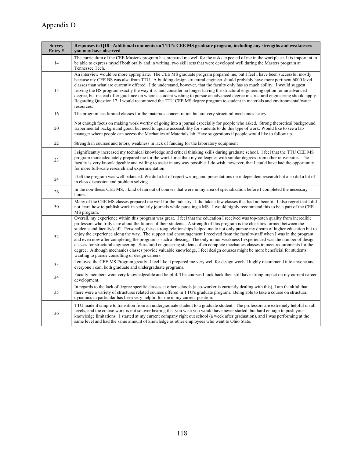| <b>Survey</b><br>Entry# | Responses to Q18 - Additional comments on TTU's CEE MS graduate program, including any strengths and weaknesses<br>you may have observed.                                                                                                                                                                                                                                                                                                                                                                                                                                                                                                                                                                                                                                                                                                                                                                                                                                                        |
|-------------------------|--------------------------------------------------------------------------------------------------------------------------------------------------------------------------------------------------------------------------------------------------------------------------------------------------------------------------------------------------------------------------------------------------------------------------------------------------------------------------------------------------------------------------------------------------------------------------------------------------------------------------------------------------------------------------------------------------------------------------------------------------------------------------------------------------------------------------------------------------------------------------------------------------------------------------------------------------------------------------------------------------|
| 14                      | The curriculum of the CEE Master's program has prepared me well for the tasks expected of me in the workplace. It is important to<br>be able to express myself both orally and in writing, two skill sets that were developed well during the Masters program at<br>Tennessee Tech.                                                                                                                                                                                                                                                                                                                                                                                                                                                                                                                                                                                                                                                                                                              |
| 15                      | An interview would be more appropriate. The CEE MS graduate program prepared me, but I feel I have been successful mostly<br>because my CEE BS was also from TTU. A building design structural engineer should probably have more pertinent 6000 level<br>classes than what are currently offered. I do understand, however, that the faculty only has so much ability. I would suggest<br>leaving the BS program exactly the way it is, and consider no longer having the structural engineering option for an advanced<br>degree, but instead offer guidance on where a student wishing to pursue an advanced degree in structural engineering should apply.<br>Regarding Question 17, I would recommend the TTU CEE MS degree program to student in materials and environmental/water<br>resources.                                                                                                                                                                                           |
| 16                      | The program has limited classes for the materials concentration but are very structural mechanics heavy.                                                                                                                                                                                                                                                                                                                                                                                                                                                                                                                                                                                                                                                                                                                                                                                                                                                                                         |
| 20                      | Not enough focus on making work worthy of going into a journal especially for people who asked. Strong theoretical background.<br>Experimental background good, but need to update accessibility for students to do this type of work. Would like to see a lab<br>manager where people can access the Mechanics of Materials lab. Have suggestions if people would like to follow up.                                                                                                                                                                                                                                                                                                                                                                                                                                                                                                                                                                                                            |
| 22                      | Strength in courses and tutors, weakness in lack of funding for the laboratory equipment                                                                                                                                                                                                                                                                                                                                                                                                                                                                                                                                                                                                                                                                                                                                                                                                                                                                                                         |
| 23                      | I significantly increased my technical knowledge and critical thinking skills during graduate school. I feel that the TTU CEE MS<br>program more adequately prepared me for the work force than my colleagues with similar degrees from other universities. The<br>faculty is very knowledgeable and willing to assist in any way possible. I do wish, however, that I could have had the opportunity<br>for more full-scale research and experimentation.                                                                                                                                                                                                                                                                                                                                                                                                                                                                                                                                       |
| 24                      | I felt the program was well balanced. We did a lot of report writing and presentations on independent research but also did a lot of<br>in class discussion and problem solving.                                                                                                                                                                                                                                                                                                                                                                                                                                                                                                                                                                                                                                                                                                                                                                                                                 |
| 26                      | In the non-thesis CEE MS, I kind of ran out of courses that were in my area of specialization before I completed the necessary<br>hours.                                                                                                                                                                                                                                                                                                                                                                                                                                                                                                                                                                                                                                                                                                                                                                                                                                                         |
| 30                      | Many of the CEE MS classes prepared me well for the industry. I did take a few classes that had no benefit. I also regret that I did<br>not learn how to publish work in scholarly journals while pursuing a MS. I would highly recommend this to be a part of the CEE<br>MS program.                                                                                                                                                                                                                                                                                                                                                                                                                                                                                                                                                                                                                                                                                                            |
| 32                      | Overall, my experience within this program was great. I feel that the education I received was top-notch quality from incredible<br>professors who truly care about the futures of their students. A strength of this program is the close ties formed between the<br>students and faculty/staff. Personally, these strong relationships helped me to not only pursue my dream of higher education but to<br>enjoy the experience along the way. The support and encouragement I received from the faculty/staff when I was in the program<br>and even now after completing the program is such a blessing. The only minor weakness I experienced was the number of design<br>classes for structural engineering. Structural engineering students often complete mechanics classes to meet requirements for the<br>degree. Although mechanics classes provide valuable knowledge, I feel design courses might be more beneficial for students<br>wanting to pursue consulting or design careers. |
| 33                      | I enjoyed the CEE MS Program greatly. I feel like it prepared me very well for design work. I highly recommend it to anyone and<br>everyone I can, both graduate and undergraduate programs.                                                                                                                                                                                                                                                                                                                                                                                                                                                                                                                                                                                                                                                                                                                                                                                                     |
| 34                      | Faculty members were very knowledgeable and helpful. The courses I took back then still have strong impact on my current career<br>development.                                                                                                                                                                                                                                                                                                                                                                                                                                                                                                                                                                                                                                                                                                                                                                                                                                                  |
| 35                      | In regards to the lack of degree specific classes at other schools (a co-worker is currently dealing with this), I am thankful that<br>there were a variety of structures related courses offered in TTU's graduate program. Being able to take a course on structural<br>dynamics in particular has been very helpful for me in my current position.                                                                                                                                                                                                                                                                                                                                                                                                                                                                                                                                                                                                                                            |
| 36                      | TTU made it simple to transition from an undergraduate student to a graduate student. The professors are extremely helpful on all<br>levels, and the course work is not so over bearing that you wish you would have never started, but hard enough to push your<br>knowledge limitations. I started at my current company right out school (a week after graduation), and I was performing at the<br>same level and had the same amount of knowledge as other employees who went to Ohio State.                                                                                                                                                                                                                                                                                                                                                                                                                                                                                                 |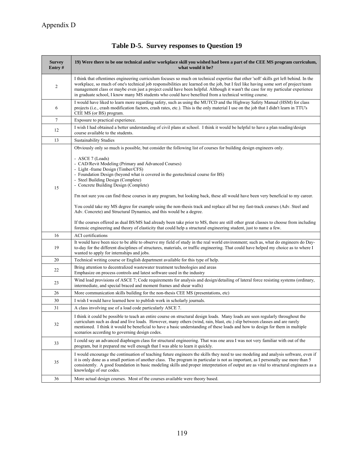| <b>Survey</b><br>Entry $#$ | 19) Were there to be one technical and/or workplace skill you wished had been a part of the CEE MS program curriculum,<br>what would it be?                                                                                                                                                                                                                                                                                                                                                                               |  |  |  |
|----------------------------|---------------------------------------------------------------------------------------------------------------------------------------------------------------------------------------------------------------------------------------------------------------------------------------------------------------------------------------------------------------------------------------------------------------------------------------------------------------------------------------------------------------------------|--|--|--|
| $\overline{2}$             | I think that oftentimes engineering curriculum focuses so much on technical expertise that other 'soft' skills get left behind. In the<br>workplace, so much of one's technical job responsibilities are learned on the job, but I feel like having some sort of project/team<br>management class or maybe even just a project could have been helpful. Although it wasn't the case for my particular experience<br>in graduate school, I know many MS students who could have benefited from a technical writing course. |  |  |  |
| 6                          | I would have liked to learn more regarding safety, such as using the MUTCD and the Highway Safety Manual (HSM) for class<br>projects (i.e., crash modification factors, crash rates, etc.). This is the only material I use on the job that I didn't learn in TTU's<br>CEE MS (or BS) program.                                                                                                                                                                                                                            |  |  |  |
| $\tau$                     | Exposure to practical experience.                                                                                                                                                                                                                                                                                                                                                                                                                                                                                         |  |  |  |
| 12                         | I wish I had obtained a better understanding of civil plans at school. I think it would be helpful to have a plan reading/design<br>course available to the students.                                                                                                                                                                                                                                                                                                                                                     |  |  |  |
| 13                         | <b>Sustainability Studies</b>                                                                                                                                                                                                                                                                                                                                                                                                                                                                                             |  |  |  |
|                            | Obviously only so much is possible, but consider the following list of courses for building design engineers only.<br>- ASCE 7 (Loads)<br>- CAD/Revit Modeling (Primary and Advanced Courses)                                                                                                                                                                                                                                                                                                                             |  |  |  |
| 15                         | - Light -frame Design (Timber/CFS)<br>- Foundation Design (beyond what is covered in the geotechnical course for BS)<br>- Steel Building Design (Complete)<br>- Concrete Building Design (Complete)                                                                                                                                                                                                                                                                                                                       |  |  |  |
|                            | I'm not sure you can find these courses in any program, but looking back, these all would have been very beneficial to my career.                                                                                                                                                                                                                                                                                                                                                                                         |  |  |  |
|                            | You could take my MS degree for example using the non-thesis track and replace all but my fast-track courses (Adv. Steel and<br>Adv. Concrete) and Structural Dynamics, and this would be a degree.                                                                                                                                                                                                                                                                                                                       |  |  |  |
|                            | If the courses offered as dual BS/MS had already been take prior to MS, there are still other great classes to choose from including<br>forensic engineering and theory of elasticity that could help a structural engineering student, just to name a few.                                                                                                                                                                                                                                                               |  |  |  |
| 16                         | <b>ACI</b> certifications                                                                                                                                                                                                                                                                                                                                                                                                                                                                                                 |  |  |  |
| 19                         | It would have been nice to be able to observe my field of study in the real world environment; such as, what do engineers do Day-<br>to-day for the different disciplines of structures, materials, or traffic engineering. That could have helped my choice as to where I<br>wanted to apply for internships and jobs.                                                                                                                                                                                                   |  |  |  |
| 20                         | Technical writing course or English department available for this type of help.                                                                                                                                                                                                                                                                                                                                                                                                                                           |  |  |  |
| 22                         | Bring attention to decentralized wastewater treatment technologies and areas<br>Emphasize on process controls and latest software used in the industry                                                                                                                                                                                                                                                                                                                                                                    |  |  |  |
| 23                         | Wind load provisions of ASCE 7; Code requirements for analysis and design/detailing of lateral force resisting systems (ordinary,<br>intermediate, and special braced and moment frames and shear walls)                                                                                                                                                                                                                                                                                                                  |  |  |  |
| 26                         | More communication skills building for the non-thesis CEE MS (presentations, etc)                                                                                                                                                                                                                                                                                                                                                                                                                                         |  |  |  |
| 30                         | I wish I would have learned how to publish work in scholarly journals.                                                                                                                                                                                                                                                                                                                                                                                                                                                    |  |  |  |
| 31                         | A class involving use of a load code particularly ASCE 7.                                                                                                                                                                                                                                                                                                                                                                                                                                                                 |  |  |  |
| 32                         | I think it could be possible to teach an entire course on structural design loads. Many loads are seen regularly throughout the<br>curriculum such as dead and live loads. However, many others (wind, rain, blast, etc.) slip between classes and are rarely<br>mentioned. I think it would be beneficial to have a basic understanding of these loads and how to design for them in multiple<br>scenarios according to governing design codes.                                                                          |  |  |  |
| 33                         | I could say an advanced diaphragm class for structural engineering. That was one area I was not very familiar with out of the<br>program, but it prepared me well enough that I was able to learn it quickly.                                                                                                                                                                                                                                                                                                             |  |  |  |
| 35                         | I would encourage the continuation of teaching future engineers the skills they need to use modeling and analysis software, even if<br>it is only done as a small portion of another class. The program in particular is not as important, as I personally use more than 5<br>consistently. A good foundation in basic modeling skills and proper interpretation of output are as vital to structural engineers as a<br>knowledge of our codes.                                                                           |  |  |  |
| 36                         | More actual design courses. Most of the courses available were theory based.                                                                                                                                                                                                                                                                                                                                                                                                                                              |  |  |  |

# **Table D-5. Survey responses to Question 19**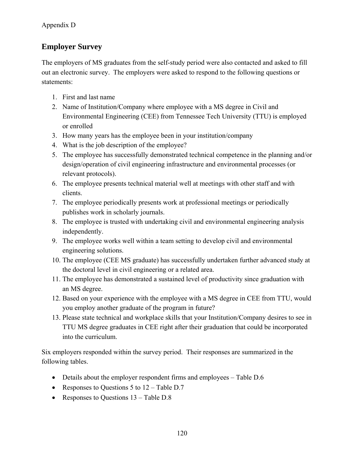# **Employer Survey**

The employers of MS graduates from the self-study period were also contacted and asked to fill out an electronic survey. The employers were asked to respond to the following questions or statements:

- 1. First and last name
- 2. Name of Institution/Company where employee with a MS degree in Civil and Environmental Engineering (CEE) from Tennessee Tech University (TTU) is employed or enrolled
- 3. How many years has the employee been in your institution/company
- 4. What is the job description of the employee?
- 5. The employee has successfully demonstrated technical competence in the planning and/or design/operation of civil engineering infrastructure and environmental processes (or relevant protocols).
- 6. The employee presents technical material well at meetings with other staff and with clients.
- 7. The employee periodically presents work at professional meetings or periodically publishes work in scholarly journals.
- 8. The employee is trusted with undertaking civil and environmental engineering analysis independently.
- 9. The employee works well within a team setting to develop civil and environmental engineering solutions.
- 10. The employee (CEE MS graduate) has successfully undertaken further advanced study at the doctoral level in civil engineering or a related area.
- 11. The employee has demonstrated a sustained level of productivity since graduation with an MS degree.
- 12. Based on your experience with the employee with a MS degree in CEE from TTU, would you employ another graduate of the program in future?
- 13. Please state technical and workplace skills that your Institution/Company desires to see in TTU MS degree graduates in CEE right after their graduation that could be incorporated into the curriculum.

Six employers responded within the survey period. Their responses are summarized in the following tables.

- Details about the employer respondent firms and employees Table D.6
- Responses to Questions 5 to  $12 \text{Table D.7}$
- Responses to Questions 13 Table D.8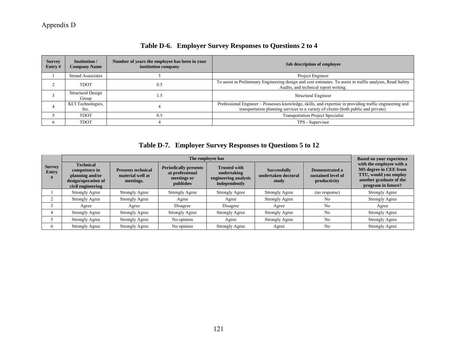| <b>Survey</b><br>Entry# | <b>Institution</b> /<br><b>Company Name</b> | Number of years the employee has been in your<br>institution company | Job description of employee                                                                                                                                                                    |
|-------------------------|---------------------------------------------|----------------------------------------------------------------------|------------------------------------------------------------------------------------------------------------------------------------------------------------------------------------------------|
|                         | <b>Strand Associates</b>                    |                                                                      | Project Engineer                                                                                                                                                                               |
|                         | <b>TDOT</b>                                 | 0.5                                                                  | To assist in Preliminary Engineering design and cost estimates. To assist in traffic analysis, Road Safety<br>Audits, and technical report writing.                                            |
|                         | Structural Design<br>Group                  |                                                                      | Structural Engineer                                                                                                                                                                            |
|                         | KCI Technologies,<br>Inc.                   |                                                                      | Professional Engineer - Possesses knowledge, skills, and expertise in providing traffic engineering and<br>transportation planning services to a variety of clients (both public and private). |
|                         | <b>TDOT</b>                                 | 0.5                                                                  | <b>Transportation Project Specialist</b>                                                                                                                                                       |
| <sub>6</sub>            | <b>TDOT</b>                                 |                                                                      | TPS - Supervisor                                                                                                                                                                               |

# **Table D-6. Employer Survey Responses to Questions 2 to 4**

**Table D-7. Employer Survey Responses to Questions 5 to 12** 

|                             |                                                                                                  | <b>Based on your experience</b>                            |                                                                             |                                                                             |                                                     |                                                      |                                                                                                                                    |
|-----------------------------|--------------------------------------------------------------------------------------------------|------------------------------------------------------------|-----------------------------------------------------------------------------|-----------------------------------------------------------------------------|-----------------------------------------------------|------------------------------------------------------|------------------------------------------------------------------------------------------------------------------------------------|
| <b>Survey</b><br>Entry<br># | <b>Technical</b><br>competence in<br>planning and/or<br>design/operation of<br>civil engineering | <b>Presents technical</b><br>material well at<br>meetings. | <b>Periodically presents</b><br>at professional<br>meetings or<br>publishes | <b>Trusted with</b><br>undertaking<br>engineering analysis<br>independently | <b>Successfully</b><br>undertaken doctoral<br>study | Demonstrated a<br>sustained level of<br>productivity | with the employee with a<br>MS degree in CEE from<br><b>TTU, would you employ</b><br>another graduate of the<br>program in future? |
|                             | Strongly Agree                                                                                   | Strongly Agree                                             | Strongly Agree                                                              | <b>Strongly Agree</b>                                                       | <b>Strongly Agree</b>                               | (no response)                                        | <b>Strongly Agree</b>                                                                                                              |
|                             | <b>Strongly Agree</b>                                                                            | <b>Strongly Agree</b>                                      | Agree                                                                       | Agree                                                                       | Strongly Agree                                      | No                                                   | <b>Strongly Agree</b>                                                                                                              |
|                             | Agree                                                                                            | Agree                                                      | Disagree                                                                    | Disagree                                                                    | Agree                                               | N <sub>0</sub>                                       | Agree                                                                                                                              |
|                             | Strongly Agree                                                                                   | Strongly Agree                                             | Strongly Agree                                                              | Strongly Agree                                                              | <b>Strongly Agree</b>                               | N <sub>0</sub>                                       | <b>Strongly Agree</b>                                                                                                              |
|                             | Strongly Agree                                                                                   | <b>Strongly Agree</b>                                      | No opinion                                                                  | Agree                                                                       | <b>Strongly Agree</b>                               | N <sub>0</sub>                                       | Strongly Agree                                                                                                                     |
| 6                           | <b>Strongly Agree</b>                                                                            | <b>Strongly Agree</b>                                      | No opinion                                                                  | <b>Strongly Agree</b>                                                       | Agree                                               | N <sub>0</sub>                                       | <b>Strongly Agree</b>                                                                                                              |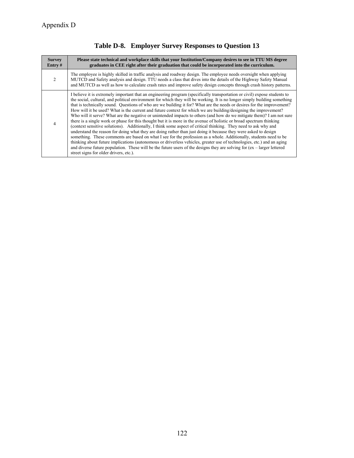| <b>Survey</b><br>Entry $#$ | Please state technical and workplace skills that your Institution/Company desires to see in TTU MS degree<br>graduates in CEE right after their graduation that could be incorporated into the curriculum.                                                                                                                                                                                                                                                                                                                                                                                                                                                                                                                                                                                                                                                                                                                                                                                                                                                                                                                                                                                                                                                                                                                                                                                                       |
|----------------------------|------------------------------------------------------------------------------------------------------------------------------------------------------------------------------------------------------------------------------------------------------------------------------------------------------------------------------------------------------------------------------------------------------------------------------------------------------------------------------------------------------------------------------------------------------------------------------------------------------------------------------------------------------------------------------------------------------------------------------------------------------------------------------------------------------------------------------------------------------------------------------------------------------------------------------------------------------------------------------------------------------------------------------------------------------------------------------------------------------------------------------------------------------------------------------------------------------------------------------------------------------------------------------------------------------------------------------------------------------------------------------------------------------------------|
| $\mathfrak{D}$             | The employee is highly skilled in traffic analysis and roadway design. The employee needs oversight when applying<br>MUTCD and Safety analysis and design. TTU needs a class that dives into the details of the Highway Safety Manual<br>and MUTCD as well as how to calculate crash rates and improve safety design concepts through crash history patterns.                                                                                                                                                                                                                                                                                                                                                                                                                                                                                                                                                                                                                                                                                                                                                                                                                                                                                                                                                                                                                                                    |
|                            | I believe it is extremely important that an engineering program (specifically transportation or civil) expose students to<br>the social, cultural, and political environment for which they will be working. It is no longer simply building something<br>that is technically sound. Questions of who are we building it for? What are the needs or desires for the improvement?<br>How will it be used? What is the current and future context for which we are building/designing the improvement?<br>Who will it serve? What are the negative or unintended impacts to others (and how do we mitigate them)? I am not sure<br>there is a single work or phase for this thought but it is more in the avenue of holistic or broad spectrum thinking<br>(context sensitive solutions). Additionally, I think some aspect of critical thinking. They need to ask why and<br>understand the reason for doing what they are doing rather than just doing it because they were asked to design<br>something. These comments are based on what I see for the profession as a whole. Additionally, students need to be<br>thinking about future implications (autonomous or driverless vehicles, greater use of technologies, etc.) and an aging<br>and diverse future population. These will be the future users of the designs they are solving for (ex – larger lettered<br>street signs for older drivers, etc.). |

# **Table D-8. Employer Survey Responses to Question 13**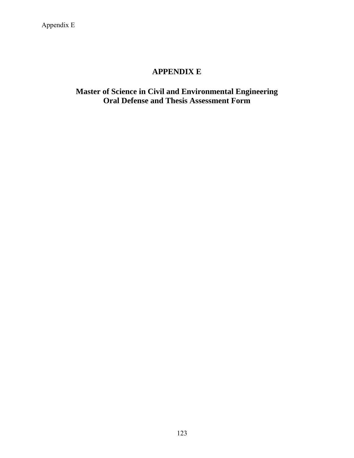# **APPENDIX E**

# **Master of Science in Civil and Environmental Engineering Oral Defense and Thesis Assessment Form**